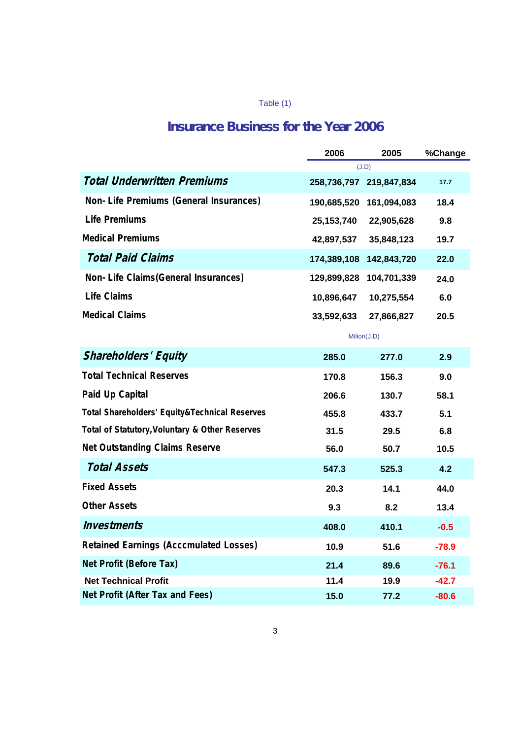## Table (1)

## **Insurance Business for the Year 2006**

|                                                | 2006         | 2005                    | %Change |
|------------------------------------------------|--------------|-------------------------|---------|
|                                                |              | (J.D)                   |         |
| <b>Total Underwritten Premiums</b>             |              | 258,736,797 219,847,834 | 17.7    |
| Non-Life Premiums (General Insurances)         | 190,685,520  | 161,094,083             | 18.4    |
| <b>Life Premiums</b>                           | 25, 153, 740 | 22,905,628              | 9.8     |
| <b>Medical Premiums</b>                        | 42,897,537   | 35,848,123              | 19.7    |
| <b>Total Paid Claims</b>                       | 174,389,108  | 142,843,720             | 22.0    |
| Non-Life Claims (General Insurances)           | 129,899,828  | 104,701,339             | 24.0    |
| <b>Life Claims</b>                             | 10,896,647   | 10,275,554              | 6.0     |
| <b>Medical Claims</b>                          | 33,592,633   | 27,866,827              | 20.5    |
|                                                |              | Milion(J.D)             |         |
| <b>Shareholders' Equity</b>                    | 285.0        | 277.0                   | 2.9     |
| <b>Total Technical Reserves</b>                | 170.8        | 156.3                   | 9.0     |
| Paid Up Capital                                | 206.6        | 130.7                   | 58.1    |
| Total Shareholders' Equity&Technical Reserves  | 455.8        | 433.7                   | 5.1     |
| Total of Statutory, Voluntary & Other Reserves | 31.5         | 29.5                    | 6.8     |
| <b>Net Outstanding Claims Reserve</b>          | 56.0         | 50.7                    | 10.5    |
| <b>Total Assets</b>                            | 547.3        | 525.3                   | 4.2     |
| <b>Fixed Assets</b>                            | 20.3         | 14.1                    | 44.0    |
| <b>Other Assets</b>                            | 9.3          | 8.2                     | 13.4    |
| <b>Investments</b>                             | 408.0        | 410.1                   | $-0.5$  |
| <b>Retained Earnings (Acccmulated Losses)</b>  | 10.9         | 51.6                    | $-78.9$ |
| Net Profit (Before Tax)                        | 21.4         | 89.6                    | $-76.1$ |
| <b>Net Technical Profit</b>                    | 11.4         | 19.9                    | $-42.7$ |
| Net Profit (After Tax and Fees)                | 15.0         | 77.2                    | $-80.6$ |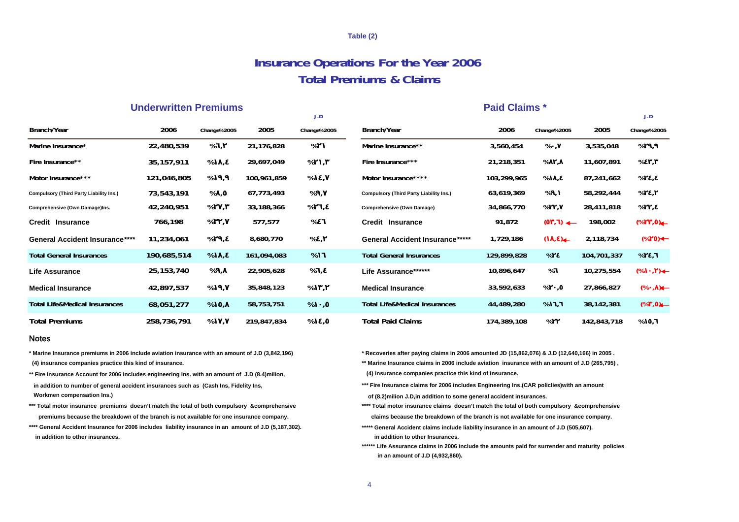#### **Table (2)**

## **Insurance Operations For the Year 2006 Total Premiums & Claims**

### **Underwritten Premiums Paid Claims \***

|                                         |              |                   |             | J.D         |                                                |             |                         |             | J.D                               |
|-----------------------------------------|--------------|-------------------|-------------|-------------|------------------------------------------------|-------------|-------------------------|-------------|-----------------------------------|
| Branch/Year                             | 2006         | Change%2005       | 2005        | Change%2005 | Branch/Year                                    | 2006        | Change%2005             | 2005        | Change%2005                       |
| Marine Insurance*                       | 22,480,539   | %,                | 21,176,828  | %           | Marine Insurance**                             | 3,560,454   | %,                      | 3,535,048   | %                                 |
| Fire Insurance**                        | 35, 157, 911 | %                 | 29,697,049  | %           | Fire Insurance***                              | 21,218,351  | %                       | 11,607,891  | %                                 |
| Motor Insurance***                      | 121,046,805  | %,                | 100,961,859 | %           | Motor Insurance****                            | 103,299,965 | %                       | 87,241,662  | %,                                |
| Compulsory (Third Party Liability Ins.) | 73,543,191   | %,                | 67,773,493  | $%$ ,       | <b>Compulsory (Third Party Liability Ins.)</b> | 63,619,369  | %,                      | 58,292,444  | %                                 |
| Comprehensive (Own Damage)Ins.          | 42,240,951   | %,                | 33,188,366  | %           | Comprehensive (Own Damage)                     | 34,866,770  | %                       | 28,411,818  | %                                 |
| <b>Credit Insurance</b>                 | 766,198      | %,                | 577,577     | %           | Credit Insurance                               | 91,872      | $\leftarrow$            | 198,002     | (%<br>$\rightarrow$ $\rightarrow$ |
| <b>General Accident Insurance****</b>   | 11,234,061   | %<br>$\mathbf{r}$ | 8,680,770   | %,          | <b>General Accident Insurance*****</b>         | 1,729,186   | $\left( \quad ,\right)$ | 2,118,734   | $(\% ) \leftarrow$                |
| <b>Total General Insurances</b>         | 190,685,514  | $%$ ,             | 161,094,083 | %           | <b>Total General Insurances</b>                | 129,899,828 | %                       | 104,701,337 | %,                                |
| Life Assurance                          | 25, 153, 740 | %,                | 22,905,628  | %,          | Life Assurance*******                          | 10,896,647  | %                       | 10,275,554  | $(\%$ , )+                        |
| <b>Medical Insurance</b>                | 42,897,537   | %,                | 35,848,123  | %           | <b>Medical Insurance</b>                       | 33,592,633  | %                       | 27,866,827  | $(\%$ , $\leftarrow$              |
| Total Life&Medical Insurances           | 68,051,277   | $%$ ,             | 58,753,751  | %,          | <b>Total Life&amp;Medical Insurances</b>       | 44,489,280  | $%$ ,                   | 38,142,381  | $(\%$ , $\leftarrow$              |
| <b>Total Premiums</b>                   | 258,736,791  | %                 | 219,847,834 | %           | <b>Total Paid Claims</b>                       | 174,389,108 | %                       | 142,843,718 | %                                 |

#### Notes

 **(4) insurance companies practice this kind of insurance.**

**\*\* Fire Insurance Account for 2006 includes engineering Ins. with an amount of J.D (8.4)milion, in addition to number of general accident insurances such as (Cash Ins, Fidelity Ins, Workmen compensation Ins.)** 

**\*\*\* Total motor insurance premiums doesn't match the total of both compulsory &comprehensive premiums because the breakdown of the branch is not available for one insurance company.**

 **in addition to other insurances.\*\*\*\* General Accident Insurance for 2006 includes liability insurance in an amount of J.D (5,187,302).**

**\* Marine Insurance premiums in 2006 include aviation insurance with an amount of J.D (3,842,196) \* Recoveries after paying claims in 2006 amounted JD (15,862,076) & J.D (12,640,166) in 2005 .**

**\*\* Marine Insurance claims in 2006 include aviation insurance with an amount of J.D (265,795) , (4) insurance companies practice this kind of insurance.**

**\*\*\* Fire Insurance claims for 2006 includes Engineering Ins.(CAR policIies)with an amount**

 **of (8.2)milion J.D,in addition to some general accident insurances.**

**\*\*\*\* Total motor insurance claims doesn't match the total of both compulsory &comprehensive claims because the breakdown of the branch is not available for one insurance company.**

**\*\*\*\*\* General Accident claims include liability insurance in an amount of J.D (505,607). in addition to other Insurances.**

 **in an amount of J.D (4,932,860). \*\*\*\*\*\* Life Assurance claims in 2006 include the amounts paid for surrender and maturity policies**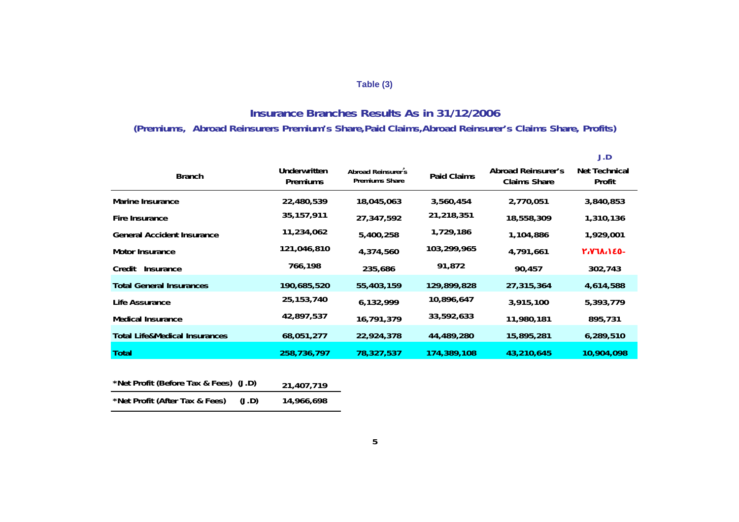## **Table (3)**

## **Insurance Branches Results As in 31/12/2006 (Premiums, Abroad Reinsurers Premium's Share,Paid Claims,Abroad Reinsurer's Claims Share, Profits)**

|                                          |                                        |                                                    |                    |                                                  | J.D                            |
|------------------------------------------|----------------------------------------|----------------------------------------------------|--------------------|--------------------------------------------------|--------------------------------|
| <b>Branch</b>                            | <b>Underwritten</b><br><b>Premiums</b> | <b>Abroad Reinsurer s</b><br><b>Premiums Share</b> | <b>Paid Claims</b> | <b>Abroad Reinsurer's</b><br><b>Claims Share</b> | <b>Net Technical</b><br>Profit |
| Marine Insurance                         | 22,480,539                             | 18,045,063                                         | 3,560,454          | 2,770,051                                        | 3,840,853                      |
| Fire Insurance                           | 35, 157, 911                           | 27,347,592                                         | 21,218,351         | 18,558,309                                       | 1,310,136                      |
| <b>General Accident Insurance</b>        | 11,234,062                             | 5,400,258                                          | 1,729,186          | 1,104,886                                        | 1,929,001                      |
| <b>Motor Insurance</b>                   | 121,046,810                            | 4,374,560                                          | 103,299,965        | 4,791,661                                        |                                |
| Credit<br>Insurance                      | 766,198                                | 235,686                                            | 91,872             | 90,457                                           | 302,743                        |
| <b>Total General Insurances</b>          | 190,685,520                            | 55,403,159                                         | 129,899,828        | 27,315,364                                       | 4,614,588                      |
| Life Assurance                           | 25, 153, 740                           | 6,132,999                                          | 10,896,647         | 3,915,100                                        | 5,393,779                      |
| <b>Medical Insurance</b>                 | 42,897,537                             | 16,791,379                                         | 33,592,633         | 11,980,181                                       | 895,731                        |
| <b>Total Life&amp;Medical Insurances</b> | 68,051,277                             | 22,924,378                                         | 44,489,280         | 15,895,281                                       | 6,289,510                      |
| <b>Total</b>                             | 258,736,797                            | 78,327,537                                         | 174,389,108        | 43,210,645                                       | 10,904,098                     |

| *Net Profit (Before Tax & Fees) (J.D) |       | 21,407,719 |
|---------------------------------------|-------|------------|
| *Net Profit (After Tax & Fees)        | (J.D) | 14,966,698 |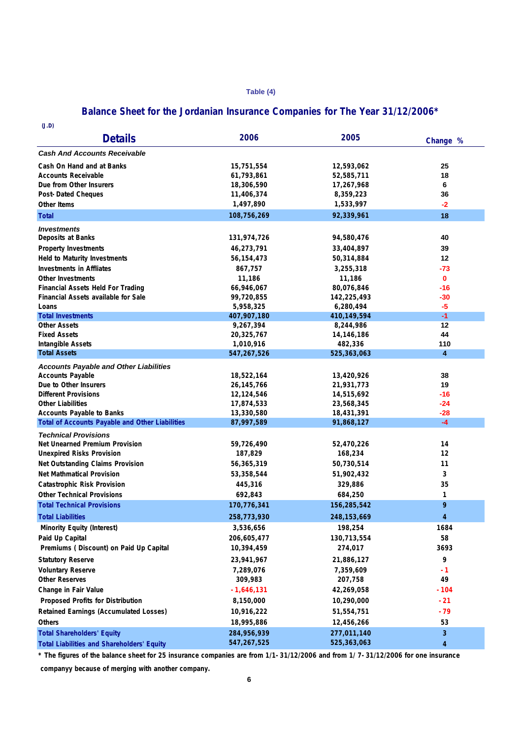#### **Table (4)**

## **Balance Sheet for the Jordanian Insurance Companies for The Year 31/12/2006\***

| (J.D)                                                   |                          |                           |                    |
|---------------------------------------------------------|--------------------------|---------------------------|--------------------|
| <b>Details</b>                                          | 2006                     | 2005                      | Change %           |
| <b>Cash And Accounts Receivable</b>                     |                          |                           |                    |
| Cash On Hand and at Banks                               | 15,751,554               | 12,593,062                | 25                 |
| Accounts Receivable                                     | 61,793,861               | 52,585,711                | 18                 |
| Due from Other Insurers                                 | 18,306,590               | 17,267,968                | 6                  |
| <b>Post-Dated Cheques</b>                               | 11,406,374               | 8,359,223                 | 36                 |
| <b>Other Items</b>                                      | 1,497,890                | 1,533,997                 | $-2$               |
| <b>Total</b>                                            | 108,756,269              | 92,339,961                | 18                 |
| <i><b>Investments</b></i>                               |                          |                           |                    |
| Deposits at Banks                                       | 131,974,726              | 94,580,476                | 40                 |
| <b>Property Investments</b>                             | 46,273,791               | 33,404,897                | 39                 |
| <b>Held to Maturity Investments</b>                     | 56,154,473               | 50,314,884                | 12                 |
| <b>Investments in Affliates</b>                         | 867,757                  | 3,255,318                 | -73                |
|                                                         | 11,186                   |                           |                    |
| <b>Other Investments</b>                                | 66,946,067               | 11,186                    | $\mathbf 0$<br>-16 |
| <b>Financial Assets Held For Trading</b>                | 99,720,855               | 80,076,846<br>142,225,493 | -30                |
| Financial Assets available for Sale<br>Loans            | 5,958,325                | 6,280,494                 | -5                 |
| <b>Total Investments</b>                                | 407,907,180              | 410,149,594               | $-1$               |
| Other Assets                                            | 9,267,394                | 8,244,986                 | 12                 |
| <b>Fixed Assets</b>                                     | 20,325,767               | 14,146,186                | 44                 |
| <b>Intangible Assets</b>                                | 1,010,916                | 482,336                   | 110                |
| <b>Total Assets</b>                                     | 547,267,526              | 525,363,063               | 4                  |
|                                                         |                          |                           |                    |
| <b>Accounts Payable and Other Liabilities</b>           |                          |                           |                    |
| <b>Accounts Payable</b>                                 | 18,522,164               | 13,420,926                | 38                 |
| Due to Other Insurers                                   | 26,145,766               | 21,931,773                | 19                 |
| <b>Different Provisions</b><br><b>Other Liabilities</b> | 12,124,546<br>17,874,533 | 14,515,692<br>23,568,345  | -16<br>-24         |
| <b>Accounts Payable to Banks</b>                        | 13,330,580               | 18,431,391                | -28                |
| <b>Total of Accounts Payable and Other Liabilities</b>  | 87,997,589               | 91,868,127                | $-4$               |
|                                                         |                          |                           |                    |
| <b>Technical Provisions</b>                             |                          |                           |                    |
| Net Unearned Premium Provision                          | 59,726,490               | 52,470,226                | 14                 |
| <b>Unexpired Risks Provision</b>                        | 187,829                  | 168,234                   | 12                 |
| Net Outstanding Claims Provision                        | 56,365,319               | 50,730,514                | 11                 |
| Net Mathmatical Provision                               | 53,358,544               | 51,902,432                | 3                  |
| <b>Catastrophic Risk Provision</b>                      | 445,316                  | 329,886                   | 35                 |
| <b>Other Technical Provisions</b>                       | 692,843                  | 684,250                   | 1                  |
| <b>Total Technical Provisions</b>                       | 170,776,341              | 156,285,542               | 9                  |
| <b>Total Liabilities</b>                                | 258,773,930              | 248, 153, 669             | 4                  |
| Minority Equity (Interest)                              | 3,536,656                | 198,254                   | 1684               |
| Paid Up Capital                                         | 206,605,477              | 130,713,554               | 58                 |
| Premiums (Discount) on Paid Up Capital                  | 10,394,459               | 274,017                   | 3693               |
| <b>Statutory Reserve</b>                                | 23,941,967               | 21,886,127                | 9                  |
| <b>Voluntary Reserve</b>                                | 7,289,076                | 7,359,609                 | -1                 |
| Other Reserves                                          | 309,983                  | 207,758                   | 49                 |
| Change in Fair Value                                    | $-1,646,131$             | 42,269,058                | $-104$             |
| Proposed Profits for Distribution                       | 8,150,000                | 10,290,000                | $-21$              |
|                                                         |                          |                           | $-79$              |
| <b>Retained Earnings (Accumulated Losses)</b>           | 10,916,222               | 51,554,751                |                    |
| Others                                                  | 18,995,886               | 12,456,266                | 53                 |
| <b>Total Shareholders' Equity</b>                       | 284,956,939              | 277,011,140               | 3                  |
| <b>Total Liabilities and Shareholders' Equity</b>       | 547,267,525              | 525,363,063               | 4                  |

**\* The figures of the balance sheet for 25 insurance companies are from 1/1-31/12/2006 and from 1/ 7-31/12/2006 for one insurance companyy because of merging with another company.**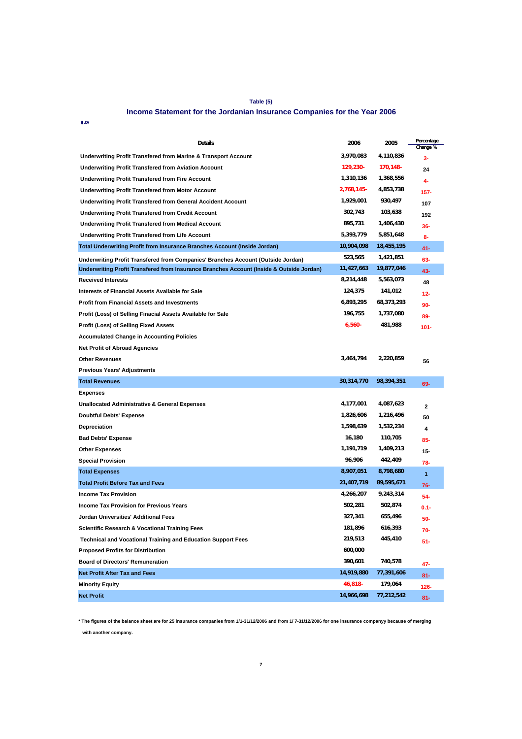#### **Table (5)**

#### **Income Statement for the Jordanian Insurance Companies for the Year 2006**

 **(J.D)** 

| Details                                                                                  | 2006        | 2005       | Percentage<br>Change % |
|------------------------------------------------------------------------------------------|-------------|------------|------------------------|
| Underwriting Profit Transfered from Marine & Transport Account                           | 3,970,083   | 4,110,836  | 3-                     |
| <b>Underwriting Profit Transfered from Aviation Account</b>                              | $129,230 -$ | 170,148-   | 24                     |
| <b>Underwriting Profit Transfered from Fire Account</b>                                  | 1,310,136   | 1,368,556  | 4-                     |
| <b>Underwriting Profit Transfered from Motor Account</b>                                 | 2,768,145-  | 4,853,738  | 157-                   |
| <b>Underwriting Profit Transfered from General Accident Account</b>                      | 1,929,001   | 930,497    | 107                    |
| <b>Underwriting Profit Transfered from Credit Account</b>                                | 302,743     | 103,638    | 192                    |
| <b>Underwriting Profit Transfered from Medical Account</b>                               | 895,731     | 1,406,430  | 36-                    |
| <b>Underwriting Profit Transfered from Life Account</b>                                  | 5,393,779   | 5,851,648  | 8-                     |
| <b>Total Underwriting Profit from Insurance Branches Account (Inside Jordan)</b>         | 10,904,098  | 18,455,195 | 41-                    |
| Underwriting Profit Transfered from Companies' Branches Account (Outside Jordan)         | 523,565     | 1,421,851  | 63-                    |
| Underwriting Profit Transfered from Insurance Branches Account (Inside & Outside Jordan) | 11,427,663  | 19,877,046 | 43-                    |
| <b>Received Interests</b>                                                                | 8,214,448   | 5,563,073  | 48                     |
| Interests of Financial Assets Available for Sale                                         | 124,375     | 141,012    | 12-                    |
| <b>Profit from Financial Assets and Investments</b>                                      | 6,893,295   | 68,373,293 | 90-                    |
| Profit (Loss) of Selling Finacial Assets Available for Sale                              | 196,755     | 1,737,080  | 89-                    |
| Profit (Loss) of Selling Fixed Assets                                                    | $6,560 -$   | 481,988    | 101-                   |
| <b>Accumulated Change in Accounting Policies</b>                                         |             |            |                        |
| <b>Net Profit of Abroad Agencies</b>                                                     |             |            |                        |
| <b>Other Revenues</b>                                                                    | 3,464,794   | 2,220,859  | 56                     |
| <b>Previous Years' Adjustments</b>                                                       |             |            |                        |
| <b>Total Revenues</b>                                                                    | 30,314,770  | 98,394,351 | 69-                    |
| <b>Expenses</b>                                                                          |             |            |                        |
| <b>Unallocated Administrative &amp; General Expenses</b>                                 | 4,177,001   | 4,087,623  | $\mathbf{z}$           |
| <b>Doubtful Debts' Expense</b>                                                           | 1,826,606   | 1,216,496  | 50                     |
| Depreciation                                                                             | 1,598,639   | 1,532,234  | 4                      |
| <b>Bad Debts' Expense</b>                                                                | 16,180      | 110,705    | 85-                    |
| <b>Other Expenses</b>                                                                    | 1,191,719   | 1,409,213  | 15-                    |
| <b>Special Provision</b>                                                                 | 96,906      | 442,409    | 78-                    |
| <b>Total Expenses</b>                                                                    | 8,907,051   | 8,798,680  | $\mathbf{1}$           |
| <b>Total Profit Before Tax and Fees</b>                                                  | 21,407,719  | 89,595,671 | 76-                    |
| <b>Income Tax Provision</b>                                                              | 4,266,207   | 9,243,314  | 54-                    |
| <b>Income Tax Provision for Previous Years</b>                                           | 502,281     | 502,874    | $0.1 -$                |
| Jordan Universities' Additional Fees                                                     | 327,341     | 655,496    | 50-                    |
| <b>Scientific Research &amp; Vocational Training Fees</b>                                | 181,896     | 616,393    | 70-                    |
| <b>Technical and Vocational Training and Education Support Fees</b>                      | 219,513     | 445,410    | 51-                    |
| <b>Proposed Profits for Distribution</b>                                                 | 600,000     |            |                        |
| <b>Board of Directors' Remuneration</b>                                                  | 390,601     | 740,578    | 47-                    |
| <b>Net Profit After Tax and Fees</b>                                                     | 14,919,880  | 77,391,606 | 81-                    |
| <b>Minority Equity</b>                                                                   | $46,818-$   | 179,064    | $126 -$                |
| <b>Net Profit</b>                                                                        | 14,966,698  | 77,212,542 | $81 -$                 |

 **with another company. \* The figures of the balance sheet are for 25 insurance companies from 1/1-31/12/2006 and from 1/ 7-31/12/2006 for one insurance companyy because of merging**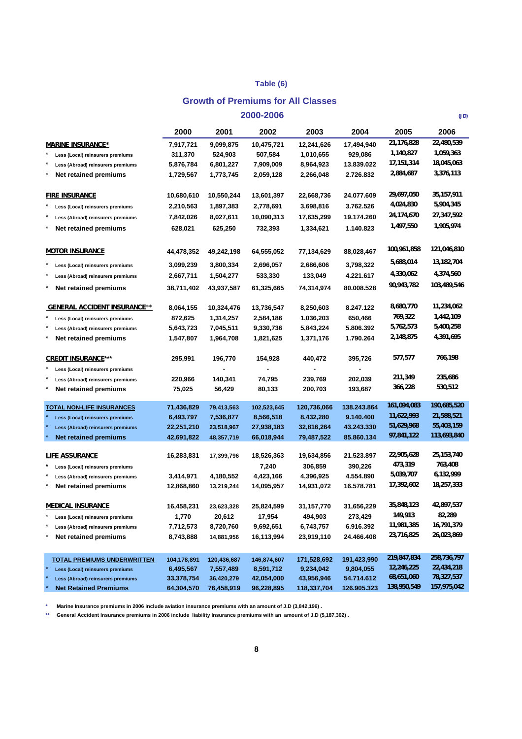### **Table (6)**

#### **Growth of Premiums for All Classes**

|                                                                      |             |                         | 2000-2006   |             |             |                          | (JD)                     |
|----------------------------------------------------------------------|-------------|-------------------------|-------------|-------------|-------------|--------------------------|--------------------------|
|                                                                      | 2000        | 2001                    | 2002        | 2003        | 2004        | 2005                     | 2006                     |
| <b>MARINE INSURANCE*</b>                                             | 7,917,721   | 9,099,875               | 10,475,721  | 12,241,626  | 17,494,940  | 21,176,828               | 22,480,539               |
| Less (Local) reinsurers premiums                                     | 311,370     | 524,903                 | 507,584     | 1,010,655   | 929,086     | 1,140,827                | 1,059,363                |
| Less (Abroad) reinsurers premiums                                    | 5,876,784   | 6,801,227               | 7,909,009   | 8,964,923   | 13.839.022  | 17,151,314               | 18,045,063               |
| Net retained premiums                                                | 1,729,567   | 1,773,745               | 2,059,128   | 2,266,048   | 2.726.832   | 2,884,687                | 3,376,113                |
|                                                                      |             |                         |             |             |             |                          |                          |
| <b>FIRE INSURANCE</b>                                                | 10,680,610  | 10,550,244              | 13,601,397  | 22,668,736  | 24.077.609  | 29,697,050               | 35, 157, 911             |
| Less (Local) reinsurers premiums                                     | 2,210,563   | 1,897,383               | 2,778,691   | 3,698,816   | 3.762.526   | 4,024,830                | 5,904,345                |
| Less (Abroad) reinsurers premiums                                    | 7,842,026   | 8,027,611               | 10,090,313  | 17,635,299  | 19.174.260  | 24,174,670               | 27,347,592               |
| Net retained premiums                                                | 628,021     | 625,250                 | 732,393     | 1,334,621   | 1.140.823   | 1,497,550                | 1,905,974                |
|                                                                      |             |                         |             |             |             |                          |                          |
| <b>MOTOR INSURANCE</b>                                               | 44,478,352  | 49,242,198              | 64,555,052  | 77,134,629  | 88,028,467  | 100,961,858              | 121,046,810              |
| Less (Local) reinsurers premiums                                     | 3,099,239   | 3,800,334               | 2,696,057   | 2,686,606   | 3,798,322   | 5,688,014                | 13,182,704               |
| Less (Abroad) reinsurers premiums                                    | 2,667,711   | 1,504,277               | 533,330     | 133,049     | 4.221.617   | 4,330,062                | 4,374,560                |
| Net retained premiums                                                | 38,711,402  | 43,937,587              | 61,325,665  | 74,314,974  | 80.008.528  | 90,943,782               | 103,489,546              |
|                                                                      |             |                         |             |             |             |                          |                          |
| <b>GENERAL ACCIDENT INSURANCE**</b>                                  | 8,064,155   | 10,324,476              | 13,736,547  | 8,250,603   | 8.247.122   | 8,680,770                | 11,234,062               |
| Less (Local) reinsurers premiums                                     | 872,625     | 1,314,257               | 2,584,186   | 1,036,203   | 650,466     | 769,322                  | 1,442,109                |
| Less (Abroad) reinsurers premiums                                    | 5,643,723   | 7,045,511               | 9,330,736   | 5,843,224   | 5.806.392   | 5,762,573                | 5,400,258                |
| Net retained premiums                                                | 1,547,807   | 1,964,708               | 1,821,625   | 1,371,176   | 1.790.264   | 2,148,875                | 4,391,695                |
|                                                                      |             |                         |             |             |             |                          |                          |
| <b>CREDIT INSURANCE***</b>                                           | 295,991     | 196,770                 | 154,928     | 440,472     | 395,726     | 577,577                  | 766,198                  |
| Less (Local) reinsurers premiums                                     |             |                         |             |             |             |                          |                          |
| Less (Abroad) reinsurers premiums                                    | 220,966     | 140,341                 | 74,795      | 239,769     | 202,039     | 211,349                  | 235,686                  |
| Net retained premiums                                                | 75,025      | 56,429                  | 80,133      | 200,703     | 193,687     | 366,228                  | 530,512                  |
|                                                                      | 71,436,829  |                         | 102,523,645 | 120,736,066 | 138.243.864 | 161,094,083              | 190,685,520              |
| <b>TOTAL NON-LIFE INSURANCES</b><br>Less (Local) reinsurers premiums | 6,493,797   | 79,413,563<br>7,536,877 | 8,566,518   | 8,432,280   | 9.140.400   | 11,622,993               | 21,588,521               |
| Less (Abroad) reinsurers premiums                                    | 22,251,210  | 23,518,967              | 27,938,183  | 32,816,264  | 43.243.330  | 51,629,968               | 55,403,159               |
| <b>Net retained premiums</b>                                         | 42,691,822  | 48,357,719              | 66,018,944  | 79,487,522  | 85.860.134  | 97,841,122               | 113,693,840              |
|                                                                      |             |                         |             |             |             |                          |                          |
| <b>LIFE ASSURANCE</b>                                                | 16,283,831  | 17,399,796              | 18,526,363  | 19,634,856  | 21.523.897  | 22,905,628               | 25, 153, 740             |
| Less (Local) reinsurers premiums                                     |             |                         | 7,240       | 306,859     | 390,226     | 473,319                  | 763,408                  |
| Less (Abroad) reinsurers premiums                                    | 3,414,971   | 4,180,552               | 4,423,166   | 4,396,925   | 4.554.890   | 5,039,707                | 6,132,999                |
| Net retained premiums                                                | 12,868,860  | 13,219,244              | 14,095,957  | 14,931,072  | 16.578.781  | 17,392,602               | 18,257,333               |
|                                                                      |             |                         |             |             |             |                          |                          |
| <b>MEDICAL INSURANCE</b>                                             | 16,458,231  | 23,623,328              | 25,824,599  | 31,157,770  | 31,656,229  | 35,848,123               | 42,897,537               |
| $\star$<br>Less (Local) reinsurers premiums                          | 1,770       | 20,612                  | 17,954      | 494,903     | 273,429     | 149,913                  | 82,289                   |
| $\star$<br>Less (Abroad) reinsurers premiums<br>×                    | 7,712,573   | 8,720,760               | 9,692,651   | 6,743,757   | 6.916.392   | 11,981,385<br>23,716,825 | 16,791,379<br>26,023,869 |
| Net retained premiums                                                | 8,743,888   | 14,881,956              | 16,113,994  | 23,919,110  | 24.466.408  |                          |                          |
|                                                                      |             |                         |             |             |             |                          |                          |
| <u>TOTAL PREMIUMS UNDERWRITTEN</u>                                   | 104,178,891 | 120,436,687             | 146,874,607 | 171,528,692 | 191,423,990 | 219,847,834              | 258,736,797              |
| Less (Local) reinsurers premiums                                     | 6,495,567   | 7,557,489               | 8,591,712   | 9,234,042   | 9,804,055   | 12,246,225<br>68,651,060 | 22,434,218<br>78,327,537 |
| Less (Abroad) reinsurers premiums<br><b>Net Retained Premiums</b>    | 33,378,754  | 36,420,279              | 42,054,000  | 43,956,946  | 54.714.612  | 138,950,549              | 157,975,042              |
|                                                                      | 64,304,570  | 76,458,919              | 96,228,895  | 118,337,704 | 126.905.323 |                          |                          |

**\* Marine Insurance premiums in 2006 include aviation insurance premiums with an amount of J.D (3,842,196) .**

**\*\* General Accident Insurance premiums in 2006 include liability Insurance premiums with an amount of J.D (5,187,302) .**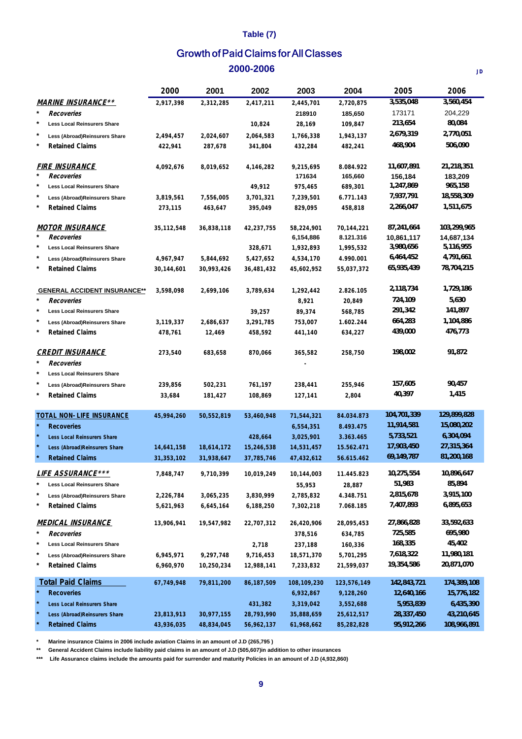### **Table (7)**

## **2000-2006** Growth of Paid Claims for All Classes

|                                         | 2000       | 2001       | 2002       | 2003        | 2004        | 2005        | 2006        |
|-----------------------------------------|------------|------------|------------|-------------|-------------|-------------|-------------|
| <b>MARINE INSURANCE**</b>               | 2,917,398  | 2,312,285  | 2,417,211  | 2,445,701   | 2,720,875   | 3,535,048   | 3,560,454   |
| $\star$<br>Recoveries                   |            |            |            | 218910      | 185,650     | 173171      | 204,229     |
| *<br><b>Less Local Reinsurers Share</b> |            |            | 10,824     | 28,169      | 109,847     | 213,654     | 80,084      |
| Less (Abroad)Reinsurers Share           | 2,494,457  | 2,024,607  | 2,064,583  | 1,766,338   | 1,943,137   | 2,679,319   | 2,770,051   |
| *<br><b>Retained Claims</b>             | 422,941    | 287,678    | 341,804    | 432,284     | 482,241     | 468,904     | 506,090     |
| <b>FIRE INSURANCE</b>                   | 4,092,676  | 8,019,652  | 4,146,282  | 9,215,695   | 8.084.922   | 11,607,891  | 21,218,351  |
| *<br>Recoveries                         |            |            |            | 171634      | 165,660     | 156,184     | 183,209     |
| *<br><b>Less Local Reinsurers Share</b> |            |            | 49,912     | 975,465     | 689,301     | 1,247,869   | 965,158     |
| $\ast$<br>Less (Abroad)Reinsurers Share | 3,819,561  | 7,556,005  | 3,701,321  | 7,239,501   | 6.771.143   | 7,937,791   | 18,558,309  |
| $\star$<br><b>Retained Claims</b>       | 273,115    | 463,647    | 395,049    | 829,095     | 458,818     | 2,266,047   | 1,511,675   |
| <i>MOTOR INSURANCE</i>                  | 35,112,548 | 36,838,118 | 42,237,755 | 58,224,901  | 70,144,221  | 87,241,664  | 103,299,965 |
| *<br>Recoveries                         |            |            |            | 6,154,886   | 8.121.316   | 10,861,117  | 14,687,134  |
| *<br><b>Less Local Reinsurers Share</b> |            |            | 328,671    | 1,932,893   | 1,995,532   | 3,980,656   | 5,116,955   |
| *<br>Less (Abroad)Reinsurers Share      | 4,967,947  | 5,844,692  | 5,427,652  | 4,534,170   | 4.990.001   | 6,464,452   | 4,791,661   |
| *<br><b>Retained Claims</b>             | 30,144,601 | 30,993,426 | 36,481,432 | 45,602,952  | 55,037,372  | 65,935,439  | 78,704,215  |
| <b>GENERAL ACCIDENT INSURANCE**</b>     | 3,598,098  | 2,699,106  | 3,789,634  | 1,292,442   | 2.826.105   | 2,118,734   | 1,729,186   |
| *<br>Recoveries                         |            |            |            | 8,921       | 20,849      | 724,109     | 5,630       |
| *<br><b>Less Local Reinsurers Share</b> |            |            | 39,257     | 89,374      | 568,785     | 291,342     | 141,897     |
| *<br>Less (Abroad)Reinsurers Share      | 3,119,337  | 2,686,637  | 3,291,785  | 753,007     | 1.602.244   | 664,283     | 1,104,886   |
| *<br><b>Retained Claims</b>             | 478,761    | 12,469     | 458,592    | 441,140     | 634,227     | 439,000     | 476,773     |
| <b>CREDIT INSURANCE</b>                 | 273,540    | 683,658    | 870,066    | 365,582     | 258,750     | 198,002     | 91,872      |
| *<br>Recoveries                         |            |            |            |             |             |             |             |
| *<br><b>Less Local Reinsurers Share</b> |            |            |            |             |             |             |             |
| *<br>Less (Abroad)Reinsurers Share      | 239,856    | 502,231    | 761,197    | 238,441     | 255,946     | 157,605     | 90,457      |
| *<br><b>Retained Claims</b>             | 33,684     | 181,427    | 108,869    | 127,141     | 2,804       | 40,397      | 1,415       |
| TOTAL NON-LIFE INSURANCE                | 45,994,260 | 50,552,819 | 53,460,948 | 71,544,321  | 84.034.873  | 104,701,339 | 129,899,828 |
| <b>Recoveries</b>                       |            |            |            | 6,554,351   | 8.493.475   | 11,914,581  | 15,080,202  |
| Less Local Reinsurers Share             |            |            | 428,664    | 3,025,901   | 3.363.465   | 5,733,521   | 6,304,094   |
| Less (Abroad) Reinsurers Share          | 14,641,158 | 18,614,172 | 15,246,538 | 14,531,457  | 15.562.471  | 17,903,450  | 27,315,364  |
| <b>Retained Claims</b>                  | 31,353,102 | 31,938,647 | 37,785,746 | 47,432,612  | 56.615.462  | 69,149,787  | 81,200,168  |
| <b>LIFE ASSURANCE***</b>                | 7,848,747  | 9,710,399  | 10,019,249 | 10,144,003  | 11.445.823  | 10,275,554  | 10,896,647  |
| *<br><b>Less Local Reinsurers Share</b> |            |            |            | 55,953      | 28,887      | 51,983      | 85,894      |
| *<br>Less (Abroad)Reinsurers Share      | 2,226,784  | 3,065,235  | 3,830,999  | 2,785,832   | 4.348.751   | 2,815,678   | 3,915,100   |
| *<br><b>Retained Claims</b>             | 5,621,963  | 6,645,164  | 6,188,250  | 7,302,218   | 7.068.185   | 7,407,893   | 6,895,653   |
| <b>MEDICAL INSURANCE</b>                | 13,906,941 | 19,547,982 | 22,707,312 | 26,420,906  | 28,095,453  | 27,866,828  | 33,592,633  |
| $\star$<br>Recoveries                   |            |            |            | 378,516     | 634,785     | 725,585     | 695,980     |
| *<br><b>Less Local Reinsurers Share</b> |            |            | 2,718      | 237,188     | 160,336     | 168,335     | 45,402      |
| *<br>Less (Abroad)Reinsurers Share      | 6,945,971  | 9,297,748  | 9,716,453  | 18,571,370  | 5,701,295   | 7,618,322   | 11,980,181  |
| $\star$<br><b>Retained Claims</b>       | 6,960,970  | 10,250,234 | 12,988,141 | 7,233,832   | 21,599,037  | 19,354,586  | 20,871,070  |
| <b>Total Paid Claims</b>                | 67,749,948 | 79,811,200 | 86,187,509 | 108,109,230 | 123,576,149 | 142,843,721 | 174,389,108 |
| $\ast$<br><b>Recoveries</b>             |            |            |            | 6,932,867   | 9,128,260   | 12,640,166  | 15,776,182  |
| Less Local Reinsurers Share             |            |            | 431,382    | 3,319,042   | 3,552,688   | 5,953,839   | 6,435,390   |
| Less (Abroad) Reinsurers Share          | 23,813,913 | 30,977,155 | 28,793,990 | 35,888,659  | 25,612,517  | 28,337,450  | 43,210,645  |
| <b>Retained Claims</b>                  | 43,936,035 | 48,834,045 | 56,962,137 | 61,968,662  | 85,282,828  | 95,912,266  | 108,966,891 |

**\* Marine insurance Claims in 2006 include aviation Claims in an amount of J.D (265,795 )**

**\*\* General Accident Claims include liability paid claims in an amount of J.D (505,607)in addition to other insurances**

**\*\*\* Life Assurance claims include the amounts paid for surrender and maturity Policies in an amount of J.D (4,932,860)**

**JD**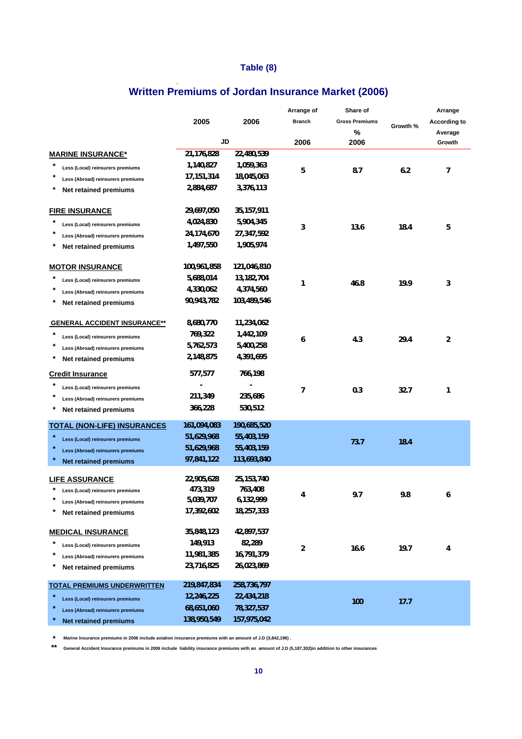## **Table (8)**

# **Written Premiums of Jordan Insurance Market (2006)**

|                                              |              |              | Arrange of    | Share of              |          | Arrange             |
|----------------------------------------------|--------------|--------------|---------------|-----------------------|----------|---------------------|
|                                              | 2005         | 2006         | <b>Branch</b> | <b>Gross Premiums</b> | Growth % | <b>According to</b> |
|                                              | <b>JD</b>    |              | 2006          | %<br>2006             |          | Average<br>Growth   |
| <b>MARINE INSURANCE*</b>                     | 21,176,828   | 22,480,539   |               |                       |          |                     |
| Less (Local) reinsurers premiums             | 1,140,827    | 1,059,363    |               |                       |          |                     |
| Less (Abroad) reinsurers premiums            | 17, 151, 314 | 18,045,063   | 5             | 8.7                   | 6.2      | 7                   |
| Net retained premiums                        | 2,884,687    | 3,376,113    |               |                       |          |                     |
| <b>FIRE INSURANCE</b>                        | 29,697,050   | 35, 157, 911 |               |                       |          |                     |
| Less (Local) reinsurers premiums             | 4,024,830    | 5,904,345    | 3             | 13.6                  | 18.4     | 5                   |
| Less (Abroad) reinsurers premiums            | 24,174,670   | 27,347,592   |               |                       |          |                     |
| Net retained premiums                        | 1,497,550    | 1,905,974    |               |                       |          |                     |
| <b>MOTOR INSURANCE</b>                       | 100,961,858  | 121,046,810  |               |                       |          |                     |
| Less (Local) reinsurers premiums             | 5,688,014    | 13,182,704   | 1             | 46.8                  | 19.9     | 3                   |
| Less (Abroad) reinsurers premiums            | 4,330,062    | 4,374,560    |               |                       |          |                     |
| Net retained premiums                        | 90,943,782   | 103,489,546  |               |                       |          |                     |
| <b>GENERAL ACCIDENT INSURANCE**</b>          | 8,680,770    | 11,234,062   |               |                       |          |                     |
| Less (Local) reinsurers premiums             | 769,322      | 1,442,109    | 6             | 4.3                   | 29.4     | $\overline{2}$      |
| Less (Abroad) reinsurers premiums            | 5,762,573    | 5,400,258    |               |                       |          |                     |
| Net retained premiums                        | 2,148,875    | 4,391,695    |               |                       |          |                     |
| <b>Credit Insurance</b>                      | 577,577      | 766,198      |               |                       |          |                     |
| Less (Local) reinsurers premiums             |              |              | 7             | 0.3                   | 32.7     | 1                   |
| Less (Abroad) reinsurers premiums            | 211,349      | 235,686      |               |                       |          |                     |
| Net retained premiums                        | 366,228      | 530,512      |               |                       |          |                     |
| <b>TOTAL (NON-LIFE) INSURANCES</b>           | 161,094,083  | 190,685,520  |               |                       |          |                     |
| Less (Local) reinsurers premiums             | 51,629,968   | 55,403,159   |               | 73.7                  | 18.4     |                     |
| $\star$<br>Less (Abroad) reinsurers premiums | 51,629,968   | 55,403,159   |               |                       |          |                     |
| <b>Net retained premiums</b>                 | 97,841,122   | 113,693,840  |               |                       |          |                     |
| <b>LIFE ASSURANCE</b>                        | 22,905,628   | 25, 153, 740 |               |                       |          |                     |
| Less (Local) reinsurers premiums             | 473,319      | 763,408      |               |                       |          |                     |
| Less (Abroad) reinsurers premiums            | 5,039,707    | 6,132,999    | 4             | 9.7                   | 9.8      | 6                   |
| *<br>Net retained premiums                   | 17,392,602   | 18,257,333   |               |                       |          |                     |
| <b>MEDICAL INSURANCE</b>                     | 35,848,123   | 42,897,537   |               |                       |          |                     |
| Less (Local) reinsurers premiums             | 149,913      | 82,289       | 2             | 16.6                  | 19.7     | 4                   |
| Less (Abroad) reinsurers premiums            | 11,981,385   | 16,791,379   |               |                       |          |                     |
| Net retained premiums                        | 23,716,825   | 26,023,869   |               |                       |          |                     |
| <b>TOTAL PREMIUMS UNDERWRITTEN</b>           | 219,847,834  | 258,736,797  |               |                       |          |                     |
| Less (Local) reinsurers premiums             | 12,246,225   | 22,434,218   |               | 100                   | 17.7     |                     |
| Less (Abroad) reinsurers premiums            | 68,651,060   | 78,327,537   |               |                       |          |                     |
| <b>Net retained premiums</b>                 | 138,950,549  | 157,975,042  |               |                       |          |                     |

**\* Marine Insurance premiums in 2006 include aviation insurance premiums with an amount of J.D (3,842,196) .**

**\*\* General Accident Insurance premiums in 2006 include liability insurance premiums with an amount of J.D (5,187,302)in addition to other insurances**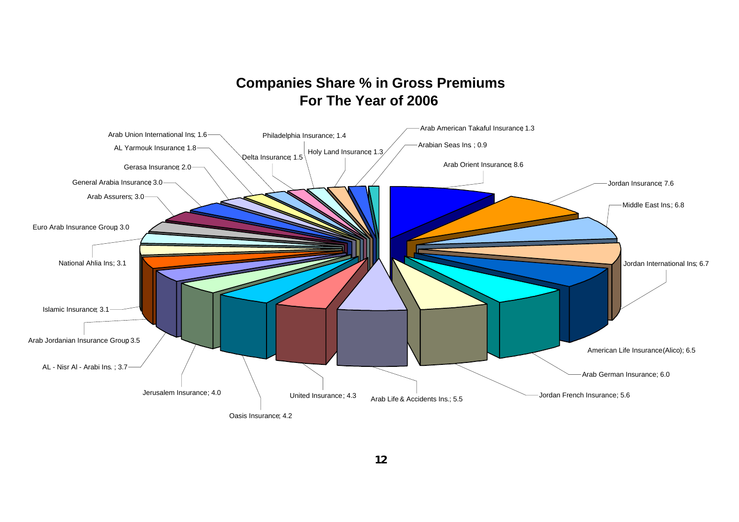## **Companies Share % in Gross Premiums For The Year of 2006**

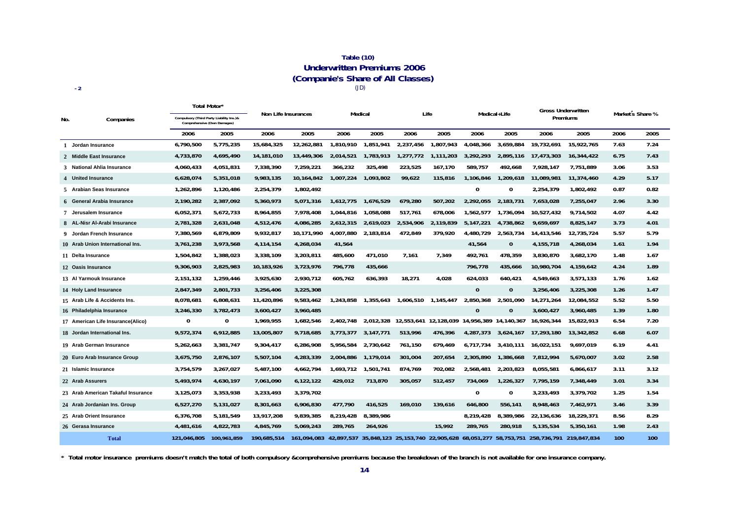#### **Table (10) Underwritten Premiums 2006 (Companie's Share of All Classes) -2** (JD)

|              |                                    | Total Motor'                                                            |             |             | Non Life Insurances |                     |           |           | Life                                        |              | Medical+Life |                                                                                           | <b>Gross Underwritten</b> |      | Market s Share % |  |
|--------------|------------------------------------|-------------------------------------------------------------------------|-------------|-------------|---------------------|---------------------|-----------|-----------|---------------------------------------------|--------------|--------------|-------------------------------------------------------------------------------------------|---------------------------|------|------------------|--|
| No.          | Companies                          | Compulsory (Third Party Liability Ins.)&<br>Comprehensive (Own Damages) |             |             |                     | Medical             |           |           |                                             |              |              |                                                                                           | Premiums                  |      |                  |  |
|              |                                    | 2006                                                                    | 2005        | 2006        | 2005                | 2006                | 2005      | 2006      | 2005                                        | 2006         | 2005         | 2006                                                                                      | 2005                      | 2006 | 2005             |  |
| $\mathbf{1}$ | Jordan Insurance                   | 6,790,500                                                               | 5,775,235   | 15,684,325  | 12.262.881          | 1.810.910           | 1,851,941 | 2,237,456 | 1.807.943                                   | 4.048.366    | 3.659.884    | 19.732.691                                                                                | 15.922.765                | 7.63 | 7.24             |  |
|              | 2 Middle East Insurance            | 4,733,870                                                               | 4,695,490   | 14,181,010  | 13,449,306          | 2,014,521           | 1,783,913 | 1,277,772 | 1,111,203                                   | 3.292.293    | 2,895,116    | 17,473,303                                                                                | 16,344,422                | 6.75 | 7.43             |  |
|              | 3 National Ahlia Insurance         | 4,060,433                                                               | 4,051,831   | 7,338,390   | 7,259,221           | 366,232             | 325,498   | 223,525   | 167,170                                     | 589,757      | 492,668      | 7,928,147                                                                                 | 7,751,889                 | 3.06 | 3.53             |  |
|              | 4 United Insurance                 | 6,628,074                                                               | 5,351,018   | 9,983,135   | 10,164,842          | 1,007,224           | 1,093,802 | 99,622    | 115,816                                     | 1.106.846    | 1,209,618    | 11,089,981                                                                                | 11,374,460                | 4.29 | 5.17             |  |
|              | 5 Arabian Seas Insurance           | 1,262,896                                                               | 1,120,486   | 2,254,379   | 1,802,492           |                     |           |           |                                             | $\mathbf 0$  | 0            | 2,254,379                                                                                 | 1,802,492                 | 0.87 | 0.82             |  |
|              | 6 General Arabia Insurance         | 2,190,282                                                               | 2,387,092   | 5,360,973   | 5,071,316           | 1,612,775           | 1,676,529 | 679,280   | 507,202                                     | 2,292,055    | 2,183,731    | 7,653,028                                                                                 | 7,255,047                 | 2.96 | 3.30             |  |
|              | 7 Jerusalem Insurance              | 6,052,371                                                               | 5,672,733   | 8,964,855   | 7,978,408           | 1,044,816           | 1,058,088 | 517,761   | 678,006                                     | 1,562,577    | 1,736,094    | 10,527,432                                                                                | 9,714,502                 | 4.07 | 4.42             |  |
|              | 8 AL-Nisr Al-Arabi Insurance       | 2,781,328                                                               | 2,631,048   | 4,512,476   | 4,086,285           | 2,612,315           | 2,619,023 | 2,534,906 | 2,119,839                                   | 5, 147, 221  | 4,738,862    | 9,659,697                                                                                 | 8,825,147                 | 3.73 | 4.01             |  |
|              | 9 Jordan French Insurance          | 7,380,569                                                               | 6,879,809   | 9,932,817   | 10,171,990          | 4,007,880           | 2,183,814 | 472,849   | 379.920                                     | 4.480.729    | 2,563,734    | 14,413,546                                                                                | 12,735,724                | 5.57 | 5.79             |  |
|              | 10 Arab Union International Ins.   | 3,761,238                                                               | 3,973,568   | 4,114,154   | 4,268,034           | 41,564              |           |           |                                             | 41,564       | 0            | 4,155,718                                                                                 | 4,268,034                 | 1.61 | 1.94             |  |
|              | 11 Delta Insurance                 | 1,504,842                                                               | 1,388,023   | 3,338,109   | 3,203,811           | 485,600             | 471,010   | 7,161     | 7,349                                       | 492,761      | 478,359      | 3,830,870                                                                                 | 3,682,170                 | 1.48 | 1.67             |  |
|              | 12 Oasis Insurance                 | 9,306,903                                                               | 2,825,983   | 10,183,926  | 3,723,976           | 796,778             | 435,666   |           |                                             | 796,778      | 435,666      | 10,980,704                                                                                | 4,159,642                 | 4.24 | 1.89             |  |
|              | 13 Al Yarmouk Insurance            | 2,151,132                                                               | 1,259,446   | 3,925,630   | 2,930,712           | 605,762             | 636,393   | 18,271    | 4,028                                       | 624,033      | 640,421      | 4,549,663                                                                                 | 3,571,133                 | 1.76 | 1.62             |  |
|              | 14 Holy Land Insurance             | 2,847,349                                                               | 2,801,733   | 3,256,406   | 3,225,308           |                     |           |           |                                             | $\mathbf{0}$ | $\mathbf{0}$ | 3,256,406                                                                                 | 3,225,308                 | 1.26 | 1.47             |  |
|              | 15 Arab Life & Accidents Ins.      | 8,078,681                                                               | 6,808,631   | 11,420,896  | 9,583,462           | 1,243,858           | 1,355,643 | 1,606,510 | 1,145,447                                   | 2,850,368    | 2,501,090    | 14,271,264                                                                                | 12,084,552                | 5.52 | 5.50             |  |
|              | 16 Philadelphia Insurance          | 3,246,330                                                               | 3,782,473   | 3,600,427   | 3,960,485           |                     |           |           |                                             | $\mathbf{0}$ | $\mathbf{0}$ | 3,600,427                                                                                 | 3,960,485                 | 1.39 | 1.80             |  |
|              | 17 American Life Insurance(Alico)  | 0                                                                       | 0           | 1,969,955   | 1,682,546           | 2,402,748           | 2,012,328 |           | 12,553,641 12,128,039 14,956,389 14,140,367 |              |              | 16,926,344                                                                                | 15,822,913                | 6.54 | 7.20             |  |
|              | 18 Jordan International Ins.       | 9,572,374                                                               | 6,912,885   | 13,005,807  | 9,718,685           | 3,773,377           | 3,147,771 | 513,996   | 476,396                                     | 4,287,373    | 3,624,167    | 17,293,180                                                                                | 13,342,852                | 6.68 | 6.07             |  |
|              | 19 Arab German Insurance           | 5,262,663                                                               | 3,381,747   | 9,304,417   | 6,286,908           | 5.956.584           | 2,730,642 | 761,150   | 679.469                                     | 6.717.734    | 3,410,111    | 16,022,151                                                                                | 9.697.019                 | 6.19 | 4.41             |  |
|              | 20 Euro Arab Insurance Group       | 3,675,750                                                               | 2,876,107   | 5,507,104   | 4,283,339           | 2,004,886           | 1,179,014 | 301,004   | 207,654                                     | 2,305,890    | 1,386,668    | 7,812,994                                                                                 | 5,670,007                 | 3.02 | 2.58             |  |
|              | 21 Islamic Insurance               | 3,754,579                                                               | 3,267,027   | 5,487,100   | 4,662,794           | 1,693,712 1,501,741 |           | 874,769   | 702,082                                     | 2,568,481    | 2,203,823    | 8,055,581                                                                                 | 6,866,617                 | 3.11 | 3.12             |  |
|              | 22 Arab Assurers                   | 5,493,974                                                               | 4,630,197   | 7,061,090   | 6,122,122           | 429,012             | 713,870   | 305,057   | 512,457                                     | 734,069      | 1,226,327    | 7,795,159                                                                                 | 7,348,449                 | 3.01 | 3.34             |  |
|              | 23 Arab American Takaful Insurance | 3,125,073                                                               | 3,353,938   | 3,233,493   | 3,379,702           |                     |           |           |                                             | $\mathbf 0$  | 0            | 3,233,493                                                                                 | 3,379,702                 | 1.25 | 1.54             |  |
|              | 24 Arab Jordanian Ins. Group       | 6,527,270                                                               | 5,131,027   | 8,301,663   | 6,906,830           | 477,790             | 416,525   | 169,010   | 139.616                                     | 646,800      | 556,141      | 8,948,463                                                                                 | 7,462,971                 | 3.46 | 3.39             |  |
|              | 25 Arab Orient Insurance           | 6,376,708                                                               | 5,181,549   | 13,917,208  | 9,839,385           | 8,219,428           | 8,389,986 |           |                                             | 8,219,428    | 8,389,986    | 22,136,636                                                                                | 18,229,371                | 8.56 | 8.29             |  |
|              | 26 Gerasa Insurance                | 4,481,616                                                               | 4,822,783   | 4,845,769   | 5,069,243           | 289,765             | 264,926   |           | 15.992                                      | 289,765      | 280,918      | 5,135,534                                                                                 | 5,350,161                 | 1.98 | 2.43             |  |
|              | <b>Total</b>                       | 121.046.805                                                             | 100.961.859 | 190.685.514 | 161.094.083         |                     |           |           |                                             |              |              | 42,897,537 35,848,123 25,153,740 22,905,628 68,051,277 58,753,751 258,736,791 219,847,834 |                           | 100  | 100              |  |

**\* Total motor insurance premiums doesn't match the total of both compulsory &comprehensive premiums because the breakdown of the branch is not available for one insurance company.**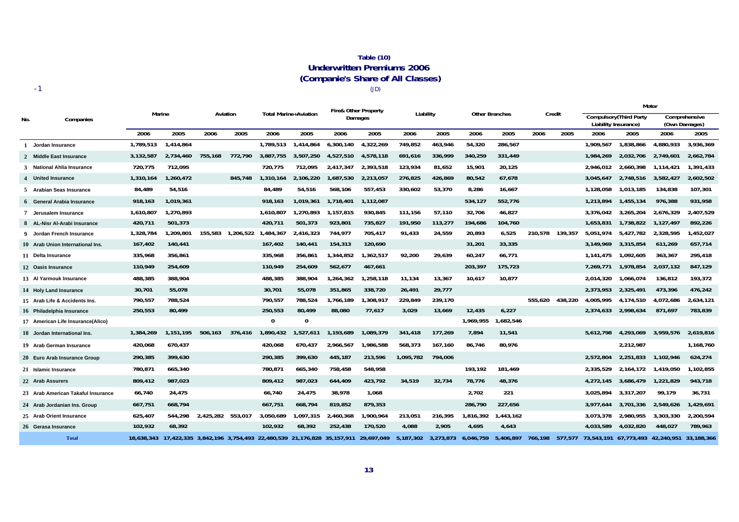#### **Table (10) Underwritten Premiums 2006 (Companie's Share of All Classes)** (JD)

-1

|     |                                    | Marine    |           |           |           |             |                                                                            | Fire& Other Property |            |           |           |                       |           |                 |         | Motor     |                                                 |           |                                |
|-----|------------------------------------|-----------|-----------|-----------|-----------|-------------|----------------------------------------------------------------------------|----------------------|------------|-----------|-----------|-----------------------|-----------|-----------------|---------|-----------|-------------------------------------------------|-----------|--------------------------------|
| No. | Companies                          |           |           |           | Aviation  |             | <b>Total Marine+Aviation</b>                                               |                      | Damages    | Liability |           | <b>Other Branches</b> |           | Credit          |         |           | Compulsory (Third Party<br>Liability Insurance) |           | Comprehensive<br>(Own Damages) |
|     |                                    | 2006      | 2005      | 2006      | 2005      | 2006        | 2005                                                                       | 2006                 | 2005       | 2006      | 2005      | 2006                  | 2005      | 2006            | 2005    | 2006      | 2005                                            | 2006      | 2005                           |
|     | Jordan Insurance                   | 1,789,513 | 1,414,864 |           |           | 1,789,513   | 1,414,864                                                                  | 6,300,140            | 4,322,269  | 749,852   | 463,946   | 54,320                | 286,567   |                 |         | 1,909,567 | 1,838,866                                       | 4,880,933 | 3,936,369                      |
|     | 2 Middle East Insurance            | 3,132,587 | 2,734,460 | 755,168   | 772.790   | 3,887,755   | 3,507,250                                                                  | 4,527,510            | 4,578,118  | 691,616   | 336,999   | 340,259               | 331,449   |                 |         | 1,984,269 | 2,032,706                                       | 2,749,601 | 2,662,784                      |
|     | 3 National Ahlia Insurance         | 720,775   | 712,095   |           |           | 720.775     | 712.095                                                                    | 2,417,347            | 2,393,518  | 123,934   | 81,652    | 15,901                | 20,125    |                 |         | 2,946,012 | 2,660,398                                       | 1,114,421 | 1,391,433                      |
|     | 4 United Insurance                 | 1,310,164 | 1,260,472 |           | 845,748   | 1,310,164   | 2,106,220                                                                  | 1,687,530            | 2,213,057  | 276,825   | 426,869   | 80,542                | 67,678    |                 |         | 3,045,647 | 2,748,516                                       | 3,582,427 | 2,602,502                      |
|     | 5 Arabian Seas Insurance           | 84,489    | 54,516    |           |           | 84,489      | 54,516                                                                     | 568,106              | 557,453    | 330,602   | 53,370    | 8,286                 | 16,667    |                 |         | 1,128,058 | 1,013,185                                       | 134,838   | 107,301                        |
|     | 6 General Arabia Insurance         | 918,163   | 1,019,361 |           |           | 918,163     | 1,019,361                                                                  | 1,718,401            | 1,112,087  |           |           | 534,127               | 552,776   |                 |         | 1,213,894 | 1,455,134                                       | 976,388   | 931,958                        |
|     | Jerusalem Insurance                | 1,610,807 | 1,270,893 |           |           | 1,610,807   | 1,270,893                                                                  | 1,157,815            | 930,845    | 111,156   | 57,110    | 32,706                | 46,827    |                 |         | 3,376,042 | 3,265,204                                       | 2,676,329 | 2,407,529                      |
|     | 8 AL-Nisr Al-Arabi Insurance       | 420,711   | 501,373   |           |           | 420,711     | 501,373                                                                    | 923,801              | 735,827    | 191,950   | 113,277   | 194,686               | 104,760   |                 |         | 1,653,831 | 1,738,822                                       | 1,127,497 | 892,226                        |
|     | Jordan French Insurance            | 1,328,784 | 1,209,801 | 155,583   | 1,206,522 | 1,484,367   | 2,416,323                                                                  | 744,977              | 705,417    | 91,433    | 24,559    | 20,893                | 6,525     | 210,578         | 139,357 | 5,051,974 | 5,427,782                                       | 2,328,595 | 1,452,027                      |
|     | 10 Arab Union International Ins.   | 167,402   | 140,441   |           |           | 167,402     | 140,441                                                                    | 154,313              | 120,690    |           |           | 31,201                | 33,335    |                 |         | 3,149,969 | 3,315,854                                       | 611,269   | 657,714                        |
|     | 11 Delta Insurance                 | 335,968   | 356,861   |           |           | 335,968     | 356,861                                                                    | 1,344,852            | 1,362,517  | 92,200    | 29.639    | 60,247                | 66,771    |                 |         | 1.141.475 | 1,092,605                                       | 363,367   | 295,418                        |
|     | 12 Oasis Insurance                 | 110,949   | 254,609   |           |           | 110,949     | 254,609                                                                    | 562,677              | 467,661    |           |           | 203,397               | 175,723   |                 |         | 7,269,771 | 1,978,854                                       | 2,037,132 | 847,129                        |
|     | 13 Al Yarmouk Insurance            | 488,385   | 388,904   |           |           | 488,385     | 388,904                                                                    | 1,264,362            | 1,258,118  | 11,134    | 13,367    | 10,617                | 10,877    |                 |         | 2,014,320 | 1,066,074                                       | 136,812   | 193,372                        |
|     | 14 Holy Land Insurance             | 30,701    | 55,078    |           |           | 30,701      | 55,078                                                                     | 351,865              | 338,720    | 26,491    | 29,777    |                       |           |                 |         | 2,373,953 | 2,325,491                                       | 473,396   | 476,242                        |
|     | 15 Arab Life & Accidents Ins.      | 790,557   | 788,524   |           |           | 790,557     | 788,524                                                                    | 1,766,189            | 1,308,917  | 229,849   | 239,170   |                       |           | 555,620         | 438,220 | 4,005,995 | 4,174,510                                       | 4,072,686 | 2,634,121                      |
|     | 16 Philadelphia Insurance          | 250,553   | 80,499    |           |           | 250,553     | 80,499                                                                     | 88,080               | 77,617     | 3,029     | 13,669    | 12,435                | 6,227     |                 |         | 2.374.633 | 2,998,634                                       | 871.697   | 783,839                        |
|     | 17 American Life Insurance(Alico)  |           |           |           |           | $\mathbf 0$ | $\mathbf 0$                                                                |                      |            |           |           | 1,969,955             | ,682,546  |                 |         |           |                                                 |           |                                |
|     | 18 Jordan International Ins.       | 1,384,269 | 1.151.195 | 506.163   | 376,416   | 1,890,432   | 1,527,611                                                                  | 1,193,689            | 1,089,379  | 341,418   | 177,269   | 7,894                 | 11,541    |                 |         | 5.612.798 | 4,293,069                                       | 3,959,576 | 2,619,816                      |
|     | 19 Arab German Insurance           | 420,068   | 670,437   |           |           | 420,068     | 670,437                                                                    | 2,966,567            | 1,986,588  | 568,373   | 167.160   | 86.746                | 80,976    |                 |         |           | 2,212,987                                       |           | 1,168,760                      |
|     | 20 Euro Arab Insurance Group       | 290,385   | 399,630   |           |           | 290,385     | 399,630                                                                    | 445,187              | 213,596    | 1,095,782 | 794,006   |                       |           |                 |         | 2,572,804 | 2,251,833                                       | 1,102,946 | 624,274                        |
|     | 21 Islamic Insurance               | 780,871   | 665,340   |           |           | 780,871     | 665,340                                                                    | 758,458              | 548,958    |           |           | 193,192               | 181,469   |                 |         | 2,335,529 | 2,164,172                                       | 1,419,050 | 1,102,855                      |
|     | 22 Arab Assurers                   | 809,412   | 987,023   |           |           | 809,412     | 987,023                                                                    | 644,409              | 423,792    | 34,519    | 32,734    | 78,776                | 48,376    |                 |         | 4,272,145 | 3,686,479                                       | 1,221,829 | 943,718                        |
|     | 23 Arab American Takaful Insurance | 66,740    | 24,475    |           |           | 66,740      | 24,475                                                                     | 38,978               | 1,068      |           |           | 2,702                 | 221       |                 |         | 3,025,894 | 3,317,207                                       | 99,179    | 36,731                         |
|     | 24 Arab Jordanian Ins. Group       | 667,751   | 668.794   |           |           | 667.751     | 668,794                                                                    | 819.852              | 879.353    |           |           | 286,790               | 227,656   |                 |         | 3.977.644 | 3,701,336                                       | 2,549,626 | 1.429.691                      |
|     | 25 Arab Orient Insurance           | 625,407   | 544.298   | 2.425.282 | 553,017   | 3.050.689   | 1.097.315                                                                  | 2.460.368            | 1.900.964  | 213,051   | 216,395   | 1,816,392             | 1,443,162 |                 |         | 3,073,378 | 2.980.955                                       | 3,303,330 | 2,200,594                      |
|     | 26 Gerasa Insurance                | 102,932   | 68,392    |           |           | 102,932     | 68,392                                                                     | 252,438              | 170,520    | 4,088     | 2,905     | 4,695                 | 4,643     |                 |         | 4,033,589 | 4,032,820                                       | 448,027   | 789,963                        |
|     | <b>Total</b>                       |           |           |           |           |             | 18,638,343 17,422,335 3,842,196 3,754,493 22,480,539 21,176,828 35,157,911 |                      | 29,697,049 | 5,187,302 | 3,273,873 | 6,046,759             | 5,406,897 | 766,198 577,577 |         |           | 73,543,191 67,773,493 42,240,951 33,188,366     |           |                                |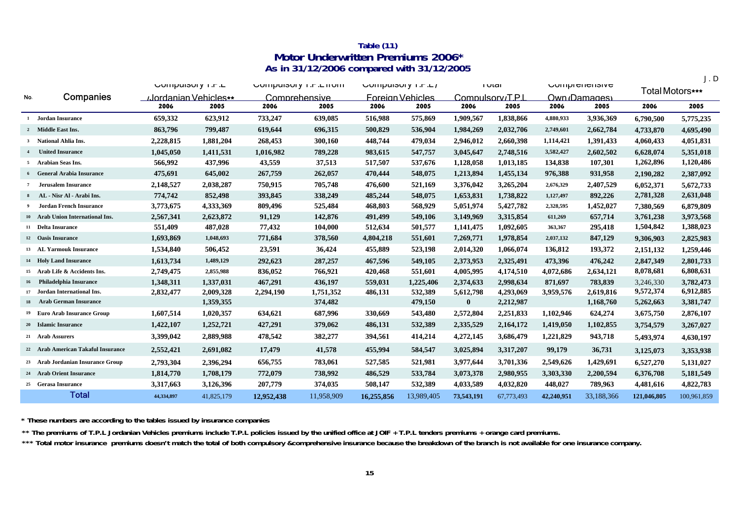### **Table (11) Motor Underwritten Premiums 2006\* As in 31/12/2006 compared with 31/12/2005**

J.D

|                |                                    | UUIIIµUIJUI Y I .F .L |            |            | <b>UUIIIµUISUI Y I .F .L IIUIII</b> | UUIIIµUIJUI y I.F.L/ |                         |                | <b>I</b> Utal | <b>COUPLER ISSIVE</b> |             | Total Motors*** |             |
|----------------|------------------------------------|-----------------------|------------|------------|-------------------------------------|----------------------|-------------------------|----------------|---------------|-----------------------|-------------|-----------------|-------------|
| No.            | Companies                          | …lordanian Vehicles∗  |            |            | Comprehensive                       |                      | <b>Foreign Vehicles</b> | Compulsory/TPI |               |                       | Own Damages |                 |             |
|                |                                    | 2006                  | 2005       | 2006       | 2005                                | 2006                 | 2005                    | 2006           | 2005          | 2006                  | 2005        | 2006            | 2005        |
|                | 1 Jordan Insurance                 | 659,332               | 623,912    | 733,247    | 639,085                             | 516,988              | 575,869                 | 1,909,567      | 1,838,866     | 4,880,933             | 3,936,369   | 6,790,500       | 5,775,235   |
|                | 2 Middle East Ins.                 | 863,796               | 799,487    | 619,644    | 696,315                             | 500,829              | 536,904                 | 1,984,269      | 2,032,706     | 2,749,601             | 2,662,784   | 4,733,870       | 4,695,490   |
|                | <sup>3</sup> National Ahlia Ins.   | 2,228,815             | 1,881,204  | 268,453    | 300,160                             | 448,744              | 479,034                 | 2,946,012      | 2,660,398     | 1,114,421             | 1,391,433   | 4,060,433       | 4,051,831   |
| $\overline{4}$ | <b>United Insurance</b>            | 1,045,050             | 1,411,531  | 1,016,982  | 789,228                             | 983,615              | 547,757                 | 3,045,647      | 2,748,516     | 3,582,427             | 2,602,502   | 6,628,074       | 5,351,018   |
|                | 5 Arabian Seas Ins.                | 566,992               | 437,996    | 43,559     | 37,513                              | 517,507              | 537,676                 | 1,128,058      | 1,013,185     | 134,838               | 107,301     | 1,262,896       | 1,120,486   |
|                | <b>6</b> General Arabia Insurance  | 475,691               | 645,002    | 267,759    | 262,057                             | 470,444              | 548,075                 | 1,213,894      | 1,455,134     | 976,388               | 931,958     | 2,190,282       | 2,387,092   |
|                | 7 Jerusalem Insurance              | 2,148,527             | 2,038,287  | 750,915    | 705,748                             | 476,600              | 521,169                 | 3,376,042      | 3,265,204     | 2,676,329             | 2,407,529   | 6,052,371       | 5,672,733   |
|                | AL - Nisr Al - Arabi Ins.          | 774,742               | 852,498    | 393,845    | 338,249                             | 485,244              | 548,075                 | 1,653,831      | 1,738,822     | 1,127,497             | 892,226     | 2,781,328       | 2,631,048   |
| - 9            | Jordan French Insurance            | 3,773,675             | 4,333,369  | 809,496    | 525,484                             | 468,803              | 568,929                 | 5,051,974      | 5,427,782     | 2,328,595             | 1,452,027   | 7,380,569       | 6,879,809   |
|                | 10 Arab Union International Ins.   | 2,567,341             | 2,623,872  | 91,129     | 142,876                             | 491,499              | 549,106                 | 3,149,969      | 3,315,854     | 611,269               | 657,714     | 3,761,238       | 3,973,568   |
|                | 11 Delta Insurance                 | 551,409               | 487,028    | 77,432     | 104,000                             | 512,634              | 501,577                 | 1,141,475      | 1,092,605     | 363,367               | 295,418     | 1,504,842       | 1,388,023   |
|                | 12 Oasis Insurance                 | 1,693,869             | 1,048,693  | 771,684    | 378,560                             | 4,804,218            | 551,601                 | 7,269,771      | 1,978,854     | 2,037,132             | 847,129     | 9,306,903       | 2,825,983   |
|                | 13 AL Yarmouk Insurance            | 1,534,840             | 506,452    | 23,591     | 36,424                              | 455,889              | 523,198                 | 2,014,320      | 1,066,074     | 136,812               | 193,372     | 2,151,132       | 1,259,446   |
|                | 14 Holy Land Insurance             | 1,613,734             | 1,489,129  | 292,623    | 287,257                             | 467,596              | 549,105                 | 2,373,953      | 2,325,491     | 473,396               | 476,242     | 2,847,349       | 2,801,733   |
|                | 15 Arab Life & Accidents Ins.      | 2,749,475             | 2,855,988  | 836,052    | 766,921                             | 420,468              | 551,601                 | 4,005,995      | 4,174,510     | 4,072,686             | 2,634,121   | 8,078,681       | 6,808,631   |
| 16             | Philadelphia Insurance             | 1,348,311             | 1,337,031  | 467,291    | 436,197                             | 559,031              | 1,225,406               | 2,374,633      | 2,998,634     | 871,697               | 783,839     | 3,246,330       | 3,782,473   |
|                | 17 Jordan International Ins.       | 2,832,477             | 2,009,328  | 2,294,190  | 1,751,352                           | 486,131              | 532,389                 | 5,612,798      | 4,293,069     | 3,959,576             | 2,619,816   | 9,572,374       | 6,912,885   |
| 18             | <b>Arab German Insurance</b>       |                       | 1,359,355  |            | 374,482                             |                      | 479,150                 | $\bf{0}$       | 2,212,987     |                       | 1,168,760   | 5,262,663       | 3,381,747   |
|                | 19 Euro Arab Insurance Group       | 1,607,514             | 1,020,357  | 634,621    | 687,996                             | 330,669              | 543,480                 | 2,572,804      | 2,251,833     | 1,102,946             | 624,274     | 3,675,750       | 2,876,107   |
|                | 20 Islamic Insurance               | 1,422,107             | 1,252,721  | 427,291    | 379,062                             | 486,131              | 532,389                 | 2,335,529      | 2,164,172     | 1,419,050             | 1,102,855   | 3,754,579       | 3,267,027   |
|                | 21 Arab Assurers                   | 3,399,042             | 2,889,988  | 478,542    | 382,277                             | 394,561              | 414,214                 | 4,272,145      | 3,686,479     | 1,221,829             | 943,718     | 5,493,974       | 4,630,197   |
|                | 22 Arab American Takaful Insurance | 2,552,421             | 2,691,082  | 17,479     | 41,578                              | 455,994              | 584,547                 | 3,025,894      | 3,317,207     | 99,179                | 36,731      | 3,125,073       | 3,353,938   |
|                | 23 Arab Jordanian Insurance Group  | 2,793,304             | 2,396,294  | 656,755    | 783,061                             | 527,585              | 521,981                 | 3,977,644      | 3,701,336     | 2,549,626             | 1,429,691   | 6,527,270       | 5,131,027   |
|                | 24 Arab Orient Insurance           | 1,814,770             | 1,708,179  | 772,079    | 738,992                             | 486,529              | 533,784                 | 3,073,378      | 2,980,955     | 3,303,330             | 2,200,594   | 6,376,708       | 5,181,549   |
|                | 25 Gerasa Insurance                | 3,317,663             | 3,126,396  | 207,779    | 374,035                             | 508,147              | 532,389                 | 4,033,589      | 4,032,820     | 448,027               | 789,963     | 4,481,616       | 4,822,783   |
|                | <b>Total</b>                       | 44,334,897            | 41,825,179 | 12,952,438 | 11,958,909                          | 16,255,856           | 13.989.405              | 73,543,191     | 67,773,493    | 42,240,951            | 33,188,366  | 121,046,805     | 100,961,859 |

**\* These numbers are according to the tables issued by insurance companies**

**\*\* The premiums of T.P.L Jordanian Vehicles premiums include T.P.L policies issued by the unified office at JOIF + T.P.L tenders premiums + orange card premiums.**

\*\*\* Total motor insurance premiums doesn't match the total of both compulsory &comprehensive insurance because the breakdown of the branch is not available for one insurance company.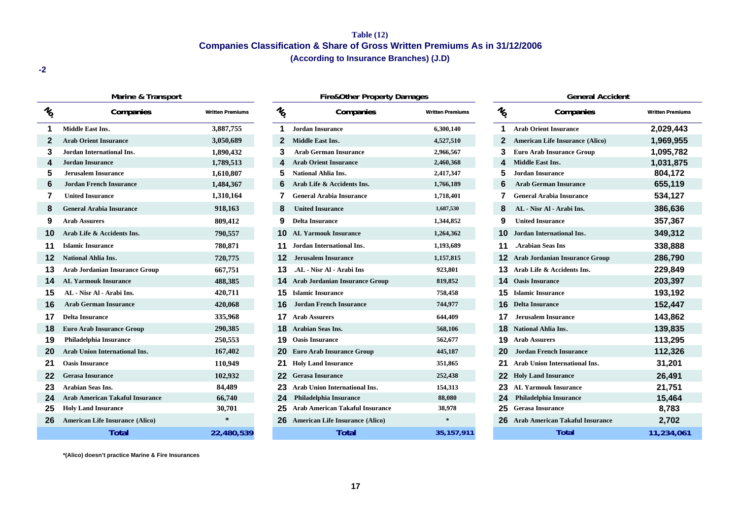### **Table (12) Companies Classification & Share of Gross Written Premiums As in 31/12/2006 (According to Insurance Branches) (J.D)**

**-2**

|                                  | Marine & Transport                     |                         |                 | <b>Fire&amp;Other Property Damages</b>    |                         |                 | <b>General Accident</b>                  |                        |
|----------------------------------|----------------------------------------|-------------------------|-----------------|-------------------------------------------|-------------------------|-----------------|------------------------------------------|------------------------|
| $\frac{\eta}{\dot{\mathcal{C}}}$ | Companies                              | <b>Written Premiums</b> | $\mathcal{U}_0$ | Companies                                 | <b>Written Premiums</b> | $\mathcal{U}_0$ | Companies                                | <b>Written Premium</b> |
|                                  | <b>Middle East Ins.</b>                | 3,887,755               |                 | <b>Jordan Insurance</b>                   | 6,300,140               |                 | <b>Arab Orient Insurance</b>             | 2,029,443              |
| 2                                | <b>Arab Orient Insurance</b>           | 3,050,689               |                 | <b>Middle East Ins.</b>                   | 4,527,510               | 2               | <b>American Life Insurance (Alico)</b>   | 1,969,955              |
| 3                                | Jordan International Ins.              | 1,890,432               |                 | <b>Arab German Insurance</b>              | 2,966,567               | 3               | <b>Euro Arab Insurance Group</b>         | 1,095,782              |
|                                  | <b>Jordan Insurance</b>                | 1,789,513               |                 | <b>Arab Orient Insurance</b>              | 2,460,368               |                 | Middle East Ins.                         | 1,031,875              |
| 5                                | <b>Jerusalem Insurance</b>             | 1,610,807               | 5               | <b>National Ahlia Ins.</b>                | 2,417,347               | 5               | <b>Jordan Insurance</b>                  | 804,172                |
| 6                                | <b>Jordan French Insurance</b>         | 1,484,367               | 6               | Arab Life & Accidents Ins.                | 1,766,189               | 6               | <b>Arab German Insurance</b>             | 655,119                |
|                                  | <b>United Insurance</b>                | 1,310,164               |                 | <b>General Arabia Insurance</b>           | 1,718,401               |                 | <b>General Arabia Insurance</b>          | 534,127                |
| 8                                | <b>General Arabia Insurance</b>        | 918,163                 |                 | <b>United Insurance</b>                   | 1,687,530               |                 | AL - Nisr Al - Arabi Ins.                | 386,636                |
| 9                                | <b>Arab Assurers</b>                   | 809,412                 | 9               | <b>Delta Insurance</b>                    | 1,344,852               | 9               | <b>United Insurance</b>                  | 357,367                |
| 10                               | Arab Life & Accidents Ins.             | 790,557                 |                 | <b>10</b> AL Yarmouk Insurance            | 1,264,362               |                 | Jordan International Ins.                | 349,312                |
| 11                               | <b>Islamic Insurance</b>               | 780,871                 |                 | <b>11</b> Jordan International Ins.       | 1,193,689               |                 | <b>Arabian Seas Ins</b>                  | 338,888                |
| 12                               | <b>National Ahlia Ins.</b>             | 720,775                 | 12              | <b>Jerusalem Insurance</b>                | 1,157,815               |                 | <b>12</b> Arab Jordanian Insurance Group | 286,790                |
| 13                               | <b>Arab Jordanian Insurance Group</b>  | 667,751                 | 13              | .AL - Nisr Al - Arabi Ins                 | 923,801                 | 13              | Arab Life & Accidents Ins.               | 229,849                |
| 14                               | <b>AL Yarmouk Insurance</b>            | 488,385                 |                 | <b>14</b> Arab Jordanian Insurance Group  | 819,852                 | 14              | <b>Oasis Insurance</b>                   | 203,397                |
| 15                               | AL - Nisr Al - Arabi Ins.              | 420,711                 |                 | <b>15</b> Islamic Insurance               | 758,458                 | 15              | <b>Islamic Insurance</b>                 | 193,192                |
| 16                               | <b>Arab German Insurance</b>           | 420,068                 |                 | <b>Jordan French Insurance</b>            | 744,977                 | 16              | <b>Delta Insurance</b>                   | 152,447                |
| 17                               | <b>Delta Insurance</b>                 | 335,968                 |                 | <b>17</b> Arab Assurers                   | 644,409                 |                 | <b>Jerusalem Insurance</b>               | 143,862                |
| 18                               | <b>Euro Arab Insurance Group</b>       | 290,385                 |                 | <b>18</b> Arabian Seas Ins.               | 568,106                 |                 | <b>National Ahlia Ins.</b>               | 139,835                |
| 19                               | <b>Philadelphia Insurance</b>          | 250,553                 |                 | <b>19</b> Oasis Insurance                 | 562,677                 | 19              | <b>Arab Assurers</b>                     | 113,295                |
| 20                               | Arab Union International Ins.          | 167,402                 |                 | <b>20</b> Euro Arab Insurance Group       | 445,187                 |                 | <b>Jordan French Insurance</b>           | 112,326                |
| 21                               | <b>Oasis Insurance</b>                 | 110,949                 |                 | 21 Holy Land Insurance                    | 351,865                 |                 | Arab Union International Ins.            | 31,201                 |
| 22                               | <b>Gerasa Insurance</b>                | 102,932                 |                 | 22 Gerasa Insurance                       | 252,438                 |                 | <b>22</b> Holy Land Insurance            | 26,491                 |
| 23                               | <b>Arabian Seas Ins.</b>               | 84,489                  |                 | 23 Arab Union International Ins.          | 154,313                 |                 | <b>AL Yarmouk Insurance</b>              | 21,751                 |
| 24                               | <b>Arab American Takaful Insurance</b> | 66,740                  | 24              | <b>Philadelphia Insurance</b>             | 88,080                  |                 | <b>Philadelphia Insurance</b>            | 15,464                 |
| 25                               | <b>Holy Land Insurance</b>             | 30,701                  | 25              | <b>Arab American Takaful Insurance</b>    | 38,978                  | 25              | <b>Gerasa Insurance</b>                  | 8,783                  |
| 26                               | <b>American Life Insurance (Alico)</b> | $\star$                 |                 | <b>26</b> American Life Insurance (Alico) | $\ast$                  |                 | 26 Arab American Takaful Insurance       | 2,702                  |
|                                  | <b>Total</b>                           | 22,480,539              |                 | <b>Total</b>                              | 35, 157, 911            |                 | <b>Total</b>                             | 11,234,06              |

| warine & Transport       |                         |                 | <b>Fire&amp;Other Property Damages</b>    |                         |                 | General Accident                       |                        |
|--------------------------|-------------------------|-----------------|-------------------------------------------|-------------------------|-----------------|----------------------------------------|------------------------|
| Companies                | <b>Written Premiums</b> | $\mathcal{U}_0$ | Companies                                 | <b>Written Premiums</b> | $\mathcal{U}_0$ | Companies                              | <b>Written Premium</b> |
|                          | 3,887,755               |                 | <b>Jordan Insurance</b>                   | 6,300,140               |                 | <b>Arab Orient Insurance</b>           | 2,029,443              |
| rance                    | 3,050,689               |                 | Middle East Ins.                          | 4,527,510               |                 | <b>American Life Insurance (Alico)</b> | 1,969,955              |
| onal Ins.                | 1,890,432               |                 | <b>Arab German Insurance</b>              | 2,966,567               |                 | <b>Euro Arab Insurance Group</b>       | 1,095,782              |
|                          | 1,789,513               |                 | <b>Arab Orient Insurance</b>              | 2,460,368               | 4               | Middle East Ins.                       | 1,031,875              |
| ance                     | 1,610,807               |                 | <b>National Ahlia Ins.</b>                | 2,417,347               |                 | <b>Jordan Insurance</b>                | 804,172                |
| nsurance                 | 1,484,367               |                 | Arab Life & Accidents Ins.                | 1,766,189               |                 | <b>Arab German Insurance</b>           | 655,119                |
|                          | 1,310,164               |                 | <b>General Arabia Insurance</b>           | 1,718,401               |                 | <b>General Arabia Insurance</b>        | 534,127                |
| nsurance                 | 918,163                 | 8               | <b>United Insurance</b>                   | 1,687,530               | 8               | AL - Nisr Al - Arabi Ins.              | 386,636                |
|                          | 809,412                 | 9               | <b>Delta Insurance</b>                    | 1,344,852               | 9               | <b>United Insurance</b>                | 357,367                |
| idents Ins.              | 790,557                 | 10              | <b>AL Yarmouk Insurance</b>               | 1,264,362               | 10              | Jordan International Ins.              | 349,312                |
|                          | 780,871                 |                 | Jordan International Ins.                 | 1,193,689               | 11              | <b>Arabian Seas Ins</b>                | 338,888                |
| lS.                      | 720,775                 | 12              | <b>Jerusalem Insurance</b>                | 1,157,815               |                 | <b>Arab Jordanian Insurance Group</b>  | 286,790                |
| <b>Insurance Group</b>   | 667,751                 | 13              | .AL - Nisr Al - Arabi Ins                 | 923,801                 | 13              | Arab Life & Accidents Ins.             | 229,849                |
| urance                   | 488,385                 | 14.             | <b>Arab Jordanian Insurance Group</b>     | 819,852                 | 14.             | <b>Oasis Insurance</b>                 | 203,397                |
| rabi Ins.                | 420,711                 |                 | <b>15</b> Islamic Insurance               | 758,458                 | 15.             | <b>Islamic Insurance</b>               | 193,192                |
| <b>surance</b>           | 420,068                 |                 | <b>Jordan French Insurance</b>            | 744,977                 | 16              | <b>Delta Insurance</b>                 | 152,447                |
|                          | 335,968                 |                 | <b>17</b> Arab Assurers                   | 644,409                 | 17              | Jerusalem Insurance                    | 143,862                |
| ance Group               | 290,385                 | 18              | <b>Arabian Seas Ins.</b>                  | 568,106                 | 18              | <b>National Ahlia Ins.</b>             | 139,835                |
| urance                   | 250,553                 |                 | <b>19</b> Oasis Insurance                 | 562,677                 | 19              | <b>Arab Assurers</b>                   | 113,295                |
| national Ins.            | 167,402                 |                 | <b>20</b> Euro Arab Insurance Group       | 445,187                 | 20              | <b>Jordan French Insurance</b>         | 112,326                |
|                          | 110,949                 | 21              | <b>Holy Land Insurance</b>                | 351,865                 | 21              | Arab Union International Ins.          | 31,201                 |
|                          | 102,932                 |                 | 22 Gerasa Insurance                       | 252,438                 | 22              | <b>Holy Land Insurance</b>             | 26,491                 |
|                          | 84,489                  |                 | <b>23</b> Arab Union International Ins.   | 154,313                 | 23              | <b>AL Yarmouk Insurance</b>            | 21,751                 |
| <b>Takaful Insurance</b> | 66,740                  | 24              | Philadelphia Insurance                    | 88,080                  | 24              | Philadelphia Insurance                 | 15,464                 |
| ance                     | 30,701                  | 25              | <b>Arab American Takaful Insurance</b>    | 38,978                  | 25              | <b>Gerasa Insurance</b>                | 8,783                  |
| surance (Alico)          | $\ast$                  |                 | <b>26</b> American Life Insurance (Alico) | $\ast$                  |                 | 26 Arab American Takaful Insurance     | 2,702                  |
| <b>Total</b>             | 22,480,539              |                 | <b>Total</b>                              | 35, 157, 911            |                 | <b>Total</b>                           | 11,234,06              |

|   | <b>General Accident</b>                |                         |
|---|----------------------------------------|-------------------------|
| Ş | Companies                              | <b>Written Premiums</b> |
|   | <b>Arab Orient Insurance</b>           | 2,029,443               |
| 2 | <b>American Life Insurance (Alico)</b> | 1,969,955               |
| 3 | <b>Euro Arab Insurance Group</b>       | 1,095,782               |
| 1 | <b>Middle East Ins.</b>                | 1,031,875               |
| 5 | <b>Jordan Insurance</b>                | 804,172                 |
| ć | <b>Arab German Insurance</b>           | 655,119                 |
| 7 | <b>General Arabia Insurance</b>        | 534,127                 |
| 3 | AL - Nisr Al - Arabi Ins.              | 386,636                 |
| 3 | <b>United Insurance</b>                | 357,367                 |
| 0 | <b>Jordan International Ins.</b>       | 349,312                 |
| 1 | <b>Arabian Seas Ins.</b>               | 338,888                 |
| 2 | <b>Arab Jordanian Insurance Group</b>  | 286,790                 |
| 3 | Arab Life & Accidents Ins.             | 229,849                 |
| 4 | <b>Oasis Insurance</b>                 | 203,397                 |
| 5 | <b>Islamic Insurance</b>               | 193,192                 |
| 6 | <b>Delta Insurance</b>                 | 152,447                 |
| 7 | Jerusalem Insurance                    | 143,862                 |
| 8 | <b>National Ahlia Ins.</b>             | 139,835                 |
| 9 | <b>Arab Assurers</b>                   | 113,295                 |
| 0 | <b>Jordan French Insurance</b>         | 112,326                 |
| 1 | <b>Arab Union International Ins.</b>   | 31,201                  |
| 2 | <b>Holy Land Insurance</b>             | 26,491                  |
| 3 | <b>AL Yarmouk Insurance</b>            | 21,751                  |
| 4 | Philadelphia Insurance                 | 15,464                  |
| 5 | <b>Gerasa Insurance</b>                | 8,783                   |
| 6 | <b>Arab American Takaful Insurance</b> | 2,702                   |
|   | Total                                  | 11,234,061              |

**\*(Alico) doesn't practice Marine & Fire Insurances**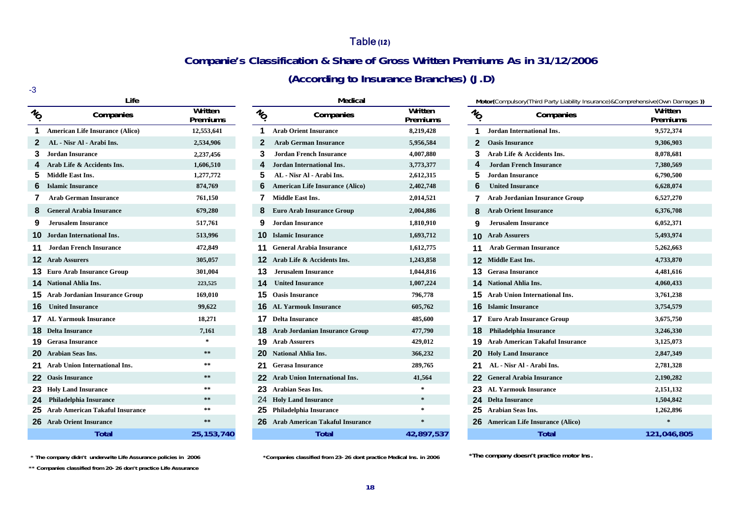### Table **(12)**

## **Companie's Classification & Share of Gross Written Premiums As in 31/12/2006**

**(According to Insurance Branches) (J.D)**

| I<br>×        |
|---------------|
|               |
| ۰,<br>w<br>۰, |

|                   | Life                                   |                     |                   | Medical                                |                     |     | M            |
|-------------------|----------------------------------------|---------------------|-------------------|----------------------------------------|---------------------|-----|--------------|
| $v_{\mathcal{O}}$ | Companies                              | Written<br>Premiums | $v_{\mathcal{O}}$ | Companies                              | Written<br>Premiums | No. |              |
| 1                 | <b>American Life Insurance (Alico)</b> | 12,553,641          | 1                 | <b>Arab Orient Insurance</b>           | 8,219,428           |     | 1            |
| $\mathbf{2}$      | AL - Nisr Al - Arabi Ins.              | 2,534,906           | $\mathbf{2}$      | <b>Arab German Insurance</b>           | 5,956,584           |     | $\mathbf{2}$ |
| 3                 | Jordan Insurance                       | 2,237,456           | 3                 | <b>Jordan French Insurance</b>         | 4,007,880           |     | 3            |
| 4                 | Arab Life & Accidents Ins.             | 1,606,510           | 4                 | <b>Jordan International Ins.</b>       | 3,773,377           |     | 4            |
| 5                 | <b>Middle East Ins.</b>                | 1,277,772           | 5                 | AL - Nisr Al - Arabi Ins.              | 2,612,315           |     | 5            |
| 6                 | <b>Islamic Insurance</b>               | 874,769             | 6                 | American Life Insurance (Alico)        | 2,402,748           |     | 6            |
| 7                 | <b>Arab German Insurance</b>           | 761,150             | 7                 | <b>Middle East Ins.</b>                | 2,014,521           |     | 7            |
| 8                 | <b>General Arabia Insurance</b>        | 679,280             | 8                 | <b>Euro Arab Insurance Group</b>       | 2,004,886           |     | 8            |
| 9                 | <b>Jerusalem Insurance</b>             | 517,761             | 9                 | <b>Jordan Insurance</b>                | 1,810,910           |     | 9            |
| 10                | Jordan International Ins.              | 513,996             | 10                | <b>Islamic Insurance</b>               | 1,693,712           |     | 10           |
| 11                | <b>Jordan French Insurance</b>         | 472,849             | 11                | <b>General Arabia Insurance</b>        | 1,612,775           |     | 11           |
| 12                | <b>Arab Assurers</b>                   | 305,057             | 12                | Arab Life & Accidents Ins.             | 1,243,858           |     | 12           |
| 13                | <b>Euro Arab Insurance Group</b>       | 301,004             | 13                | <b>Jerusalem Insurance</b>             | 1,044,816           |     | 13           |
| 14                | <b>National Ahlia Ins.</b>             | 223,525             | 14                | <b>United Insurance</b>                | 1,007,224           |     | 14           |
| 15                | <b>Arab Jordanian Insurance Group</b>  | 169,010             | 15                | <b>Oasis Insurance</b>                 | 796,778             |     | 15           |
| 16                | <b>United Insurance</b>                | 99,622              | 16                | <b>AL Yarmouk Insurance</b>            | 605,762             |     | 16           |
| 17                | <b>AL Yarmouk Insurance</b>            | 18,271              | 17                | <b>Delta Insurance</b>                 | 485,600             |     | 17           |
| 18                | <b>Delta Insurance</b>                 | 7,161               | 18                | <b>Arab Jordanian Insurance Group</b>  | 477,790             |     | 18           |
| 19                | <b>Gerasa Insurance</b>                | $\ast$              | 19                | <b>Arab Assurers</b>                   | 429,012             |     | 19           |
| 20                | <b>Arabian Seas Ins.</b>               | $* *$               | 20                | <b>National Ahlia Ins.</b>             | 366,232             |     | 20           |
| 21                | Arab Union International Ins.          | $* *$               | 21                | <b>Gerasa Insurance</b>                | 289,765             |     | 21           |
| 22                | <b>Oasis Insurance</b>                 | $* *$               | 22                | <b>Arab Union International Ins.</b>   | 41,564              |     | 22           |
| 23                | <b>Holy Land Insurance</b>             | $\ast\ast$          | 23                | <b>Arabian Seas Ins.</b>               | $\ast$              |     | 23           |
| 24                | <b>Philadelphia Insurance</b>          | $\ast\ast$          | 24                | <b>Holy Land Insurance</b>             | $\ast$              |     | 24           |
| 25                | <b>Arab American Takaful Insurance</b> | $* *$               | 25                | Philadelphia Insurance                 | $\ast$              |     | 25           |
| 26                | <b>Arab Orient Insurance</b>           | $**$                | 26                | <b>Arab American Takaful Insurance</b> | $\ast$              |     | 26           |
|                   | Total                                  | 25.153.740          |                   | Total                                  | 42.897.537          |     |              |

| Life                     |                     |                 | <b>Medical</b>                           |                     |                 | Motor(Compulsory(Third Party Liability Insurance)&Comprehensive(Own Damaq |                     |
|--------------------------|---------------------|-----------------|------------------------------------------|---------------------|-----------------|---------------------------------------------------------------------------|---------------------|
| Companies                | Written<br>Premiums | $\mathcal{U}_O$ | Companies                                | Written<br>Premiums | $\mathcal{U}_O$ | Companies                                                                 | Written<br>Premiums |
| surance (Alico)          | 12,553,641          |                 | <b>Arab Orient Insurance</b>             | 8,219,428           |                 | Jordan International Ins.                                                 | 9,572,374           |
| rabi Ins.                | 2,534,906           |                 | <b>Arab German Insurance</b>             | 5,956,584           |                 | <b>Oasis Insurance</b>                                                    | 9,306,903           |
|                          | 2,237,456           | 3               | <b>Jordan French Insurance</b>           | 4,007,880           |                 | Arab Life & Accidents Ins.                                                | 8,078,681           |
| idents Ins.              | 1,606,510           |                 | Jordan International Ins.                | 3,773,377           |                 | <b>Jordan French Insurance</b>                                            | 7,380,569           |
|                          | 1,277,772           |                 | AL - Nisr Al - Arabi Ins.                | 2,612,315           |                 | <b>Jordan Insurance</b>                                                   | 6,790,500           |
| e                        | 874,769             |                 | <b>American Life Insurance (Alico)</b>   | 2,402,748           |                 | <b>United Insurance</b>                                                   | 6,628,074           |
| <b>isurance</b>          | 761,150             |                 | <b>Middle East Ins.</b>                  | 2,014,521           |                 | <b>Arab Jordanian Insurance Group</b>                                     | 6,527,270           |
| <b>Insurance</b>         | 679,280             |                 | <b>Euro Arab Insurance Group</b>         | 2,004,886           |                 | <b>Arab Orient Insurance</b>                                              | 6,376,708           |
| ance                     | 517,761             |                 | <b>Jordan Insurance</b>                  | 1,810,910           |                 | <b>Jerusalem Insurance</b>                                                | 6,052,371           |
| onal Ins.                | 513,996             | 10.             | <b>Islamic Insurance</b>                 | 1,693,712           |                 | <b>10 Arab Assurers</b>                                                   | 5,493,974           |
| nsurance                 | 472,849             |                 | <b>General Arabia Insurance</b>          | 1,612,775           |                 | <b>Arab German Insurance</b>                                              | 5,262,663           |
|                          | 305,057             |                 | Arab Life & Accidents Ins.               | 1,243,858           |                 | <b>12</b> Middle East Ins.                                                | 4,733,870           |
| ance Group               | 301,004             | 13              | <b>Jerusalem Insurance</b>               | 1,044,816           |                 | <b>13</b> Gerasa Insurance                                                | 4,481,616           |
| ıs.                      | 223,525             |                 | <b>United Insurance</b>                  | 1,007,224           |                 | <b>14</b> National Ahlia Ins.                                             | 4,060,433           |
| <b>Insurance Group</b>   | 169,010             | 15.             | <b>Oasis Insurance</b>                   | 796,778             |                 | <b>15</b> Arab Union International Ins.                                   | 3,761,238           |
|                          | 99,622              | 16.             | <b>AL Yarmouk Insurance</b>              | 605,762             |                 | <b>16</b> Islamic Insurance                                               | 3,754,579           |
| surance                  | 18,271              |                 | <b>17</b> Delta Insurance                | 485,600             |                 | <b>17</b> Euro Arab Insurance Group                                       | 3,675,750           |
|                          | 7,161               |                 | <b>18</b> Arab Jordanian Insurance Group | 477,790             |                 | <b>Philadelphia Insurance</b>                                             | 3,246,330           |
|                          |                     |                 | <b>19</b> Arab Assurers                  | 429,012             |                 | <b>19</b> Arab American Takaful Insurance                                 | 3,125,073           |
|                          | $\ast\ast$          |                 | <b>National Ahlia Ins.</b>               | 366,232             |                 | <b>20</b> Holy Land Insurance                                             | 2,847,349           |
| rnational Ins.           | **                  |                 | <b>Gerasa Insurance</b>                  | 289,765             |                 | AL - Nisr Al - Arabi Ins.                                                 | 2,781,328           |
|                          | $\ast$ $\ast$       |                 | <b>Arab Union International Ins.</b>     | 41,564              |                 | 22 General Arabia Insurance                                               | 2,190,282           |
| ance                     | $\ast$ $\ast$       |                 | 23 Arabian Seas Ins.                     | *                   |                 | 23 AL Yarmouk Insurance                                                   | 2,151,132           |
| urance                   | $\ast$ $\ast$       | 24              | <b>Holy Land Insurance</b>               | $\ast$              |                 | <b>Delta Insurance</b>                                                    | 1,504,842           |
| <b>Fakaful Insurance</b> | $\ast$ $\ast$       | 25              | <b>Philadelphia Insurance</b>            |                     |                 | <b>Arabian Seas Ins.</b>                                                  | 1,262,896           |
| ırance                   | $* *$               | 26.             | <b>Arab American Takaful Insurance</b>   |                     |                 | <b>26</b> American Life Insurance (Alico)                                 |                     |
| Total                    | 25, 153, 740        |                 | Total                                    | 42,897,537          |                 | Total                                                                     | 121,046,805         |

|                 | Life                                     |                     |                 | Medical                                  |                     |                 | Motor(Compulsory(Third Party Liability Insurance)&Comprehensive(Own Damages)) |                     |  |  |  |  |
|-----------------|------------------------------------------|---------------------|-----------------|------------------------------------------|---------------------|-----------------|-------------------------------------------------------------------------------|---------------------|--|--|--|--|
| $\mathcal{U}_O$ | Companies                                | Written<br>Premiums | $\mathcal{U}_O$ | Companies                                | Written<br>Premiums | $\mathcal{U}_O$ | Companies                                                                     | Written<br>Premiums |  |  |  |  |
|                 | <b>American Life Insurance (Alico)</b>   | 12,553,641          |                 | <b>Arab Orient Insurance</b>             | 8,219,428           |                 | Jordan International Ins.                                                     | 9,572,374           |  |  |  |  |
| $\mathbf{2}$    | AL - Nisr Al - Arabi Ins.                | 2,534,906           |                 | <b>Arab German Insurance</b>             | 5,956,584           | $\overline{2}$  | <b>Oasis Insurance</b>                                                        | 9,306,903           |  |  |  |  |
| 3.              | <b>Jordan Insurance</b>                  | 2,237,456           | 3               | <b>Jordan French Insurance</b>           | 4,007,880           |                 | Arab Life & Accidents Ins.                                                    | 8,078,681           |  |  |  |  |
|                 | 4 Arab Life & Accidents Ins.             | 1,606,510           |                 | Jordan International Ins.                | 3,773,377           |                 | <b>Jordan French Insurance</b>                                                | 7,380,569           |  |  |  |  |
|                 | 5 Middle East Ins.                       | 1,277,772           |                 | AL - Nisr Al - Arabi Ins.                | 2,612,315           |                 | <b>Jordan Insurance</b>                                                       | 6,790,500           |  |  |  |  |
|                 | <b>Islamic Insurance</b>                 | 874,769             |                 | <b>American Life Insurance (Alico)</b>   | 2,402,748           | 6               | <b>United Insurance</b>                                                       | 6,628,074           |  |  |  |  |
|                 | <b>Arab German Insurance</b>             | 761,150             |                 | Middle East Ins.                         | 2,014,521           |                 | <b>Arab Jordanian Insurance Group</b>                                         | 6,527,270           |  |  |  |  |
|                 | <b>8</b> General Arabia Insurance        | 679,280             |                 | <b>Euro Arab Insurance Group</b>         | 2,004,886           | 8               | <b>Arab Orient Insurance</b>                                                  | 6,376,708           |  |  |  |  |
|                 | <b>Jerusalem Insurance</b>               | 517,761             |                 | <b>Jordan Insurance</b>                  | 1,810,910           |                 | <b>Jerusalem Insurance</b>                                                    | 6,052,371           |  |  |  |  |
|                 | <b>10</b> Jordan International Ins.      | 513,996             | 10.             | <b>Islamic Insurance</b>                 | 1,693,712           | 10              | <b>Arab Assurers</b>                                                          | 5,493,974           |  |  |  |  |
|                 | <b>11</b> Jordan French Insurance        | 472,849             |                 | <b>General Arabia Insurance</b>          | 1,612,775           |                 | <b>Arab German Insurance</b>                                                  | 5,262,663           |  |  |  |  |
|                 | <b>12</b> Arab Assurers                  | 305,057             |                 | Arab Life & Accidents Ins.               | 1,243,858           |                 | Middle East Ins.                                                              | 4,733,870           |  |  |  |  |
|                 | <b>13</b> Euro Arab Insurance Group      | 301,004             |                 | <b>Jerusalem Insurance</b>               | 1,044,816           |                 | <b>Gerasa Insurance</b>                                                       | 4,481,616           |  |  |  |  |
|                 | <b>14</b> National Ahlia Ins.            | 223,525             |                 | <b>United Insurance</b>                  | 1,007,224           |                 | <b>14</b> National Ahlia Ins.                                                 | 4,060,433           |  |  |  |  |
|                 | <b>15</b> Arab Jordanian Insurance Group | 169,010             |                 | <b>15</b> Oasis Insurance                | 796,778             |                 | <b>15</b> Arab Union International Ins.                                       | 3,761,238           |  |  |  |  |
|                 | <b>16</b> United Insurance               | 99,622              |                 | <b>16</b> AL Yarmouk Insurance           | 605,762             |                 | <b>16</b> Islamic Insurance                                                   | 3,754,579           |  |  |  |  |
|                 | <b>17</b> AL Yarmouk Insurance           | 18,271              | 17              | <b>Delta Insurance</b>                   | 485,600             |                 | <b>17</b> Euro Arab Insurance Group                                           | 3,675,750           |  |  |  |  |
|                 | <b>18</b> Delta Insurance                | 7,161               |                 | <b>18</b> Arab Jordanian Insurance Group | 477,790             |                 | <b>Philadelphia Insurance</b>                                                 | 3,246,330           |  |  |  |  |
|                 | <b>19</b> Gerasa Insurance               |                     |                 | <b>19</b> Arab Assurers                  | 429,012             |                 | <b>19</b> Arab American Takaful Insurance                                     | 3,125,073           |  |  |  |  |
|                 | 20 Arabian Seas Ins.                     | $\ast\ast$          |                 | 20 National Ahlia Ins.                   | 366,232             |                 | <b>20</b> Holy Land Insurance                                                 | 2,847,349           |  |  |  |  |
|                 | 21 Arab Union International Ins.         | $\ast$ $\ast$       |                 | <b>Gerasa Insurance</b>                  | 289,765             |                 | AL - Nisr Al - Arabi Ins.                                                     | 2,781,328           |  |  |  |  |
|                 | 22 Oasis Insurance                       | $\ast\ast$          |                 | <b>Arab Union International Ins.</b>     | 41,564              |                 | <b>General Arabia Insurance</b>                                               | 2,190,282           |  |  |  |  |
|                 | 23 Holy Land Insurance                   | $\ast\ast$          |                 | 23 Arabian Seas Ins.                     | $\ast$              |                 | <b>23</b> AL Yarmouk Insurance                                                | 2,151,132           |  |  |  |  |
|                 | 24 Philadelphia Insurance                | $\ast\ast$          |                 | 24 Holy Land Insurance                   | $\ast$              | 24.             | <b>Delta Insurance</b>                                                        | 1,504,842           |  |  |  |  |
|                 | 25 Arab American Takaful Insurance       | $\pm$ $\pm$         |                 | 25 Philadelphia Insurance                | $\mathcal{R}$       |                 | <b>Arabian Seas Ins.</b>                                                      | 1,262,896           |  |  |  |  |
|                 | 26 Arab Orient Insurance                 | $\ast\ast$          |                 | 26 Arab American Takaful Insurance       | $\ast$              |                 | <b>26</b> American Life Insurance (Alico)                                     |                     |  |  |  |  |
|                 | Total                                    | 25.153.740          |                 | <b>Total</b>                             | 42.897.537          |                 | <b>Total</b>                                                                  | 121.046.805         |  |  |  |  |

\* The company didn't underwrite Life Assurance policies in 2006 *\*Companies classified from 23-26 dont practice Medical Ins. in 2006* **\* The company doesn't practice motor Ins** 

**\*\* Companies classified from 20-26 don't practice Life Assurance**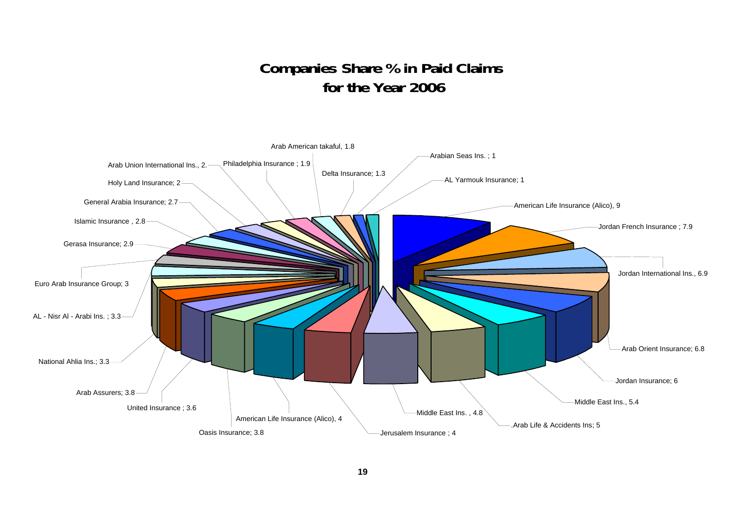## **Companies Share % in Paid Claims for the Year 2006**

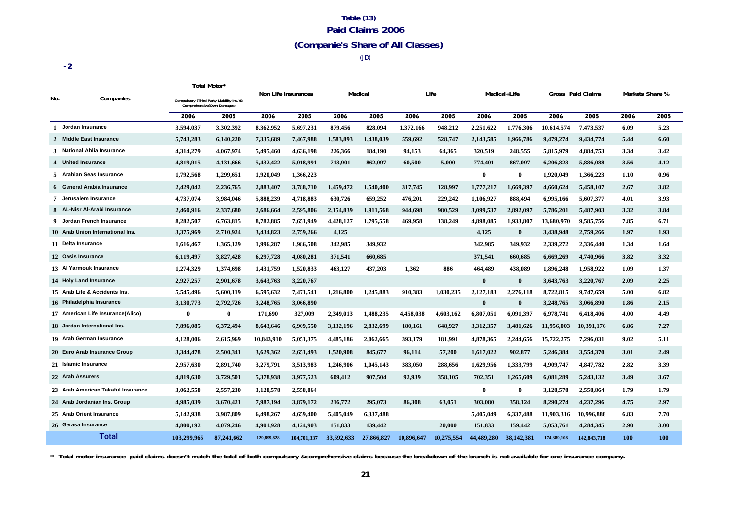## **Table (13) Paid Claims 2006**

## **(Companie's Share of All Classes)**

(JD)

|     |                                    |             | Total Motor*                                                           |             | Non Life Insurances |            | Medical    |            | Life       |              | Medical+Life |             | Gross Paid Claims | Markets Share % |            |
|-----|------------------------------------|-------------|------------------------------------------------------------------------|-------------|---------------------|------------|------------|------------|------------|--------------|--------------|-------------|-------------------|-----------------|------------|
| No. | Companies                          |             | Compulsory (Third Party Liability Ins.)&<br>Comprehensive(Own Damages) |             |                     |            |            |            |            |              |              |             |                   |                 |            |
|     |                                    | 2006        | 2005                                                                   | 2006        | 2005                | 2006       | 2005       | 2006       | 2005       | 2006         | 2005         | 2006        | 2005              | 2006            | 2005       |
|     | 1 Jordan Insurance                 | 3,594,037   | 3,302,392                                                              | 8,362,952   | 5,697,231           | 879,456    | 828,094    | 1,372,166  | 948,212    | 2,251,622    | 1,776,306    | 10,614,574  | 7,473,537         | 6.09            | 5.23       |
|     | 2 Middle East Insurance            | 5,743,283   | 6,140,220                                                              | 7,335,689   | 7,467,988           | 1,583,893  | 1,438,039  | 559,692    | 528,747    | 2,143,585    | 1,966,786    | 9,479,274   | 9,434,774         | 5.44            | 6.60       |
|     | 3 National Ahlia Insurance         | 4,314,279   | 4,067,974                                                              | 5,495,460   | 4,636,198           | 226,366    | 184,190    | 94,153     | 64,365     | 320,519      | 248,555      | 5,815,979   | 4,884,753         | 3.34            | 3.42       |
|     | 4 United Insurance                 | 4,819,915   | 4,131,666                                                              | 5,432,422   | 5,018,991           | 713,901    | 862,097    | 60,500     | 5,000      | 774,401      | 867,097      | 6,206,823   | 5,886,088         | 3.56            | 4.12       |
|     | 5 Arabian Seas Insurance           | 1,792,568   | 1,299,651                                                              | 1,920,049   | 1,366,223           |            |            |            |            | $\bf{0}$     | $\bf{0}$     | 1,920,049   | 1,366,223         | 1.10            | 0.96       |
|     | 6 General Arabia Insurance         | 2,429,042   | 2,236,765                                                              | 2,883,407   | 3,788,710           | 1,459,472  | 1,540,400  | 317,745    | 128,997    | 1,777,217    | 1,669,397    | 4,660,624   | 5,458,107         | 2.67            | 3.82       |
|     | 7 Jerusalem Insurance              | 4,737,074   | 3,984,046                                                              | 5,888,239   | 4,718,883           | 630,726    | 659,252    | 476,201    | 229,242    | 1,106,927    | 888,494      | 6,995,166   | 5,607,377         | 4.01            | 3.93       |
|     | 8 AL-Nisr Al-Arabi Insurance       | 2,460,916   | 2,337,680                                                              | 2,686,664   | 2,595,806           | 2,154,839  | 1,911,568  | 944,698    | 980,529    | 3,099,537    | 2,892,097    | 5,786,201   | 5,487,903         | 3.32            | 3.84       |
|     | 9 Jordan French Insurance          | 8,282,507   | 6,763,815                                                              | 8,782,885   | 7,651,949           | 4,428,127  | 1,795,558  | 469,958    | 138,249    | 4,898,085    | 1,933,807    | 13,680,970  | 9,585,756         | 7.85            | 6.71       |
|     | 10 Arab Union International Ins.   | 3,375,969   | 2,710,924                                                              | 3,434,823   | 2,759,266           | 4,125      |            |            |            | 4,125        | $\mathbf{0}$ | 3,438,948   | 2,759,266         | 1.97            | 1.93       |
|     | 11 Delta Insurance                 | 1,616,467   | 1,365,129                                                              | 1,996,287   | 1,986,508           | 342,985    | 349,932    |            |            | 342,985      | 349,932      | 2,339,272   | 2,336,440         | 1.34            | 1.64       |
|     | 12 Oasis Insurance                 | 6,119,497   | 3,827,428                                                              | 6,297,728   | 4,080,281           | 371,541    | 660,685    |            |            | 371,541      | 660.685      | 6,669,269   | 4,740,966         | 3.82            | 3.32       |
|     | 13 Al Yarmouk Insurance            | 1,274,329   | 1,374,698                                                              | 1,431,759   | 1,520,833           | 463,127    | 437,203    | 1,362      | 886        | 464,489      | 438,089      | 1,896,248   | 1,958,922         | 1.09            | 1.37       |
|     | 14 Holy Land Insurance             | 2,927,257   | 2,901,678                                                              | 3,643,763   | 3,220,767           |            |            |            |            | $\bf{0}$     | $\mathbf{0}$ | 3,643,763   | 3,220,767         | 2.09            | 2.25       |
|     | 15 Arab Life & Accidents Ins.      | 5,545,496   | 5,600,119                                                              | 6,595,632   | 7,471,541           | 1,216,800  | 1,245,883  | 910,383    | 1,030,235  | 2,127,183    | 2,276,118    | 8,722,815   | 9,747,659         | 5.00            | 6.82       |
|     | 16 Philadelphia Insurance          | 3,130,773   | 2,792,726                                                              | 3,248,765   | 3,066,890           |            |            |            |            | $\bf{0}$     | $\bf{0}$     | 3,248,765   | 3,066,890         | 1.86            | 2.15       |
|     | 17 American Life Insurance(Alico)  | $\bf{0}$    | $\bf{0}$                                                               | 171,690     | 327,009             | 2,349,013  | 1,488,235  | 4,458,038  | 4,603,162  | 6,807,051    | 6,091,397    | 6,978,741   | 6,418,406         | 4.00            | 4.49       |
|     | 18 Jordan International Ins.       | 7,896,085   | 6,372,494                                                              | 8,643,646   | 6,909,550           | 3,132,196  | 2,832,699  | 180,161    | 648,927    | 3,312,357    | 3,481,626    | 11,956,003  | 10,391,176        | 6.86            | 7.27       |
|     | 19 Arab German Insurance           | 4,128,006   | 2,615,969                                                              | 10,843,910  | 5,051,375           | 4,485,186  | 2,062,665  | 393,179    | 181,991    | 4,878,365    | 2,244,656    | 15,722,275  | 7,296,031         | 9.02            | 5.11       |
|     | 20 Euro Arab Insurance Group       | 3,344,478   | 2,500,341                                                              | 3,629,362   | 2,651,493           | 1,520,908  | 845,677    | 96,114     | 57,200     | 1,617,022    | 902,877      | 5,246,384   | 3,554,370         | 3.01            | 2.49       |
|     | 21 Islamic Insurance               | 2,957,630   | 2,891,740                                                              | 3,279,791   | 3,513,983           | 1,246,906  | 1,045,143  | 383,050    | 288,656    | 1,629,956    | 1,333,799    | 4,909,747   | 4,847,782         | 2.82            | 3.39       |
|     | 22 Arab Assurers                   | 4,819,630   | 3,729,501                                                              | 5,378,938   | 3,977,523           | 609,412    | 907,504    | 92,939     | 358,105    | 702,351      | 1,265,609    | 6,081,289   | 5,243,132         | 3.49            | 3.67       |
|     | 23 Arab American Takaful Insurance | 3,062,558   | 2,557,230                                                              | 3,128,578   | 2,558,864           |            |            |            |            | $\mathbf{0}$ | $\bf{0}$     | 3,128,578   | 2,558,864         | 1.79            | 1.79       |
|     | 24 Arab Jordanian Ins. Group       | 4,985,039   | 3,670,421                                                              | 7,987,194   | 3,879,172           | 216,772    | 295,073    | 86,308     | 63,051     | 303,080      | 358,124      | 8,290,274   | 4,237,296         | 4.75            | 2.97       |
|     | 25 Arab Orient Insurance           | 5,142,938   | 3,987,809                                                              | 6,498,267   | 4,659,400           | 5,405,049  | 6,337,488  |            |            | 5,405,049    | 6,337,488    | 11,903,316  | 10,996,888        | 6.83            | 7.70       |
|     | 26 Gerasa Insurance                | 4,800,192   | 4,079,246                                                              | 4,901,928   | 4,124,903           | 151,833    | 139,442    |            | 20,000     | 151,833      | 159,442      | 5,053,761   | 4,284,345         | 2.90            | 3.00       |
|     | <b>Total</b>                       | 103.299.965 | 87,241,662                                                             | 129,899,828 | 104.701.337         | 33.592.633 | 27,866,827 | 10,896,647 | 10.275.554 | 44,489,280   | 38.142.381   | 174,389,108 | 142,843,718       | 100             | <b>100</b> |

**\* Total motor insurance paid claims doesn't match the total of both compulsory &comprehensive claims because the breakdown of the branch is not available for one insurance company.**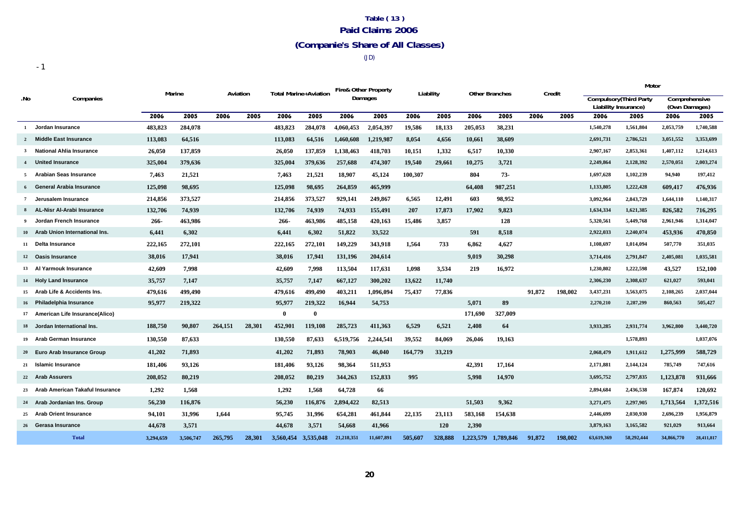## **Table ( 13 ) Paid Claims 2006 (Companie's Share of All Classes)**

(JD)

|              |                                   |           |           |          |        |           |                              | <b>Fire&amp; Other Property</b> |            |           |            |           |                       |        |         |                      | Motor                          |               |            |
|--------------|-----------------------------------|-----------|-----------|----------|--------|-----------|------------------------------|---------------------------------|------------|-----------|------------|-----------|-----------------------|--------|---------|----------------------|--------------------------------|---------------|------------|
| .No          | Companies                         | Marine    |           | Aviation |        |           | <b>Total Marine+Aviation</b> |                                 | Damages    | Liability |            |           | <b>Other Branches</b> |        | Credit  |                      | <b>Compulsory</b> (Third Party | Comprehensive |            |
|              |                                   |           |           |          |        |           |                              |                                 |            |           |            |           |                       |        |         | Liability Insurance) |                                | (Own Damages) |            |
|              |                                   | 2006      | 2005      | 2006     | 2005   | 2006      | 2005                         | 2006                            | 2005       | 2006      | 2005       | 2006      | 2005                  | 2006   | 2005    | 2006                 | 2005                           | 2006          | 2005       |
| $\mathbf{1}$ | Jordan Insurance                  | 483,823   | 284,078   |          |        | 483,823   | 284,078                      | 4,060,453                       | 2,054,397  | 19,586    | 18,133     | 205,053   | 38,231                |        |         | 1,540,278            | 1,561,804                      | 2,053,759     | 1,740,588  |
|              | 2 Middle East Insurance           | 113,083   | 64,516    |          |        | 113,083   | 64,516                       | 1,460,608                       | 1,219,987  | 8,054     | 4,656      | 10,661    | 38,609                |        |         | 2,691,731            | 2,786,521                      | 3,051,552     | 3,353,699  |
| 3            | <b>National Ahlia Insurance</b>   | 26,050    | 137,859   |          |        | 26,050    | 137,859                      | 1,138,463                       | 418,703    | 10,151    | 1.332      | 6,517     | 10,330                |        |         | 2,907,167            | 2,853,361                      | 1,407,112     | 1,214,613  |
|              | 4 United Insurance                | 325,004   | 379,636   |          |        | 325,004   | 379,636                      | 257,688                         | 474,307    | 19,540    | 29,661     | 10,275    | 3,721                 |        |         | 2,249,864            | 2,128,392                      | 2,570,051     | 2,003,274  |
| 5            | Arabian Seas Insurance            | 7,463     | 21,521    |          |        | 7,463     | 21,521                       | 18,907                          | 45,124     | 100,307   |            | 804       | 73-                   |        |         | 1,697,628            | 1,102,239                      | 94,940        | 197,412    |
|              | General Arabia Insurance          | 125,098   | 98,695    |          |        | 125,098   | 98,695                       | 264,859                         | 465,999    |           |            | 64,408    | 987,251               |        |         | 1,133,805            | 1,222,428                      | 609,417       | 476,936    |
| $7^{\circ}$  | Jerusalem Insurance               | 214,856   | 373,527   |          |        | 214,856   | 373,527                      | 929,141                         | 249,867    | 6,565     | 12,491     | 603       | 98,952                |        |         | 3,092,964            | 2,843,729                      | 1,644,110     | 1,140,317  |
| 8            | AL-Nisr Al-Arabi Insurance        | 132,706   | 74,939    |          |        | 132,706   | 74,939                       | 74.933                          | 155,491    | 207       | 17,873     | 17.902    | 9,823                 |        |         | 1,634,334            | 1,621,385                      | 826,582       | 716.295    |
|              | Jordan French Insurance           | $266 -$   | 463,986   |          |        | $266 -$   | 463,986                      | 485,158                         | 420,163    | 15,486    | 3,857      |           | 128                   |        |         | 5,320,561            | 5,449,768                      | 2,961,946     | 1,314,047  |
|              | 10 Arab Union International Ins.  | 6,441     | 6,302     |          |        | 6,441     | 6,302                        | 51,822                          | 33,522     |           |            | 591       | 8,518                 |        |         | 2,922,033            | 2,240,074                      | 453,936       | 470,850    |
| 11           | Delta Insurance                   | 222,165   | 272,101   |          |        | 222,165   | 272,101                      | 149,229                         | 343,918    | 1,564     | 733        | 6,862     | 4,627                 |        |         | 1,108,697            | 1,014,094                      | 507,770       | 351,035    |
|              | 12 Oasis Insurance                | 38,016    | 17,941    |          |        | 38,016    | 17,941                       | 131,196                         | 204,614    |           |            | 9,019     | 30,298                |        |         | 3,714,416            | 2,791,847                      | 2,405,081     | 1,035,581  |
|              | 13 Al Yarmouk Insurance           | 42,609    | 7,998     |          |        | 42,609    | 7,998                        | 113,504                         | 117,631    | 1,098     | 3,534      | 219       | 16,972                |        |         | 1,230,802            | 1,222,598                      | 43,527        | 152,100    |
|              | 14 Holy Land Insurance            | 35,757    | 7,147     |          |        | 35,757    | 7,147                        | 667,127                         | 300,202    | 13,622    | 11,740     |           |                       |        |         | 2,306,230            | 2,308,637                      | 621,027       | 593,041    |
|              | 15 Arab Life & Accidents Ins.     | 479,616   | 499,490   |          |        | 479,616   | 499,490                      | 403,211                         | 1,096,094  | 75,437    | 77,836     |           |                       | 91.872 | 198,002 | 3,437,231            | 3,563,075                      | 2,108,265     | 2,037,044  |
|              | 16 Philadelphia Insurance         | 95,977    | 219,322   |          |        | 95,977    | 219,322                      | 16,944                          | 54,753     |           |            | 5,071     | 89                    |        |         | 2,270,210            | 2,287,299                      | 860,563       | 505,427    |
|              | 17 American Life Insurance(Alico) |           |           |          |        | $\theta$  | $\mathbf{0}$                 |                                 |            |           |            | 171,690   | 327,009               |        |         |                      |                                |               |            |
|              | 18 Jordan International Ins.      | 188,750   | 90,807    | 264,151  | 28,301 | 452,901   | 119,108                      | 285,723                         | 411,363    | 6,529     | 6,521      | 2,408     | 64                    |        |         | 3,933,285            | 2,931,774                      | 3,962,800     | 3,440,720  |
|              | 19 Arab German Insurance          | 130,550   | 87,633    |          |        | 130,550   | 87.633                       | 6,519,756                       | 2,244,541  | 39,552    | 84.069     | 26,046    | 19,163                |        |         |                      | 1,578,893                      |               | 1,037,076  |
|              | 20 Euro Arab Insurance Group      | 41,202    | 71,893    |          |        | 41,202    | 71,893                       | 78,903                          | 46,040     | 164,779   | 33,219     |           |                       |        |         | 2,068,479            | 1,911,612                      | 1,275,999     | 588,729    |
|              | 21 Islamic Insurance              | 181,406   | 93,126    |          |        | 181,406   | 93,126                       | 98,364                          | 511,953    |           |            | 42,391    | 17,164                |        |         | 2,171,881            | 2,144,124                      | 785,749       | 747,616    |
|              | 22 Arab Assurers                  | 208,052   | 80,219    |          |        | 208,052   | 80,219                       | 344,263                         | 152,833    | 995       |            | 5,998     | 14,970                |        |         | 3,695,752            | 2,797,835                      | 1,123,878     | 931,666    |
| 23           | Arab American Takaful Insurance   | 1,292     | 1,568     |          |        | 1,292     | 1,568                        | 64,728                          | 66         |           |            |           |                       |        |         | 2,894,684            | 2,436,538                      | 167,874       | 120,692    |
|              | 24 Arab Jordanian Ins. Group      | 56,230    | 116,876   |          |        | 56,230    | 116,876                      | 2,894,422                       | 82,513     |           |            | 51,503    | 9,362                 |        |         | 3,271,475            | 2,297,905                      | 1,713,564     | 1,372,516  |
| 25           | <b>Arab Orient Insurance</b>      | 94,101    | 31,996    | 1,644    |        | 95,745    | 31,996                       | 654,281                         | 461,844    | 22,135    | 23,113     | 583,168   | 154,638               |        |         | 2,446,699            | 2,030,930                      | 2,696,239     | 1,956,879  |
|              | 26 Gerasa Insurance               | 44,678    | 3,571     |          |        | 44,678    | 3,571                        | 54,668                          | 41,966     |           | <b>120</b> | 2,390     |                       |        |         | 3,879,163            | 3,165,582                      | 921,029       | 913,664    |
|              | <b>Total</b>                      | 3.294.659 | 3,506,747 | 265,795  | 28.301 | 3.560.454 | 3.535,048                    | 21.218.351                      | 11.607.891 | 505,607   | 328,888    | 1.223.579 | 1,789,846             | 91,872 | 198,002 | 63.619.369           | 58.292.444                     | 34,866,770    | 28,411,817 |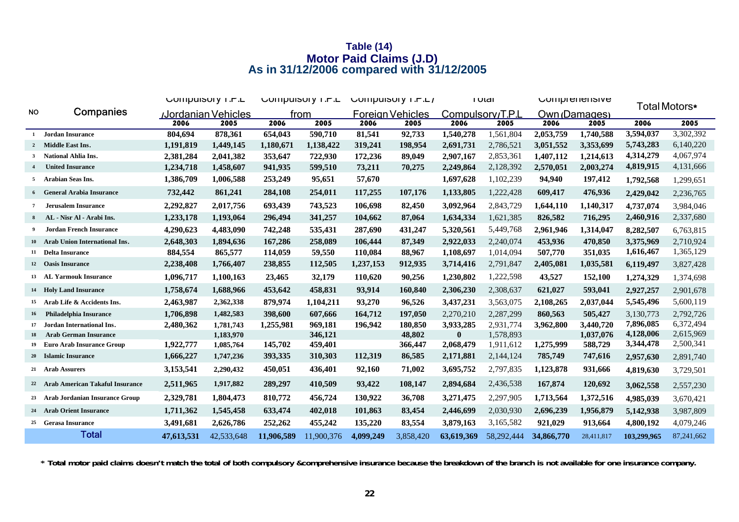### **Table (14) Motor Paid Claims (J.D) As in 31/12/2006 compared with 31/12/2005**

|              |                                    |            | <b>COMPUSOLY I.M.L</b>    |            | <b>COMPUSOLY I.P.L</b> |           | COMPUTE 1. P.L.  |                  | <b>TOTAL</b><br>Comprenensive |            | Total Motors* |             |            |
|--------------|------------------------------------|------------|---------------------------|------------|------------------------|-----------|------------------|------------------|-------------------------------|------------|---------------|-------------|------------|
| <b>NO</b>    | Companies                          |            | <b>Jordanian Vehicles</b> |            | from                   |           | Foreian Vehicles | Compulsorv/T.P.L |                               |            | Own (Damages) |             |            |
|              |                                    | 2006       | 2005                      | 2006       | 2005                   | 2006      | 2005             | 2006             | 2005                          | 2006       | 2005          | 2006        | 2005       |
| $\mathbf{1}$ | Jordan Insurance                   | 804,694    | 878,361                   | 654,043    | 590,710                | 81,541    | 92,733           | 1,540,278        | 1,561,804                     | 2,053,759  | 1,740,588     | 3,594,037   | 3,302,392  |
|              | 2 Middle East Ins.                 | 1,191,819  | 1,449,145                 | 1,180,671  | 1,138,422              | 319,241   | 198,954          | 2,691,731        | 2,786,521                     | 3,051,552  | 3,353,699     | 5,743,283   | 6,140,220  |
|              | 3 National Ahlia Ins.              | 2,381,284  | 2,041,382                 | 353,647    | 722,930                | 172,236   | 89,049           | 2,907,167        | 2,853,361                     | 1,407,112  | 1,214,613     | 4,314,279   | 4,067,974  |
|              | <b>United Insurance</b>            | 1,234,718  | 1,458,607                 | 941,935    | 599,510                | 73,211    | 70,275           | 2,249,864        | 2,128,392                     | 2,570,051  | 2,003,274     | 4,819,915   | 4,131,666  |
|              | 5 Arabian Seas Ins.                | 1,386,709  | 1,006,588                 | 253,249    | 95,651                 | 57,670    |                  | 1,697,628        | 1,102,239                     | 94,940     | 197,412       | 1,792,568   | 1,299,651  |
|              | <b>6</b> General Arabia Insurance  | 732,442    | 861,241                   | 284,108    | 254,011                | 117,255   | 107,176          | 1,133,805        | 1,222,428                     | 609,417    | 476,936       | 2,429,042   | 2,236,765  |
|              | <b>Jerusalem Insurance</b>         | 2,292,827  | 2,017,756                 | 693,439    | 743,523                | 106,698   | 82,450           | 3,092,964        | 2,843,729                     | 1,644,110  | 1,140,317     | 4,737,074   | 3,984,046  |
| 8            | AL - Nisr Al - Arabi Ins.          | 1,233,178  | 1,193,064                 | 296,494    | 341,257                | 104,662   | 87,064           | 1,634,334        | 1,621,385                     | 826,582    | 716,295       | 2,460,916   | 2,337,680  |
| 9            | <b>Jordan French Insurance</b>     | 4,290,623  | 4,483,090                 | 742,248    | 535,431                | 287,690   | 431,247          | 5,320,561        | 5,449,768                     | 2,961,946  | 1,314,047     | 8,282,507   | 6,763,815  |
|              | 10 Arab Union International Ins.   | 2,648,303  | 1,894,636                 | 167,286    | 258,089                | 106,444   | 87,349           | 2,922,033        | 2,240,074                     | 453,936    | 470,850       | 3,375,969   | 2,710,924  |
|              | 11 Delta Insurance                 | 884,554    | 865,577                   | 114,059    | 59,550                 | 110,084   | 88,967           | 1,108,697        | 1,014,094                     | 507,770    | 351,035       | 1,616,467   | 1,365,129  |
|              | 12 Oasis Insurance                 | 2,238,408  | 1,766,407                 | 238,855    | 112,505                | 1,237,153 | 912,935          | 3,714,416        | 2,791,847                     | 2,405,081  | 1,035,581     | 6,119,497   | 3,827,428  |
|              | 13 AL Yarmouk Insurance            | 1,096,717  | 1,100,163                 | 23,465     | 32,179                 | 110,620   | 90,256           | 1,230,802        | 1,222,598                     | 43,527     | 152,100       | 1,274,329   | 1,374,698  |
|              | 14 Holy Land Insurance             | 1,758,674  | 1,688,966                 | 453,642    | 458,831                | 93,914    | 160,840          | 2,306,230        | 2,308,637                     | 621,027    | 593,041       | 2,927,257   | 2,901,678  |
| 15           | Arab Life & Accidents Ins.         | 2,463,987  | 2,362,338                 | 879,974    | 1,104,211              | 93,270    | 96,526           | 3,437,231        | 3,563,075                     | 2,108,265  | 2,037,044     | 5,545,496   | 5,600,119  |
| 16           | <b>Philadelphia Insurance</b>      | 1,706,898  | 1,482,583                 | 398,600    | 607,666                | 164,712   | 197,050          | 2,270,210        | 2,287,299                     | 860,563    | 505,427       | 3,130,773   | 2,792,726  |
| 17           | Jordan International Ins.          | 2,480,362  | 1,781,743                 | 1,255,981  | 969,181                | 196,942   | 180,850          | 3,933,285        | 2.931.774                     | 3,962,800  | 3,440,720     | 7,896,085   | 6,372,494  |
| 18           | <b>Arab German Insurance</b>       |            | 1,183,970                 |            | 346,121                |           | 48,802           | $\bf{0}$         | 1,578,893                     |            | 1,037,076     | 4,128,006   | 2,615,969  |
| 19           | <b>Euro Arab Insurance Group</b>   | 1,922,777  | 1,085,764                 | 145,702    | 459,401                |           | 366,447          | 2,068,479        | 1,911,612                     | 1,275,999  | 588,729       | 3,344,478   | 2,500,341  |
|              | 20 Islamic Insurance               | 1,666,227  | 1,747,236                 | 393,335    | 310,303                | 112,319   | 86,585           | 2,171,881        | 2,144,124                     | 785,749    | 747,616       | 2,957,630   | 2,891,740  |
|              | 21 Arab Assurers                   | 3,153,541  | 2,290,432                 | 450,051    | 436,401                | 92,160    | 71,002           | 3,695,752        | 2,797,835                     | 1,123,878  | 931,666       | 4,819,630   | 3,729,501  |
|              | 22 Arab American Takaful Insurance | 2,511,965  | 1,917,882                 | 289,297    | 410,509                | 93,422    | 108,147          | 2,894,684        | 2,436,538                     | 167,874    | 120,692       | 3,062,558   | 2,557,230  |
|              | 23 Arab Jordanian Insurance Group  | 2,329,781  | 1,804,473                 | 810,772    | 456,724                | 130,922   | 36,708           | 3,271,475        | 2,297,905                     | 1,713,564  | 1,372,516     | 4,985,039   | 3,670,421  |
|              | 24 Arab Orient Insurance           | 1,711,362  | 1,545,458                 | 633,474    | 402,018                | 101,863   | 83,454           | 2,446,699        | 2,030,930                     | 2,696,239  | 1,956,879     | 5,142,938   | 3,987,809  |
|              | 25 Gerasa Insurance                | 3,491,681  | 2,626,786                 | 252,262    | 455,242                | 135,220   | 83,554           | 3,879,163        | 3,165,582                     | 921,029    | 913,664       | 4,800,192   | 4,079,246  |
|              | <b>Total</b>                       | 47,613,531 | 42,533,648                | 11,906,589 | 11,900,376             | 4,099,249 | 3,858,420        | 63,619,369       | 58,292,444                    | 34,866,770 | 28,411,817    | 103,299,965 | 87,241,662 |

**\* Total motor paid claims doesn't match the total of both compulsory &comprehensive insurance because the breakdown of the branch is not available for one insurance company.**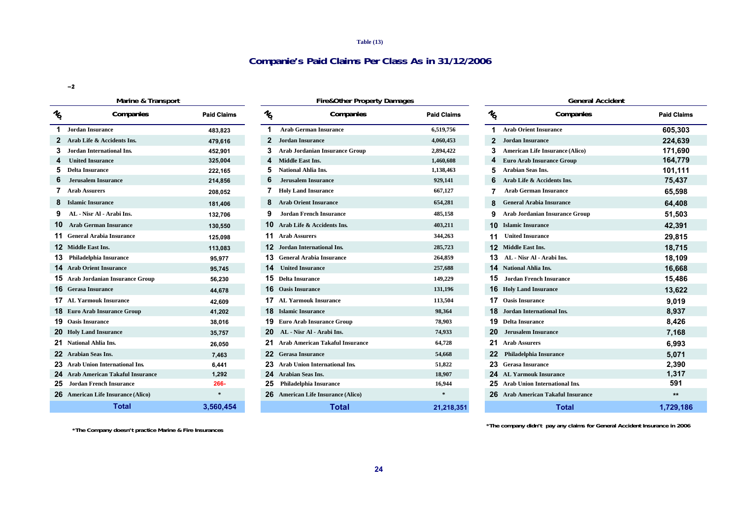#### **Table (13)**

### **Companie's Paid Claims Per Class As in 31/12/2006**

**−2**

#### **Marine & Transport Fire&Other Property Damages General Accident**

| $\frac{1}{2}$ | Companies                              | <b>Paid Claims</b> | $\frac{1}{2}$   | Comp                                 |
|---------------|----------------------------------------|--------------------|-----------------|--------------------------------------|
| 1             | <b>Jordan Insurance</b>                | 483,823            | 1               | <b>Arab German Insurance</b>         |
| $\mathbf{2}$  | Arab Life & Accidents Ins.             | 479,616            | $\mathbf{2}$    | <b>Jordan Insurance</b>              |
| 3             | <b>Jordan International Ins.</b>       | 452,901            | 3               | <b>Arab Jordanian Insurance</b>      |
| 4             | <b>United Insurance</b>                | 325,004            | 4               | <b>Middle East Ins.</b>              |
| 5             | <b>Delta Insurance</b>                 | 222,165            | 5               | <b>National Ahlia Ins.</b>           |
| 6             | <b>Jerusalem Insurance</b>             | 214,856            | 6               | <b>Jerusalem Insurance</b>           |
| 7             | <b>Arab Assurers</b>                   | 208,052            | 7               | <b>Holy Land Insurance</b>           |
| 8             | <b>Islamic Insurance</b>               | 181,406            | 8               | <b>Arab Orient Insurance</b>         |
| 9             | AL - Nisr Al - Arabi Ins.              | 132,706            | 9               | <b>Jordan French Insurance</b>       |
| 10            | <b>Arab German Insurance</b>           | 130,550            | 10              | Arab Life & Accidents Ins.           |
| 11            | <b>General Arabia Insurance</b>        | 125,098            | 11              | <b>Arab Assurers</b>                 |
| 12            | <b>Middle East Ins.</b>                | 113,083            | 12              | <b>Jordan International Ins.</b>     |
| 13            | <b>Philadelphia Insurance</b>          | 95,977             | 13.             | <b>General Arabia Insurance</b>      |
| 14            | <b>Arab Orient Insurance</b>           | 95,745             | 14              | <b>United Insurance</b>              |
| 15            | <b>Arab Jordanian Insurance Group</b>  | 56,230             | 15              | <b>Delta Insurance</b>               |
| 16            | <b>Gerasa Insurance</b>                | 44,678             | 16              | <b>Oasis Insurance</b>               |
| 17            | <b>AL Yarmouk Insurance</b>            | 42,609             | 17              | <b>AL Yarmouk Insurance</b>          |
| 18            | <b>Euro Arab Insurance Group</b>       | 41,202             |                 | <b>18</b> Islamic Insurance          |
| 19            | <b>Oasis Insurance</b>                 | 38,016             |                 | <b>19</b> Euro Arab Insurance Grou   |
| 20            | <b>Holy Land Insurance</b>             | 35,757             | 20              | AL - Nisr Al - Arabi Ins.            |
| 21            | <b>National Ahlia Ins.</b>             | 26,050             | 21              | <b>Arab American Takaful Ins</b>     |
| 22            | <b>Arabian Seas Ins.</b>               | 7,463              | 22 <sub>2</sub> | <b>Gerasa Insurance</b>              |
| 23            | <b>Arab Union International Ins.</b>   | 6,441              | 23              | <b>Arab Union International I</b>    |
| 24            | <b>Arab American Takaful Insurance</b> | 1,292              |                 | 24 Arabian Seas Ins.                 |
| 25            | <b>Jordan French Insurance</b>         | 266-               | 25              | Philadelphia Insurance               |
| 26            | <b>American Life Insurance (Alico)</b> | $\ast$             |                 | <b>26</b> American Life Insurance (A |
|               | <b>Total</b>                           | 3,560,454          |                 | Total                                |

**No . Companies Paid Claims No Jordan Insurance 483,823 1 Arab German Insurance 6,519,756 1 Arab Orient Insurance 605,303 Arab Life & Accidents Ins. 479,616 2 Jordan Insurance 4,060,453 2 Jordan Insurance 224,639 Delta Insurance 222,165 5 National Ahlia Ins. 1,138,463 5 Arabian Seas Ins. 101,111 6 Jerusalem Insurance 214,856 6 Jerusalem Insurance 929,141 6 Arab Life & Accidents Ins. 75,437 Arab Assurers 208,052 7 Holy Land Insurance 667,127 7 Arab German Insurance 65,598 Islamic Insurance 181,406 8 Arab Orient Insurance 654,281 8 General Arabia Insurance 64,408 9 Arab Jordan French Insurance 51,503 9 Arab Jordanian Insurance Group 51,503 10 Arab German Insurance 130,550 10 Arab Life & Accidents Ins. 403,211 10 Islamic Insurance 42,391 General Arabia Insurance 125,098 11 Arab Assurers 344,263 11 United Insurance 29,815 Middle East Ins. 113,083 12 Jordan International Ins. 285,723 12 Middle East Ins. 18,715 13 Philadelphia Insurance 95,977 13 General Arabia Insurance 264,859 13 AL - Nisr Al - Arabi Ins. 18,109 Arab Orient Insurance 95,745 14 United Insurance 257,688 14 National Ahlia Ins. 16,668 Arab Jordanian Insurance Group 56,230 15 Delta Insurance 149,229 15 Jordan French Insurance 15,486 Gerasa Insurance 44,678 16 Oasis Insurance 131,196 16 Holy Land Insurance 13,622 AL Yarmouk Insurance 42,609 17 AL Yarmouk Insurance 113,504 17 Oasis Insurance 9,019 Euro Arab Insurance Group 41,202 18 Islamic Insurance 98,364 18 Jordan International Ins. 8,937 Oasis Insurance 38,016 19 Euro Arab Insurance Group 78,903 19 Delta Insurance 8,426 Holy Land Insurance 35,757 20 AL - Nisr Al - Arabi Ins. 74,933 20 Jerusalem Insurance 7,168 National Ahlia Ins. 26,050 21 Arab American Takaful Insurance 64,728 21 Arab Assurers 6,993 Arabian Seas Ins. 7,463 22 Gerasa Insurance 54,668 22 Philadelphia Insurance 5,071 Arab Union International Ins. 6,441 23 Arab Union International Ins. 51,822 23 Gerasa Insurance 2,390 Arab American Takaful Insurance 1,292 24 Arabian Seas Ins. 18,907 24 AL Yarmouk Insurance 1,317 25 Philadelphia Insurance 16,944 25 Arab Union International Ins. 591 American Life Insurance (Alico) \* 26 American Life Insurance (Alico) \* 26 Arab American Takaful Insurance \*\***

 $\%$  Companies Paid Claims  $\%$  Companies Paid Claims  $\%$  Companies Paid Claims and Claims  $\%$  Companies Paid Claims **. Jordan International Ins. 452,901 3 Arab Jordanian Insurance Group 2,894,422 3 American Life Insurance (Alico) 171,690 4 United Insurance 325,004 4 Middle East Ins. 1,460,608 4 Euro Arab Insurance Group 164,779 3,560,454 21,218,351 1,729,186 Total**

**\*The Company doesn't practice Marine & Fire Insurances**

**\*The company didn't pay any claims for General Accident Insurance in 2006**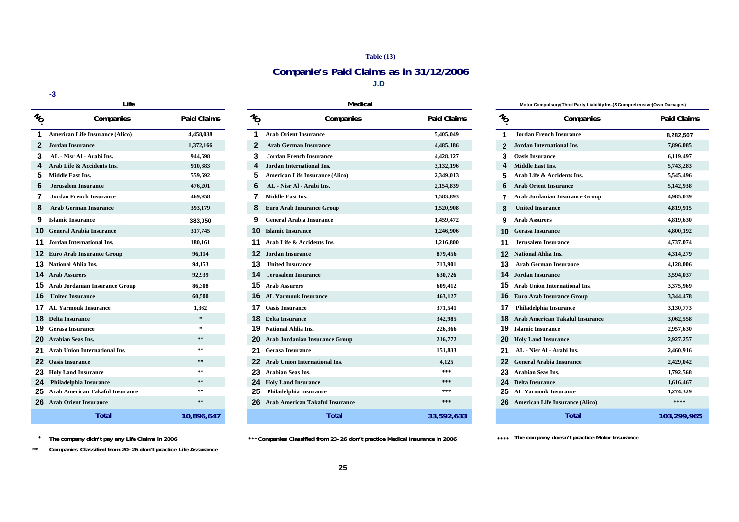#### **Table (13)**

## **Companie's Paid Claims as in 31/12/2006**

**J.D**

#### **-3**

|                                        | Life                                   |                    | Medical                                     |                                        |  |  |  |
|----------------------------------------|----------------------------------------|--------------------|---------------------------------------------|----------------------------------------|--|--|--|
| $\imath_{\!\!\scriptscriptstyle\circ}$ | Companies                              | <b>Paid Claims</b> | $\imath_{\!\scriptscriptstyle{\mathsf{O}}}$ | Companies                              |  |  |  |
| 1                                      | <b>American Life Insurance (Alico)</b> | 4,458,038          | 1                                           | <b>Arab Orient Insurance</b>           |  |  |  |
| $\mathbf{2}$                           | Jordan Insurance                       | 1,372,166          | $\mathbf{2}$                                | <b>Arab German Insurance</b>           |  |  |  |
| 3                                      | AL - Nisr Al - Arabi Ins.              | 944,698            | 3                                           | Jordan French Insurance                |  |  |  |
| 4                                      | Arab Life & Accidents Ins.             | 910,383            | 4                                           | <b>Jordan International Ins.</b>       |  |  |  |
| 5                                      | <b>Middle East Ins.</b>                | 559,692            | 5                                           | <b>American Life Insurance (Alico)</b> |  |  |  |
| 6                                      | <b>Jerusalem Insurance</b>             | 476,201            | 6                                           | AL - Nisr Al - Arabi Ins.              |  |  |  |
| 7                                      | Jordan French Insurance                | 469,958            | 7                                           | Middle East Ins.                       |  |  |  |
| 8                                      | <b>Arab German Insurance</b>           | 393,179            | 8                                           | <b>Euro Arab Insurance Group</b>       |  |  |  |
| 9                                      | <b>Islamic Insurance</b>               | 383,050            | 9                                           | <b>General Arabia Insurance</b>        |  |  |  |
| 10                                     | <b>General Arabia Insurance</b>        | 317,745            | 10                                          | <b>Islamic Insurance</b>               |  |  |  |
| 11                                     | <b>Jordan International Ins.</b>       | 180,161            | 11                                          | Arab Life & Accidents Ins.             |  |  |  |
| 12                                     | <b>Euro Arab Insurance Group</b>       | 96,114             | 12                                          | <b>Jordan Insurance</b>                |  |  |  |
| 13                                     | <b>National Ahlia Ins.</b>             | 94,153             | 13                                          | <b>United Insurance</b>                |  |  |  |
| 14                                     | <b>Arab Assurers</b>                   | 92,939             | 14                                          | <b>Jerusalem Insurance</b>             |  |  |  |
| 15                                     | <b>Arab Jordanian Insurance Group</b>  | 86,308             | 15                                          | <b>Arab Assurers</b>                   |  |  |  |
| 16                                     | <b>United Insurance</b>                | 60,500             | 16                                          | <b>AL Yarmouk Insurance</b>            |  |  |  |
| 17                                     | <b>AL Yarmouk Insurance</b>            | 1,362              | 17                                          | <b>Oasis Insurance</b>                 |  |  |  |
| 18                                     | <b>Delta Insurance</b>                 | $\ast$             | 18                                          | <b>Delta Insurance</b>                 |  |  |  |
| 19                                     | <b>Gerasa Insurance</b>                | $\pm$              | 19                                          | National Ahlia Ins.                    |  |  |  |
| 20                                     | <b>Arabian Seas Ins.</b>               | $* *$              | 20                                          | <b>Arab Jordanian Insurance Group</b>  |  |  |  |
| 21                                     | <b>Arab Union International Ins.</b>   | $* *$              | 21                                          | <b>Gerasa Insurance</b>                |  |  |  |
| 22                                     | <b>Oasis Insurance</b>                 | $\pm\,\pm$         | 22                                          | <b>Arab Union International Ins.</b>   |  |  |  |
| 23                                     | <b>Holy Land Insurance</b>             | $* *$              | 23                                          | <b>Arabian Seas Ins.</b>               |  |  |  |
| 24                                     | Philadelphia Insurance                 | $* *$              | 24                                          | <b>Holy Land Insurance</b>             |  |  |  |
| 25                                     | <b>Arab American Takaful Insurance</b> | $\pm \pm$          | 25                                          | <b>Philadelphia Insurance</b>          |  |  |  |
| 26                                     | <b>Arab Orient Insurance</b>           | $* *$              | 26                                          | <b>Arab American Takaful Insurance</b> |  |  |  |
|                                        | Total                                  | 10.896.647         |                                             | Total                                  |  |  |  |

|                               | Life                                     |                    |                 | Medical                                  |                    |                 | Motor Compulsory(Third Party Liability Ins.)&Comprehensive(Own Damages) |                    |
|-------------------------------|------------------------------------------|--------------------|-----------------|------------------------------------------|--------------------|-----------------|-------------------------------------------------------------------------|--------------------|
| $\imath_{\!o}$                | Companies                                | <b>Paid Claims</b> | $\mathcal{U}_O$ | Companies                                | <b>Paid Claims</b> | $\mathcal{U}_O$ | Companies                                                               | <b>Paid Claims</b> |
|                               | <b>American Life Insurance (Alico)</b>   | 4,458,038          |                 | <b>Arab Orient Insurance</b>             | 5,405,049          |                 | <b>Jordan French Insurance</b>                                          | 8,282,507          |
| $\mathbf{2}$                  | Jordan Insurance                         | 1,372,166          | 2               | <b>Arab German Insurance</b>             | 4,485,186          |                 | <b>Jordan International Ins.</b>                                        | 7,896,085          |
|                               | AL - Nisr Al - Arabi Ins.                | 944,698            |                 | <b>Jordan French Insurance</b>           | 4,428,127          |                 | <b>Oasis Insurance</b>                                                  | 6,119,497          |
|                               | Arab Life & Accidents Ins.               | 910,383            |                 | <b>Jordan International Ins.</b>         | 3,132,196          |                 | <b>Middle East Ins.</b>                                                 | 5,743,283          |
| Middle East Ins.<br>5.        |                                          | 559,692            |                 | <b>American Life Insurance (Alico)</b>   | 2,349,013          |                 | Arab Life & Accidents Ins.                                              | 5,545,496          |
| 6                             | Jerusalem Insurance                      | 476,201            | 6               | AL - Nisr Al - Arabi Ins.                | 2,154,839          | 6.              | <b>Arab Orient Insurance</b>                                            | 5,142,938          |
|                               | Jordan French Insurance                  | 469,958            |                 | <b>Middle East Ins.</b>                  | 1,583,893          |                 | Arab Jordanian Insurance Group                                          | 4,985,039          |
| 8                             | <b>Arab German Insurance</b>             | 393,179            |                 | <b>Euro Arab Insurance Group</b>         | 1,520,908          | 8               | <b>United Insurance</b>                                                 | 4,819,915          |
| <b>9</b> Islamic Insurance    |                                          | 383,050            |                 | <b>General Arabia Insurance</b>          | 1,459,472          | 9.              | <b>Arab Assurers</b>                                                    | 4,819,630          |
|                               | <b>10</b> General Arabia Insurance       | 317,745            |                 | <b>10</b> Islamic Insurance              | 1,246,906          |                 | <b>10 Gerasa Insurance</b>                                              | 4,800,192          |
|                               | 11 Jordan International Ins.             | 180,161            |                 | 11 Arab Life & Accidents Ins.            | 1,216,800          |                 | <b>Jerusalem Insurance</b>                                              | 4,737,074          |
|                               | <b>12</b> Euro Arab Insurance Group      | 96,114             |                 | <b>12</b> Jordan Insurance               | 879,456            |                 | <b>12</b> National Ahlia Ins.                                           | 4,314,279          |
| <b>13</b> National Ahlia Ins. |                                          | 94,153             |                 | <b>13</b> United Insurance               | 713,901            |                 | <b>Arab German Insurance</b>                                            | 4,128,006          |
| <b>14</b> Arab Assurers       |                                          | 92,939             |                 | <b>14</b> Jerusalem Insurance            | 630,726            |                 | <b>14</b> Jordan Insurance                                              | 3,594,037          |
|                               | <b>15</b> Arab Jordanian Insurance Group | 86,308             |                 | <b>15</b> Arab Assurers                  | 609,412            |                 | <b>15</b> Arab Union International Ins.                                 | 3,375,969          |
| <b>16</b> United Insurance    |                                          | 60,500             |                 | <b>16</b> AL Yarmouk Insurance           | 463,127            |                 | <b>16</b> Euro Arab Insurance Group                                     | 3,344,478          |
|                               | <b>17</b> AL Yarmouk Insurance           | 1,362              |                 | <b>17</b> Oasis Insurance                | 371,541            |                 | <b>17</b> Philadelphia Insurance                                        | 3,130,773          |
| <b>18</b> Delta Insurance     |                                          | $\ast$             |                 | <b>18</b> Delta Insurance                | 342,985            |                 | <b>18</b> Arab American Takaful Insurance                               | 3,062,558          |
| <b>19</b> Gerasa Insurance    |                                          | $\cdot$            |                 | 19 National Ahlia Ins.                   | 226,366            |                 | <b>19</b> Islamic Insurance                                             | 2,957,630          |
| 20 Arabian Seas Ins.          |                                          | $\pm$ $\pm$        |                 | <b>20</b> Arab Jordanian Insurance Group | 216,772            |                 | <b>20</b> Holy Land Insurance                                           | 2,927,257          |
|                               | 21 Arab Union International Ins.         |                    |                 | <b>21</b> Gerasa Insurance               | 151,833            |                 | 21 AL - Nisr Al - Arabi Ins.                                            | 2,460,916          |
| <b>22</b> Oasis Insurance     |                                          | $\pm\,\pm$         |                 | <b>22</b> Arab Union International Ins.  | 4,125              |                 | <b>22</b> General Arabia Insurance                                      | 2,429,042          |
|                               | 23 Holy Land Insurance                   | $\pm$ $\pm$        |                 | 23 Arabian Seas Ins.                     | $***$              |                 | 23 Arabian Seas Ins.                                                    | 1,792,568          |
|                               | 24 Philadelphia Insurance                | $\pm$ $\pm$        |                 | <b>24</b> Holy Land Insurance            | ***                |                 | <b>24</b> Delta Insurance                                               | 1,616,467          |
|                               | 25 Arab American Takaful Insurance       | 米方                 |                 | 25 Philadelphia Insurance                | ***                |                 | 25 AL Yarmouk Insurance                                                 | 1,274,329          |
|                               | 26 Arab Orient Insurance                 | $\pm \pm$          |                 | 26 Arab American Takaful Insurance       | $***$              |                 | <b>26</b> American Life Insurance (Alico)                               | ****               |
|                               | Total                                    | 10.896.647         |                 | <b>Total</b>                             | 33.592.633         |                 | <b>Total</b>                                                            | 103.299.96         |

| The company didn't pay any Life Claims in 2006 | ***Companies Classified from 23-26 don't practice Medical Insurance in 2006 | **** The company doesn't practice Motor Insurance |  |  |
|------------------------------------------------|-----------------------------------------------------------------------------|---------------------------------------------------|--|--|
|                                                |                                                                             |                                                   |  |  |

| 4,458,038     | <b>Arab Orient Insurance</b>                 | 5,405,049  | <b>Jordan French Insurance</b>               | 8,282,507   |
|---------------|----------------------------------------------|------------|----------------------------------------------|-------------|
| 1,372,166     | <b>Arab German Insurance</b><br>2            | 4,485,186  | <b>Jordan International Ins.</b>             | 7,896,085   |
| 944,698       | 3<br><b>Jordan French Insurance</b>          | 4,428,127  | 3<br><b>Oasis Insurance</b>                  | 6,119,497   |
| 910,383       | <b>Jordan International Ins.</b><br>4        | 3,132,196  | <b>Middle East Ins.</b>                      | 5,743,283   |
| 559,692       | 5<br><b>American Life Insurance (Alico)</b>  | 2,349,013  | Arab Life & Accidents Ins.<br>5              | 5,545,496   |
| 476,201       | 6<br>AL - Nisr Al - Arabi Ins.               | 2,154,839  | <b>Arab Orient Insurance</b><br>6            | 5,142,938   |
| 469,958       | <b>Middle East Ins.</b>                      | 1,583,893  | <b>Arab Jordanian Insurance Group</b>        | 4,985,039   |
| 393,179       | <b>Euro Arab Insurance Group</b><br>8        | 1,520,908  | <b>United Insurance</b><br>8                 | 4,819,915   |
| 383,050       | <b>General Arabia Insurance</b><br>9         | 1,459,472  | <b>Arab Assurers</b><br>9                    | 4,819,630   |
| 317,745       | <b>Islamic Insurance</b><br>10               | 1,246,906  | <b>Gerasa Insurance</b>                      | 4,800,192   |
| 180,161       | Arab Life & Accidents Ins.                   | 1,216,800  | <b>Jerusalem Insurance</b><br>11             | 4,737,074   |
| 96,114        | <b>Jordan Insurance</b><br>12                | 879,456    | <b>National Ahlia Ins.</b><br>$12 \,$        | 4,314,279   |
| 94,153        | 13<br><b>United Insurance</b>                | 713,901    | <b>Arab German Insurance</b><br>13           | 4,128,006   |
| 92,939        | <b>Jerusalem Insurance</b><br>14             | 630,726    | <b>14</b> Jordan Insurance                   | 3,594,037   |
| 86,308        | <b>Arab Assurers</b><br>15                   | 609,412    | <b>Arab Union International Ins.</b>         | 3,375,969   |
| 60,500        | <b>AL Yarmouk Insurance</b><br>16            | 463,127    | <b>Euro Arab Insurance Group</b><br>16       | 3,344,478   |
| 1,362         | <b>Oasis Insurance</b><br>17                 | 371,541    | Philadelphia Insurance<br>17                 | 3,130,773   |
| $\ast$        | <b>Delta Insurance</b><br>18                 | 342,985    | <b>Arab American Takaful Insurance</b>       | 3,062,558   |
| $\pm$         | <b>National Ahlia Ins.</b><br>19             | 226,366    | <b>Islamic Insurance</b><br>19               | 2,957,630   |
| $* *$         | Arab Jordanian Insurance Group<br>20         | 216,772    | <b>20</b> Holy Land Insurance                | 2,927,257   |
| $\pm$ $\pm$   | <b>Gerasa Insurance</b><br>21                | 151,833    | AL - Nisr Al - Arabi Ins.<br>21              | 2,460,916   |
| $\ast$ $\ast$ | 22<br><b>Arab Union International Ins.</b>   | 4,125      | <b>General Arabia Insurance</b>              | 2,429,042   |
| $\pm$ $\pm$   | 23<br><b>Arabian Seas Ins.</b>               | ***        | <b>Arabian Seas Ins.</b>                     | 1,792,568   |
| $* *$         | 24<br><b>Holy Land Insurance</b>             | ***        | 24<br><b>Delta Insurance</b>                 | 1,616,467   |
| $\ast$ $\ast$ | 25<br><b>Philadelphia Insurance</b>          | ***        | <b>AL Yarmouk Insurance</b><br>25            | 1,274,329   |
| $\pm$ $\pm$   | <b>Arab American Takaful Insurance</b><br>26 | ***        | <b>American Life Insurance (Alico)</b><br>26 | ****        |
| 10,896,647    | Total                                        | 33,592,633 | Total                                        | 103,299,965 |

**\***

**\*\*Companies Classified from 20-26 don't practice Life Assurance**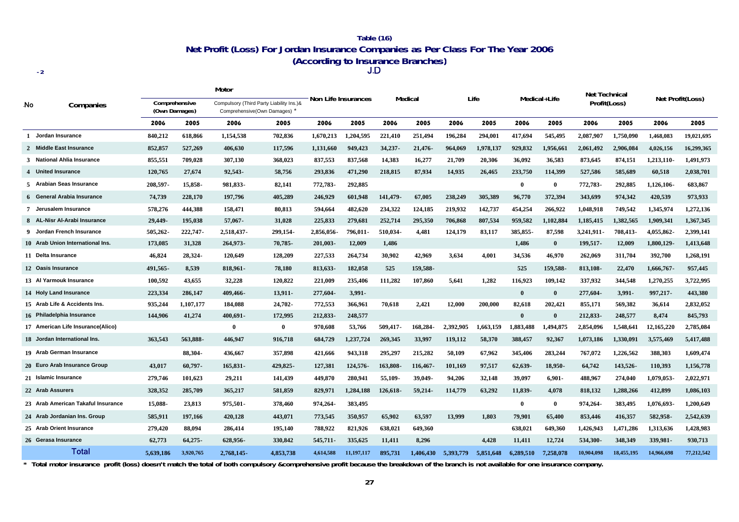#### **Net Profit (Loss) For Jordan Insurance Companies as Per Class For The Year 2006 (According to Insurance Branches)** J**.**D **Table (16)**

**-2**

|              |                                    |                                | Motor     |                                                                          |              | Non Life Insurances<br>Medical |            |          | Life      |           |           |              |              | <b>Net Technical</b> |            |                  |            |
|--------------|------------------------------------|--------------------------------|-----------|--------------------------------------------------------------------------|--------------|--------------------------------|------------|----------|-----------|-----------|-----------|--------------|--------------|----------------------|------------|------------------|------------|
| .No          | Companies                          | Comprehensive<br>(Own Damages) |           | Compulsory (Third Party Liability Ins.)&<br>Comprehensive(Own Damages) * |              |                                |            |          |           |           |           |              | Medical+Life | Profit(Loss)         |            | Net Profit(Loss) |            |
|              |                                    | 2006                           | 2005      | 2006                                                                     | 2005         | 2006                           | 2005       | 2006     | 2005      | 2006      | 2005      | 2006         | 2005         | 2006                 | 2005       | 2006             | 2005       |
| $\mathbf{1}$ | Jordan Insurance                   | 840,212                        | 618,866   | 1,154,538                                                                | 702,836      | 1,670,213                      | 1,204,595  | 221,410  | 251,494   | 196,284   | 294,001   | 417,694      | 545,495      | 2,087,907            | 1,750,090  | 1,468,083        | 19,021,695 |
|              | 2 Middle East Insurance            | 852,857                        | 527,269   | 406,630                                                                  | 117,596      | 1,131,660                      | 949,423    | 34,237-  | 21,476    | 964,069   | 1,978,137 | 929,832      | 1,956,661    | 2,061,492            | 2,906,084  | 4,026,156        | 16,299,365 |
|              | 3 National Ahlia Insurance         | 855,551                        | 709,028   | 307,130                                                                  | 368,023      | 837,553                        | 837,568    | 14,383   | 16,277    | 21,709    | 20,306    | 36,092       | 36,583       | 873,645              | 874,151    | 1,213,110-       | 1,491,973  |
|              | 4 United Insurance                 | 120,765                        | 27,674    | 92,543-                                                                  | 58,756       | 293,836                        | 471,290    | 218,815  | 87,934    | 14,935    | 26,465    | 233,750      | 114,399      | 527,586              | 585,689    | 60,518           | 2,038,701  |
|              | 5 Arabian Seas Insurance           | 208,597-                       | 15,858-   | 981,833-                                                                 | 82,141       | 772,783-                       | 292,885    |          |           |           |           | $\mathbf{0}$ | $\bf{0}$     | 772,783-             | 292,885    | 1,126,106        | 683,867    |
|              | 6 General Arabia Insurance         | 74,739                         | 228,170   | 197,796                                                                  | 405,289      | 246,929                        | 601,948    | 141,479- | 67,005    | 238,249   | 305,389   | 96,770       | 372,394      | 343,699              | 974,342    | 420,539          | 973,933    |
|              | 7 Jerusalem Insurance              | 578,276                        | 444,388   | 158,471                                                                  | 80,813       | 594,664                        | 482,620    | 234,322  | 124,185   | 219,932   | 142,737   | 454,254      | 266,922      | 1,048,918            | 749,542    | 1,345,974        | 1,272,136  |
|              | 8 AL-Nisr Al-Arabi Insurance       | 29.449-                        | 195,038   | 57,067-                                                                  | 31.028       | 225,833                        | 279,681    | 252,714  | 295,350   | 706,868   | 807,534   | 959.582      | 1,102,884    | 1,185,415            | 1.382.565  | 1,909,341        | 1,367,345  |
|              | 9 Jordan French Insurance          | 505,262-                       | 222,747-  | 2,518,437-                                                               | 299,154-     | 2,856,056-                     | 796,011-   | 510,034  | 4,481     | 124,179   | 83,117    | 385,855-     | 87,598       | 3,241,911-           | 708.413-   | 4,055,862        | 2,399,141  |
|              | 10 Arab Union International Ins.   | 173,085                        | 31,328    | 264,973-                                                                 | 70,785-      | 201,003-                       | 12,009     | 1,486    |           |           |           | 1,486        | $\bf{0}$     | 199,517-             | 12,009     | 1,800,129-       | 1,413,648  |
|              | 11 Delta Insurance                 | 46,824                         | 28,324-   | 120,649                                                                  | 128,209      | 227,533                        | 264,734    | 30,902   | 42,969    | 3,634     | 4,001     | 34,536       | 46,970       | 262,069              | 311,704    | 392,700          | 1,268,191  |
|              | 12 Oasis Insurance                 | 491,565-                       | 8,539     | 818,961-                                                                 | 78,180       | 813,633-                       | 182,058    | 525      | 159,588-  |           |           | 525          | 159,588-     | 813,108-             | 22,470     | 1,666,767-       | 957,445    |
|              | 13 Al Yarmouk Insurance            | 100,592                        | 43,655    | 32,228                                                                   | 120,822      | 221,009                        | 235,406    | 111,282  | 107,860   | 5,641     | 1,282     | 116,923      | 109,142      | 337,932              | 344,548    | 1,270,255        | 3,722,995  |
|              | 14 Holy Land Insurance             | 223,334                        | 286,147   | 409,466-                                                                 | 13,911-      | 277,604-                       | 3,991-     |          |           |           |           | $\mathbf{0}$ | $\bf{0}$     | 277,604-             | 3,991-     | 997,217-         | 443,380    |
|              | 15 Arab Life & Accidents Ins.      | 935,244                        | 1,107,177 | 184,088                                                                  | 24,702-      | 772,553                        | 366,961    | 70,618   | 2,421     | 12,000    | 200,000   | 82,618       | 202,421      | 855,171              | 569,382    | 36,614           | 2,832,052  |
|              | 16 Philadelphia Insurance          | 144,906                        | 41,274    | 400,691-                                                                 | 172,995      | 212,833-                       | 248,577    |          |           |           |           | $\mathbf{0}$ | $\bf{0}$     | 212,833-             | 248,577    | 8,474            | 845,793    |
|              | 17 American Life Insurance(Alico)  |                                |           | $\mathbf{0}$                                                             | $\mathbf{0}$ | 970,608                        | 53,766     | 509,417- | 168,284-  | 2,392,905 | 1,663,159 | 1,883,488    | 1,494,875    | 2,854,096            | 1,548,641  | 12,165,220       | 2,785,084  |
|              | 18 Jordan International Ins.       | 363,543                        | 563,888-  | 446.947                                                                  | 916,718      | 684,729                        | 1,237,724  | 269,345  | 33,997    | 119,112   | 58,370    | 388,457      | 92,367       | 1,073,186            | 1,330,091  | 3,575,469        | 5,417,488  |
|              | 19 Arab German Insurance           |                                | 88,304-   | 436,667                                                                  | 357,898      | 421,666                        | 943.318    | 295,297  | 215,282   | 50,109    | 67,962    | 345,406      | 283,244      | 767,072              | 1,226,562  | 388,303          | 1,609,474  |
|              | 20 Euro Arab Insurance Group       | 43,017                         | 60,797-   | 165,831-                                                                 | 429,825-     | 127,381                        | 124,576-   | 163,808- | 116,467-  | 101,169   | 97,517    | 62,639-      | 18,950-      | 64,742               | 143,526-   | 110,393          | 1,156,778  |
|              | 21 Islamic Insurance               | 279,746                        | 101,623   | 29,211                                                                   | 141,439      | 449,870                        | 280,941    | 55,109-  | 39,049-   | 94,206    | 32,148    | 39,097       | $6,901-$     | 488,967              | 274,040    | 1,079,053        | 2,022,971  |
|              | 22 Arab Assurers                   | 328,352                        | 285,709   | 365,217                                                                  | 581,859      | 829,971                        | 1,284,188  | 126,618- | 59,214-   | 114,779   | 63,292    | 11,839-      | 4,078        | 818,132              | 1,288,266  | 412,899          | 1,086,103  |
|              | 23 Arab American Takaful Insurance | 15,088-                        | 23,813    | 975,501-                                                                 | 378,460      | 974,264-                       | 383,495    |          |           |           |           | $\mathbf{0}$ | $\mathbf{0}$ | 974,264              | 383,495    | 1,076,693        | 1,200,649  |
|              | 24 Arab Jordanian Ins. Group       | 585,911                        | 197,166   | 420,128                                                                  | 443,071      | 773,545                        | 350,957    | 65,902   | 63,597    | 13,999    | 1,803     | 79,901       | 65,400       | 853,446              | 416,357    | 582,958-         | 2,542,639  |
|              | 25 Arab Orient Insurance           | 279,420                        | 88,094    | 286,414                                                                  | 195,140      | 788,922                        | 821,926    | 638,021  | 649,360   |           |           | 638,021      | 649,360      | 1,426,943            | 1,471,286  | 1,313,636        | 1,428,983  |
|              | 26 Gerasa Insurance                | 62,773                         | 64,275-   | 628,956-                                                                 | 330,842      | 545,711-                       | 335,625    | 11,411   | 8,296     |           | 4,428     | 11,411       | 12,724       | 534,300-             | 348,349    | 339,981-         | 930,713    |
|              | Total                              | 5.639.186                      | 3,920,765 | 2.768.145-                                                               | 4,853,738    | 4,614,588                      | 11,197,117 | 895,731  | 1.406.430 | 5.393.779 | 5,851,648 | 6.289.510    | 7,258,078    | 10,904,098           | 18,455,195 | 14,966,698       | 77,212,542 |

\* Total motor insurance profit (loss) doesn't match the total of both compulsory &comprehensive profit because the breakdown of the branch is not available for one insurance company.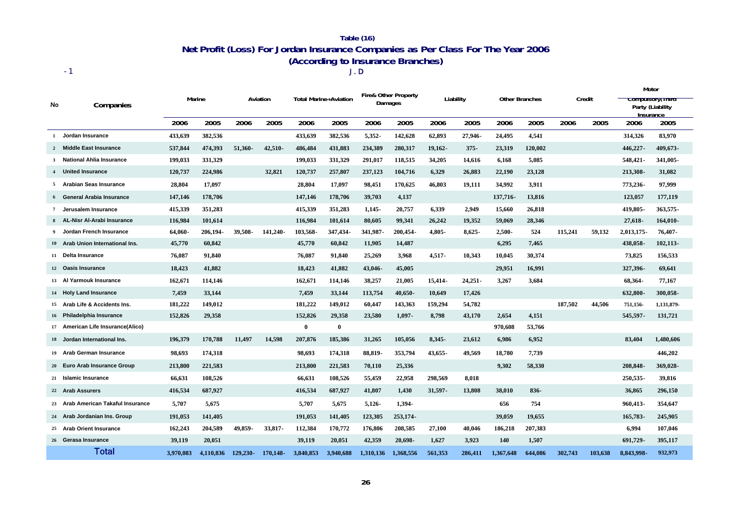### **Net Profit (Loss) For Jordan Insurance Companies as Per Class For The Year 2006 (According to Insurance Branches) Table (16)**

J.D

-1

|     |                                    |           |           |             |             |              | <b>Total Marine+Aviation</b> |           | <b>Fire&amp; Other Property</b> |           |            |                       |         |         |         |            | Motor                                           |  |
|-----|------------------------------------|-----------|-----------|-------------|-------------|--------------|------------------------------|-----------|---------------------------------|-----------|------------|-----------------------|---------|---------|---------|------------|-------------------------------------------------|--|
| .No | Companies                          |           | Marine    |             | Aviation    |              |                              |           | Damages                         |           | Liability  | <b>Other Branches</b> |         | Credit  |         | Insurance  | <del>Compuisory (Timu</del><br>Party (Liability |  |
|     |                                    | 2006      | 2005      | 2006        | 2005        | 2006         | 2005                         | 2006      | 2005                            | 2006      | 2005       | 2006                  | 2005    | 2006    | 2005    | 2006       | 2005                                            |  |
| 1   | Jordan Insurance                   | 433.639   | 382,536   |             |             | 433,639      | 382,536                      | 5,352-    | 142,628                         | 62,893    | 27,946-    | 24,495                | 4,541   |         |         | 314,326    | 83,970                                          |  |
|     | 2 Middle East Insurance            | 537,844   | 474,393   | 51,360-     | 42,510-     | 486,484      | 431,883                      | 234,389   | 280,317                         | 19,162-   | $375 -$    | 23,319                | 120,002 |         |         | 446,227-   | 409,673-                                        |  |
|     | 3 National Ahlia Insurance         | 199,033   | 331,329   |             |             | 199,033      | 331,329                      | 291,017   | 118,515                         | 34,205    | 14,616     | 6,168                 | 5,085   |         |         | 548,421-   | 341,005-                                        |  |
|     | United Insurance                   | 120,737   | 224,986   |             | 32,821      | 120,737      | 257,807                      | 237,123   | 104,716                         | 6,329     | 26,883     | 22,190                | 23,128  |         |         | 213,308-   | 31,082                                          |  |
|     | 5 Arabian Seas Insurance           | 28,804    | 17,097    |             |             | 28,804       | 17,097                       | 98,451    | 170,625                         | 46,803    | 19,111     | 34,992                | 3,911   |         |         | 773,236-   | 97,999                                          |  |
|     | <b>General Arabia Insurance</b>    | 147,146   | 178,706   |             |             | 147,146      | 178,706                      | 39,703    | 4,137                           |           |            | 137,716-              | 13,816  |         |         | 123,057    | 177,119                                         |  |
| 7   | Jerusalem Insurance                | 415.339   | 351,283   |             |             | 415,339      | 351,283                      | $1,145-$  | 20,757                          | 6,339     | 2,949      | 15,660                | 26,818  |         |         | 419.805-   | 363,575-                                        |  |
|     | AL-Nisr Al-Arabi Insurance         | 116.984   | 101,614   |             |             | 116.984      | 101.614                      | 80.605    | 99.341                          | 26,242    | 19.352     | 59,069                | 28,346  |         |         | 27.618-    | 164,010-                                        |  |
|     | Jordan French Insurance            | 64,060-   | 206,194-  | 39.508-     | 141,240-    | 103,568-     | 347,434-                     | 341,987   | 200,454-                        | 4,805-    | $8,625-$   | $2,500 -$             | 524     | 115,241 | 59,132  | 2,013,175  | 76,407-                                         |  |
|     | 10 Arab Union International Ins.   | 45,770    | 60.842    |             |             | 45,770       | 60,842                       | 11,905    | 14,487                          |           |            | 6,295                 | 7,465   |         |         | 438,058-   | 102,113-                                        |  |
|     | 11 Delta Insurance                 | 76,087    | 91,840    |             |             | 76.087       | 91,840                       | 25,269    | 3,968                           | $4,517-$  | 10.343     | 10,045                | 30,374  |         |         | 73,825     | 156,533                                         |  |
|     | 12 Oasis Insurance                 | 18,423    | 41,882    |             |             | 18,423       | 41,882                       | 43,046-   | 45,005                          |           |            | 29,951                | 16,991  |         |         | 327,396-   | 69,641                                          |  |
|     | 13 Al Yarmouk Insurance            | 162,671   | 114,146   |             |             | 162,671      | 114,146                      | 38,257    | 21,005                          | 15,414-   | $24,251 -$ | 3,267                 | 3,684   |         |         | 68,364-    | 77,167                                          |  |
|     | 14 Holy Land Insurance             | 7,459     | 33,144    |             |             | 7,459        | 33,144                       | 113,754   | 40,650-                         | 10,649    | 17,426     |                       |         |         |         | 632,800-   | 300,058-                                        |  |
|     | 15 Arab Life & Accidents Ins.      | 181,222   | 149,012   |             |             | 181,222      | 149,012                      | 60,447    | 143,363                         | 159,294   | 54,782     |                       |         | 187,502 | 44,506  | 751,156    | 1,131,879-                                      |  |
|     | 16 Philadelphia Insurance          | 152,826   | 29,358    |             |             | 152,826      | 29,358                       | 23,580    | 1,097-                          | 8,798     | 43,170     | 2,654                 | 4,151   |         |         | 545,597-   | 131,721                                         |  |
|     | 17 American Life Insurance(Alico)  |           |           |             |             | $\mathbf{0}$ | 0                            |           |                                 |           |            | 970,608               | 53,766  |         |         |            |                                                 |  |
|     | 18 Jordan International Ins.       | 196,379   | 170,788   | 11,497      | 14,598      | 207,876      | 185,386                      | 31,265    | 105,056                         | 8,345-    | 23,612     | 6,986                 | 6,952   |         |         | 83,404     | 1,480,606                                       |  |
|     | 19 Arab German Insurance           | 98,693    | 174,318   |             |             | 98,693       | 174,318                      | 88,819-   | 353,794                         | $43,655-$ | 49,569     | 18,780                | 7,739   |         |         |            | 446,202                                         |  |
|     | 20 Euro Arab Insurance Group       | 213,800   | 221,583   |             |             | 213,800      | 221,583                      | 70,110    | 25,336                          |           |            | 9,302                 | 58,330  |         |         | 208,848-   | 369,028-                                        |  |
|     | 21 Islamic Insurance               | 66,631    | 108,526   |             |             | 66,631       | 108,526                      | 55,459    | 22,958                          | 298,569   | 8,018      |                       |         |         |         | 250, 535 - | 39,816                                          |  |
|     | 22 Arab Assurers                   | 416,534   | 687,927   |             |             | 416,534      | 687,927                      | 41,807    | 1,430                           | 31,597-   | 13,808     | 38,010                | 836-    |         |         | 36,865     | 296,150                                         |  |
|     | 23 Arab American Takaful Insurance | 5,707     | 5,675     |             |             | 5.707        | 5,675                        | 5,126     | 1,394-                          |           |            | 656                   | 754     |         |         | 960,413-   | 354,647                                         |  |
|     | 24 Arab Jordanian Ins. Group       | 191,053   | 141,405   |             |             | 191,053      | 141,405                      | 123,305   | 253,174-                        |           |            | 39,059                | 19,655  |         |         | 165,783-   | 245,905                                         |  |
|     | 25 Arab Orient Insurance           | 162,243   | 204,589   | 49,859-     | 33.817-     | 112,384      | 170,772                      | 176,806   | 208,585                         | 27,100    | 40.046     | 186,218               | 207,383 |         |         | 6.994      | 107,046                                         |  |
|     | 26 Gerasa Insurance                | 39.119    | 20,051    |             |             | 39,119       | 20,051                       | 42,359    | 20,698-                         | 1,627     | 3,923      | 140                   | 1,507   |         |         | 691,729-   | 395,117                                         |  |
|     | Total                              | 3.970.083 | 4,110,836 | $129.230 -$ | $170.148 -$ | 3.840.853    | 3.940.688                    | 1.310.136 | 1.368.556                       | 561.353   | 286,411    | 1,367,648             | 644,086 | 302.743 | 103.638 | 8.843.998- | 932,973                                         |  |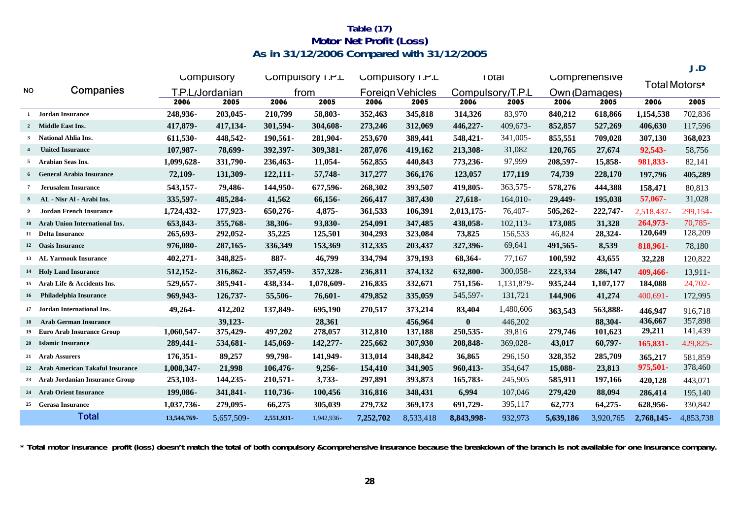## **As in 31/12/2006 Compared with 31/12/2005 Table (17) Motor Net Profit (Loss)**

|              |                                       |                            |            |            |                  |           |                         |                  |              |               |               |               | J.D        |
|--------------|---------------------------------------|----------------------------|------------|------------|------------------|-----------|-------------------------|------------------|--------------|---------------|---------------|---------------|------------|
|              |                                       |                            | Compulsory |            | Compulsory I.P.L |           | Compulsory I.P.L        |                  | <b>TOTAL</b> |               | Comprenensive |               |            |
| <b>NO</b>    | Companies                             | P.L <sub>/</sub> Jordanian |            |            | from             |           | <b>Foreign Vehicles</b> | Compulsory/T.P.L |              | Own (Damages) |               | Total Motors* |            |
|              |                                       | 2006                       | 2005       | 2006       | 2005             | 2006      | 2005                    | 2006             | 2005         | 2006          | 2005          | 2006          | 2005       |
| $\mathbf{1}$ | Jordan Insurance                      | 248,936-                   | 203,045-   | 210,799    | 58,803-          | 352,463   | 345,818                 | 314,326          | 83,970       | 840,212       | 618,866       | 1,154,538     | 702,836    |
|              | 2 Middle East Ins.                    | 417,879-                   | 417,134-   | 301,594-   | 304,608-         | 273,246   | 312,069                 | 446,227-         | 409,673-     | 852,857       | 527,269       | 406,630       | 117,596    |
| $\mathbf{3}$ | National Ahlia Ins.                   | 611,530-                   | 448,542-   | 190,561-   | 281,904-         | 253,670   | 389,441                 | 548,421-         | 341,005-     | 855,551       | 709,028       | 307,130       | 368,023    |
|              | <b>United Insurance</b>               | 107,987-                   | 78,699-    | 392,397-   | 309,381-         | 287,076   | 419,162                 | 213,308-         | 31,082       | 120,765       | 27,674        | 92,543-       | 58,756     |
|              | 5 Arabian Seas Ins.                   | 1,099,628-                 | 331,790-   | 236,463-   | 11,054-          | 562,855   | 440,843                 | 773,236-         | 97,999       | 208,597-      | 15,858-       | 981,833-      | 82,141     |
|              | 6 General Arabia Insurance            | 72,109-                    | 131,309-   | $122,111-$ | 57,748-          | 317,277   | 366,176                 | 123,057          | 177,119      | 74,739        | 228,170       | 197,796       | 405,289    |
|              | <b>Jerusalem Insurance</b>            | 543,157-                   | 79,486-    | 144,950-   | 677,596-         | 268,302   | 393,507                 | 419,805-         | 363,575-     | 578,276       | 444,388       | 158,471       | 80,813     |
| 8            | AL - Nisr Al - Arabi Ins.             | 335,597-                   | 485,284-   | 41,562     | 66,156-          | 266,417   | 387,430                 | $27,618-$        | 164,010-     | 29,449-       | 195,038       | 57,067-       | 31,028     |
| 9            | <b>Jordan French Insurance</b>        | 1,724,432-                 | 177,923-   | 650,276-   | $4,875-$         | 361,533   | 106,391                 | 2,013,175-       | 76,407-      | 505,262-      | 222,747-      | 2.518.437-    | 299,154-   |
|              | 10 Arab Union International Ins.      | 653,843-                   | 355,768-   | 38,306-    | 93,830-          | 254,091   | 347,485                 | 438,058-         | $102, 113$ - | 173,085       | 31,328        | 264,973-      | $70,785 -$ |
|              | 11 Delta Insurance                    | 265,693-                   | 292,052-   | 35,225     | 125,501          | 304,293   | 323,084                 | 73,825           | 156,533      | 46,824        | 28,324-       | 120,649       | 128,209    |
|              | 12 Oasis Insurance                    | 976,080-                   | 287, 165 - | 336,349    | 153,369          | 312,335   | 203,437                 | 327,396-         | 69,641       | 491,565-      | 8,539         | 818,961-      | 78,180     |
|              | 13 AL Yarmouk Insurance               | 402,271-                   | 348,825-   | 887-       | 46,799           | 334,794   | 379,193                 | 68,364-          | 77,167       | 100,592       | 43,655        | 32,228        | 120,822    |
|              | 14 Holy Land Insurance                | 512,152-                   | 316,862-   | 357,459-   | 357,328-         | 236,811   | 374,132                 | 632,800-         | 300,058-     | 223,334       | 286,147       | 409,466-      | 13,911-    |
| 15           | Arab Life & Accidents Ins.            | 529,657-                   | 385,941-   | 438,334-   | 1,078,609-       | 216,835   | 332,671                 | 751,156-         | 1,131,879-   | 935,244       | 1,107,177     | 184,088       | 24,702-    |
|              | 16 Philadelphia Insurance             | 969,943-                   | 126,737-   | 55,506-    | 76,601-          | 479,852   | 335,059                 | 545,597-         | 131,721      | 144,906       | 41,274        | $400.691 -$   | 172,995    |
|              | 17 Jordan International Ins.          | 49,264-                    | 412,202    | 137,849-   | 695,190          | 270,517   | 373,214                 | 83,404           | 1,480,606    | 363,543       | 563,888-      | 446,947       | 916,718    |
| 18           | <b>Arab German Insurance</b>          |                            | 39.123-    |            | 28,361           |           | 456,964                 | $\mathbf{0}$     | 446,202      |               | 88,304-       | 436,667       | 357,898    |
| 19           | <b>Euro Arab Insurance Group</b>      | 1,060,547-                 | 375,429-   | 497,202    | 278,057          | 312,810   | 137,188                 | 250,535-         | 39,816       | 279,746       | 101,623       | 29,211        | 141,439    |
|              | 20 Islamic Insurance                  | 289,441-                   | 534,681-   | 145,069-   | 142,277-         | 225,662   | 307,930                 | 208,848-         | 369,028-     | 43,017        | 60,797-       | 165,831-      | 429,825-   |
|              | 21 Arab Assurers                      | 176,351-                   | 89,257     | 99,798-    | 141,949-         | 313,014   | 348,842                 | 36,865           | 296,150      | 328,352       | 285,709       | 365,217       | 581,859    |
|              | 22 Arab American Takaful Insurance    | 1,008,347-                 | 21,998     | 106,476-   | $9,256 -$        | 154,410   | 341,905                 | 960,413-         | 354,647      | 15,088-       | 23,813        | 975,501-      | 378,460    |
| 23           | <b>Arab Jordanian Insurance Group</b> | 253,103-                   | 144,235-   | 210,571-   | 3,733-           | 297,891   | 393,873                 | 165,783-         | 245,905      | 585,911       | 197,166       | 420,128       | 443,071    |
|              | 24 Arab Orient Insurance              | 199,086-                   | 341,841-   | 110,736-   | 100,456          | 316,816   | 348,431                 | 6,994            | 107,046      | 279,420       | 88,094        | 286,414       | 195,140    |
|              | 25 Gerasa Insurance                   | 1,037,736-                 | 279,095-   | 66,275     | 305,039          | 279,732   | 369,173                 | 691,729-         | 395,117      | 62,773        | $64,275-$     | 628,956-      | 330,842    |
|              | <b>Total</b>                          | 13,544,769-                | 5,657,509- | 2,551,931- | 1,942,936-       | 7,252,702 | 8,533,418               | 8,843,998-       | 932,973      | 5,639,186     | 3,920,765     | 2,768,145-    | 4,853,738  |

**\* Total motor insurance profit (loss) doesn't match the total of both compulsory &comprehensive insurance because the breakdown of the branch is not available for one insurance company.**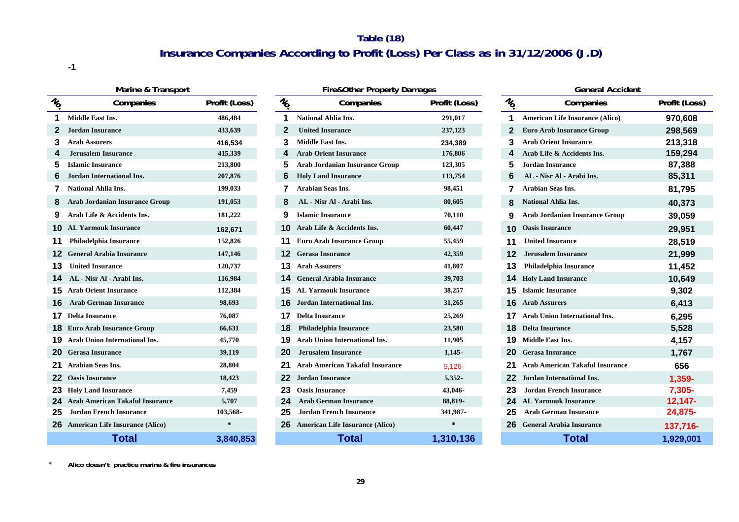## **Table (18) Insurance Companies According to Profit (Loss) Per Class as in 31/12/2006 (J.D)**

**-1**

| Marine & Transport |                                           |               |                 | <b>Fire&amp;Other Property Damages</b> |               |             | <b>General Accident</b>                |                    |  |  |
|--------------------|-------------------------------------------|---------------|-----------------|----------------------------------------|---------------|-------------|----------------------------------------|--------------------|--|--|
| $\frac{1}{6}$      | Companies                                 | Profit (Loss) | $\mathcal{U}_0$ | Companies                              | Profit (Loss) | $v_{\circ}$ | Companies                              | <b>Profit (Los</b> |  |  |
|                    | <b>Middle East Ins.</b>                   | 486,484       |                 | <b>National Ahlia Ins.</b>             | 291,017       |             | <b>American Life Insurance (Alico)</b> | 970,608            |  |  |
|                    | <b>Jordan Insurance</b>                   | 433,639       |                 | <b>United Insurance</b>                | 237,123       |             | <b>Euro Arab Insurance Group</b>       | 298,569            |  |  |
| 3.                 | <b>Arab Assurers</b>                      | 416,534       | 3               | <b>Middle East Ins.</b>                | 234,389       |             | <b>Arab Orient Insurance</b>           | 213,318            |  |  |
|                    | <b>Jerusalem Insurance</b>                | 415,339       |                 | <b>Arab Orient Insurance</b>           | 176,806       |             | Arab Life & Accidents Ins.             | 159,294            |  |  |
| 5                  | <b>Islamic Insurance</b>                  | 213,800       | 5               | <b>Arab Jordanian Insurance Group</b>  | 123,305       | 5           | <b>Jordan Insurance</b>                | 87,388             |  |  |
| 6                  | Jordan International Ins.                 | 207,876       | 6               | <b>Holy Land Insurance</b>             | 113,754       |             | AL - Nisr Al - Arabi Ins.              | 85,311             |  |  |
|                    | <b>National Ahlia Ins.</b>                | 199,033       |                 | <b>Arabian Seas Ins.</b>               | 98,451        |             | <b>Arabian Seas Ins.</b>               | 81,795             |  |  |
|                    | <b>Arab Jordanian Insurance Group</b>     | 191,053       | 8               | AL - Nisr Al - Arabi Ins.              | 80,605        | 8           | <b>National Ahlia Ins.</b>             | 40,373             |  |  |
|                    | Arab Life & Accidents Ins.                | 181,222       | 9               | <b>Islamic Insurance</b>               | 70,110        |             | <b>Arab Jordanian Insurance Group</b>  | 39,059             |  |  |
| 10.                | <b>AL Yarmouk Insurance</b>               | 162,671       |                 | Arab Life & Accidents Ins.             | 60,447        |             | <b>Oasis Insurance</b>                 | 29,951             |  |  |
| 11                 | Philadelphia Insurance                    | 152,826       |                 | <b>Euro Arab Insurance Group</b>       | 55,459        |             | <b>United Insurance</b>                | 28,519             |  |  |
| 12.                | <b>General Arabia Insurance</b>           | 147,146       | 12              | <b>Gerasa Insurance</b>                | 42,359        |             | <b>Jerusalem Insurance</b>             | 21,999             |  |  |
| 13                 | <b>United Insurance</b>                   | 120,737       | 13              | <b>Arab Assurers</b>                   | 41,807        |             | <b>Philadelphia Insurance</b>          | 11,452             |  |  |
|                    | AL - Nisr Al - Arabi Ins.                 | 116,984       |                 | <b>General Arabia Insurance</b>        | 39,703        |             | <b>Holy Land Insurance</b>             | 10,649             |  |  |
| 15.                | <b>Arab Orient Insurance</b>              | 112,384       | 15              | <b>AL Yarmouk Insurance</b>            | 38,257        |             | <b>Islamic Insurance</b>               | 9,302              |  |  |
| 16.                | <b>Arab German Insurance</b>              | 98,693        | 16              | Jordan International Ins.              | 31,265        | 16.         | <b>Arab Assurers</b>                   | 6,413              |  |  |
| 17                 | <b>Delta Insurance</b>                    | 76,087        | 17              | <b>Delta Insurance</b>                 | 25,269        |             | Arab Union International Ins.          | 6,295              |  |  |
|                    | <b>18</b> Euro Arab Insurance Group       | 66,631        | 18              | Philadelphia Insurance                 | 23,580        | 18          | <b>Delta Insurance</b>                 | 5,528              |  |  |
|                    | <b>19</b> Arab Union International Ins.   | 45,770        |                 | <b>Arab Union International Ins.</b>   | 11,905        |             | Middle East Ins.                       | 4,157              |  |  |
| 20                 | <b>Gerasa Insurance</b>                   | 39,119        | 20              | <b>Jerusalem Insurance</b>             | $1,145-$      | 20          | <b>Gerasa Insurance</b>                | 1,767              |  |  |
|                    | <b>Arabian Seas Ins.</b>                  | 28,804        |                 | <b>Arab American Takaful Insurance</b> | $5,126 -$     |             | <b>Arab American Takaful Insurance</b> | 656                |  |  |
| 22                 | <b>Oasis Insurance</b>                    | 18,423        | 22              | <b>Jordan Insurance</b>                | $5,352-$      | 22          | Jordan International Ins.              | 1,359-             |  |  |
|                    | <b>23</b> Holy Land Insurance             | 7,459         | 23              | <b>Oasis Insurance</b>                 | 43,046-       | 23          | <b>Jordan French Insurance</b>         | 7,305-             |  |  |
| 24                 | <b>Arab American Takaful Insurance</b>    | 5,707         | 24              | <b>Arab German Insurance</b>           | 88,819-       | 24          | <b>AL Yarmouk Insurance</b>            | $12,147-$          |  |  |
| 25                 | <b>Jordan French Insurance</b>            | 103,568-      | 25              | <b>Jordan French Insurance</b>         | 341,987-      |             | <b>Arab German Insurance</b>           | 24,875-            |  |  |
|                    | <b>26</b> American Life Insurance (Alico) |               | 26              | <b>American Life Insurance (Alico)</b> | $\star$       |             | <b>General Arabia Insurance</b>        | 137,716-           |  |  |
|                    | <b>Total</b>                              | 3,840,853     |                 | <b>Total</b>                           | 1,310,136     |             | <b>Total</b>                           | 1,929,00           |  |  |

| าe & Transport |               |                | Fire&Other Property Damages            | Ger           |                                                             |                             |  |
|----------------|---------------|----------------|----------------------------------------|---------------|-------------------------------------------------------------|-----------------------------|--|
| anies          | Profit (Loss) | $\bar{\psi}_0$ | Companies                              | Profit (Loss) | $\bar{\mathcal{U}}_{\!\!\!\!\!\!\!\!\!\circ\! \mathcal{U}}$ | Comp                        |  |
|                | 486,484       | 1              | <b>National Ahlia Ins.</b>             | 291,017       | 1                                                           | <b>American Life Insura</b> |  |
|                | 433,639       | $\mathbf{2}$   | <b>United Insurance</b>                | 237,123       | 2                                                           | <b>Euro Arab Insurance</b>  |  |
|                | 416,534       | 3              | <b>Middle East Ins.</b>                | 234,389       | 3                                                           | <b>Arab Orient Insurano</b> |  |
|                | 415,339       | 4              | <b>Arab Orient Insurance</b>           | 176,806       | 4                                                           | Arab Life & Accident        |  |
|                | 213,800       | 5              | <b>Arab Jordanian Insurance Group</b>  | 123,305       | 5                                                           | <b>Jordan Insurance</b>     |  |
| lns.           | 207,876       | 6              | <b>Holy Land Insurance</b>             | 113,754       | 6                                                           | AL - Nisr Al - Arabi        |  |
|                | 199,033       | 7              | <b>Arabian Seas Ins.</b>               | 98,451        | 7                                                           | <b>Arabian Seas Ins.</b>    |  |
| ance Group     | 191,053       | 8              | AL - Nisr Al - Arabi Ins.              | 80,605        | 8                                                           | <b>National Ahlia Ins.</b>  |  |
| s Ins.         | 181,222       | 9              | <b>Islamic Insurance</b>               | 70,110        | 9                                                           | Arab Jordanian Insur        |  |
| ce             | 162,671       | 10             | Arab Life & Accidents Ins.             | 60,447        | 10                                                          | <b>Oasis Insurance</b>      |  |
| ce             | 152,826       | 11             | <b>Euro Arab Insurance Group</b>       | 55,459        | 11                                                          | <b>United Insurance</b>     |  |
| ance           | 147,146       | 12             | <b>Gerasa Insurance</b>                | 42,359        | 12                                                          | <b>Jerusalem Insurance</b>  |  |
|                | 120,737       | 13             | <b>Arab Assurers</b>                   | 41,807        | 13                                                          | Philadelphia Insuran        |  |
| ns.            | 116,984       | 14             | <b>General Arabia Insurance</b>        | 39,703        | 14                                                          | <b>Holy Land Insurance</b>  |  |
| e              | 112,384       | 15             | <b>AL Yarmouk Insurance</b>            | 38,257        | 15                                                          | <b>Islamic Insurance</b>    |  |
| nce            | 98,693        | 16             | <b>Jordan International Ins.</b>       | 31,265        | 16                                                          | <b>Arab Assurers</b>        |  |
|                | 76,087        | 17             | <b>Delta Insurance</b>                 | 25,269        | 17                                                          | <b>Arab Union Internati</b> |  |
| Group          | 66,631        | 18             | Philadelphia Insurance                 | 23,580        | 18                                                          | <b>Delta Insurance</b>      |  |
| onal Ins.      | 45,770        | 19             | <b>Arab Union International Ins.</b>   | 11,905        | 19                                                          | <b>Middle East Ins.</b>     |  |
|                | 39,119        | 20             | <b>Jerusalem Insurance</b>             | $1,145-$      | 20                                                          | <b>Gerasa Insurance</b>     |  |
|                | 28,804        | 21             | <b>Arab American Takaful Insurance</b> | $5,126 -$     | 21                                                          | <b>Arab American Taka</b>   |  |
|                | 18,423        | 22             | <b>Jordan Insurance</b>                | 5,352-        | 22                                                          | <b>Jordan International</b> |  |
|                | 7,459         | 23             | <b>Oasis Insurance</b>                 | 43,046-       | 23                                                          | <b>Jordan French Insur</b>  |  |
| ul Insurance   | 5,707         | 24             | <b>Arab German Insurance</b>           | 88,819-       | 24                                                          | <b>AL Yarmouk Insurar</b>   |  |
| ance           | 103,568-      | 25             | <b>Jordan French Insurance</b>         | 341,987-      | 25                                                          | <b>Arab German Insura</b>   |  |
| nce (Alico)    | $\star$       | 26             | <b>American Life Insurance (Alico)</b> | $\ast$        | 26                                                          | <b>General Arabia Insur</b> |  |
|                | 3.840.853     |                | Total                                  | 1,310,136     |                                                             | Total                       |  |

|               |                                     | <b>Fire&amp;Other Property Damages</b> |               |                                             | <b>General Accident</b>                |               |
|---------------|-------------------------------------|----------------------------------------|---------------|---------------------------------------------|----------------------------------------|---------------|
| Profit (Loss) | $\tilde{\psi}_{\!\! \hat{Q}_{\!f}}$ | Companies                              | Profit (Loss) | $\bar{\mathcal{U}}_{\!\!\!\!\!\!\!\!\!\!O}$ | Companies                              | Profit (Loss) |
| 486,484       | 1                                   | <b>National Ahlia Ins.</b>             | 291,017       | 1                                           | <b>American Life Insurance (Alico)</b> | 970,608       |
| 433,639       | $\mathbf 2$                         | <b>United Insurance</b>                | 237,123       | 2                                           | <b>Euro Arab Insurance Group</b>       | 298,569       |
| 416,534       | 3                                   | <b>Middle East Ins.</b>                | 234,389       | 3                                           | <b>Arab Orient Insurance</b>           | 213,318       |
| 415,339       | 4                                   | <b>Arab Orient Insurance</b>           | 176,806       | 4                                           | Arab Life & Accidents Ins.             | 159,294       |
| 213,800       | 5                                   | <b>Arab Jordanian Insurance Group</b>  | 123,305       | 5                                           | <b>Jordan Insurance</b>                | 87,388        |
| 207,876       | 6                                   | <b>Holy Land Insurance</b>             | 113,754       | 6                                           | AL - Nisr Al - Arabi Ins.              | 85,311        |
| 199,033       | 7                                   | Arabian Seas Ins.                      | 98,451        | 7                                           | <b>Arabian Seas Ins.</b>               | 81,795        |
| 191,053       | 8                                   | AL - Nisr Al - Arabi Ins.              | 80,605        | 8                                           | <b>National Ahlia Ins.</b>             | 40,373        |
| 181,222       | 9                                   | <b>Islamic Insurance</b>               | 70,110        | 9                                           | <b>Arab Jordanian Insurance Group</b>  | 39,059        |
| 162,671       | 10                                  | Arab Life & Accidents Ins.             | 60,447        | 10                                          | <b>Oasis Insurance</b>                 | 29,951        |
| 152,826       | 11                                  | <b>Euro Arab Insurance Group</b>       | 55,459        | 11                                          | <b>United Insurance</b>                | 28,519        |
| 147,146       | 12                                  | <b>Gerasa Insurance</b>                | 42,359        | 12                                          | <b>Jerusalem Insurance</b>             | 21,999        |
| 120,737       | 13                                  | <b>Arab Assurers</b>                   | 41,807        | 13                                          | <b>Philadelphia Insurance</b>          | 11,452        |
| 116,984       | 14                                  | <b>General Arabia Insurance</b>        | 39,703        | 14                                          | <b>Holy Land Insurance</b>             | 10,649        |
| 112,384       | 15                                  | <b>AL Yarmouk Insurance</b>            | 38,257        | 15                                          | <b>Islamic Insurance</b>               | 9,302         |
| 98,693        | 16                                  | <b>Jordan International Ins.</b>       | 31,265        | 16                                          | <b>Arab Assurers</b>                   | 6,413         |
| 76,087        | 17                                  | <b>Delta Insurance</b>                 | 25,269        | 17                                          | <b>Arab Union International Ins.</b>   | 6,295         |
| 66,631        | 18                                  | Philadelphia Insurance                 | 23,580        | 18                                          | <b>Delta Insurance</b>                 | 5,528         |
| 45,770        | 19                                  | <b>Arab Union International Ins.</b>   | 11,905        | 19                                          | <b>Middle East Ins.</b>                | 4,157         |
| 39,119        | 20                                  | <b>Jerusalem Insurance</b>             | $1.145 -$     | 20                                          | <b>Gerasa Insurance</b>                | 1,767         |
| 28,804        | 21                                  | <b>Arab American Takaful Insurance</b> | $5.126 -$     | 21                                          | <b>Arab American Takaful Insurance</b> | 656           |
| 18,423        | 22                                  | <b>Jordan Insurance</b>                | $5,352-$      | 22                                          | Jordan International Ins.              | 1,359-        |
| 7,459         | 23                                  | <b>Oasis Insurance</b>                 | 43,046-       | 23                                          | <b>Jordan French Insurance</b>         | 7,305-        |
| 5,707         | 24                                  | <b>Arab German Insurance</b>           | 88,819-       | 24                                          | <b>AL Yarmouk Insurance</b>            | $12,147-$     |
| 103,568-      | 25                                  | <b>Jordan French Insurance</b>         | 341,987-      | 25                                          | <b>Arab German Insurance</b>           | 24,875-       |
| $\star$       | 26                                  | <b>American Life Insurance (Alico)</b> | $\ast$        | 26                                          | <b>General Arabia Insurance</b>        | 137,716-      |
| 3,840,853     |                                     | <b>Total</b>                           | 1,310,136     |                                             | <b>Total</b>                           | 1,929,001     |

\***Alico doesn't practice marine & fire insurances**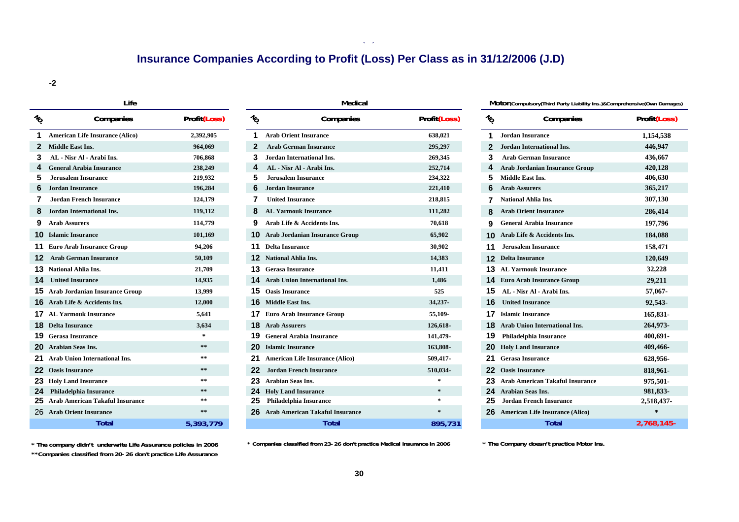## **Insurance Companies According to Profit (Loss) Per Class as in 31/12/2006 (J.D)**

**( )**

**-2**

|                                   | Life                                   |              |
|-----------------------------------|----------------------------------------|--------------|
| $v_{\!\scriptscriptstyle\!\!\!O}$ | Companies                              | Profit(Loss) |
| 1                                 | <b>American Life Insurance (Alico)</b> | 2,392,905    |
| $\overline{2}$                    | <b>Middle East Ins.</b>                | 964,069      |
| 3                                 | AL - Nisr Al - Arabi Ins.              | 706,868      |
| $\boldsymbol{4}$                  | <b>General Arabia Insurance</b>        | 238,249      |
| 5                                 | Jerusalem Insurance                    | 219,932      |
| 6                                 | Jordan Insurance                       | 196,284      |
| 7                                 | Jordan French Insurance                | 124,179      |
| 8                                 | <b>Jordan International Ins.</b>       | 119,112      |
| 9                                 | <b>Arab Assurers</b>                   | 114,779      |
|                                   | <b>10</b> Islamic Insurance            | 101,169      |
| 11                                | <b>Euro Arab Insurance Group</b>       | 94,206       |
| 12                                | <b>Arab German Insurance</b>           | 50,109       |
| 13 <sub>1</sub>                   | National Ahlia Ins.                    | 21,709       |
| 14                                | <b>United Insurance</b>                | 14,935       |
|                                   | 15 Arab Jordanian Insurance Group      | 13,999       |
| 16                                | Arab Life & Accidents Ins.             | 12,000       |
| 17                                | <b>AL Varmouk Insurance</b>            | 5,641        |
|                                   | <b>18</b> Delta Insurance              | 3,634        |
|                                   | <b>19</b> Gerasa Insurance             | $\star$      |
|                                   | 20 Arabian Seas Ins.                   | $* *$        |
| 21                                | <b>Arab Union International Ins.</b>   | **           |
| 22 <sub>2</sub>                   | <b>Oasis Insurance</b>                 | $***$        |
| 23                                | <b>Holy Land Insurance</b>             | **           |
| 24                                | Philadelphia Insurance                 | $* *$        |
| 25                                | <b>Arab American Takaful Insurance</b> | **           |
| 26                                | <b>Arab Orient Insurance</b>           | **           |
|                                   | Total                                  | 5 202 770    |

|    | Life                                     |              |                 | Medical                                  |              |               | MOTOT(Compulsory(Third Party Liability Ins.)&Comprehensive(Own Damages) |               |  |
|----|------------------------------------------|--------------|-----------------|------------------------------------------|--------------|---------------|-------------------------------------------------------------------------|---------------|--|
| %  | Companies                                | Profit(Loss) | $\mathcal{U}_O$ | Companies                                | Profit(Loss) | $\frac{1}{6}$ | Companies                                                               | Profit(Loss)  |  |
|    | <b>American Life Insurance (Alico)</b>   | 2,392,905    |                 | <b>Arab Orient Insurance</b>             | 638,021      |               | <b>Jordan Insurance</b>                                                 | 1,154,538     |  |
|    | 2 Middle East Ins.                       | 964,069      | 2               | <b>Arab German Insurance</b>             | 295,297      |               | Jordan International Ins.                                               | 446,947       |  |
| 3. | - Nisr Al - Arabi Ins.<br>AL.            | 706,868      | 3               | <b>Jordan International Ins.</b>         | 269,345      | 3             | <b>Arab German Insurance</b>                                            | 436,667       |  |
|    | <b>General Arabia Insurance</b>          | 238,249      |                 | AL - Nisr Al - Arabi Ins.                | 252,714      | 4             | Arab Jordanian Insurance Group                                          | 420,128       |  |
|    | <b>Jerusalem Insurance</b>               | 219,932      | 5               | <b>Jerusalem Insurance</b>               | 234,322      |               | <b>Middle East Ins.</b>                                                 | 406,630       |  |
|    | <b>Jordan Insurance</b>                  | 196,284      |                 | <b>Jordan Insurance</b>                  | 221,410      | 6             | <b>Arab Assurers</b>                                                    | 365,217       |  |
|    | <b>Jordan French Insurance</b>           | 124,179      |                 | <b>United Insurance</b>                  | 218,815      |               | <b>National Ahlia Ins.</b>                                              | 307,130       |  |
|    | Jordan International Ins.                | 119,112      |                 | <b>AL Yarmouk Insurance</b>              | 111,282      |               | <b>Arab Orient Insurance</b>                                            | 286,414       |  |
|    | 9 Arab Assurers                          | 114,779      | 9               | Arab Life & Accidents Ins.               | 70,618       | 9             | <b>General Arabia Insurance</b>                                         | 197,796       |  |
|    | <b>10</b> Islamic Insurance              | 101,169      |                 | <b>10</b> Arab Jordanian Insurance Group | 65,902       |               | <b>10</b> Arab Life & Accidents Ins.                                    | 184,088       |  |
|    | <b>11</b> Euro Arab Insurance Group      | 94,206       | 11              | <b>Delta Insurance</b>                   | 30,902       | 11            | <b>Jerusalem Insurance</b>                                              | 158,471       |  |
|    | <b>12</b> Arab German Insurance          | 50,109       |                 | <b>12</b> National Ahlia Ins.            | 14,383       |               | <b>12</b> Delta Insurance                                               | 120,649       |  |
|    | 13 National Ahlia Ins.                   | 21,709       | 13.             | <b>Gerasa Insurance</b>                  | 11,411       |               | <b>13</b> AL Yarmouk Insurance                                          | 32,228        |  |
|    | <b>14</b> United Insurance               | 14,935       |                 | <b>Arab Union International Ins.</b>     | 1,486        |               | <b>14</b> Euro Arab Insurance Group                                     | 29,211        |  |
|    | <b>15</b> Arab Jordanian Insurance Group | 13,999       | 15              | <b>Oasis Insurance</b>                   | 525          |               | <b>15</b> AL - Nisr Al - Arabi Ins.                                     | 57,067-       |  |
|    | <b>16</b> Arab Life & Accidents Ins.     | 12,000       |                 | <b>16</b> Middle East Ins.               | 34,237-      |               | <b>16</b> United Insurance                                              | 92,543-       |  |
|    | <b>17</b> AL Yarmouk Insurance           | 5,641        |                 | <b>17</b> Euro Arab Insurance Group      | 55,109-      |               | <b>17</b> Islamic Insurance                                             | 165,831-      |  |
|    | <b>18</b> Delta Insurance                | 3,634        |                 | <b>18</b> Arab Assurers                  | 126,618-     |               | <b>18</b> Arab Union International Ins.                                 | 264,973-      |  |
|    | <b>19</b> Gerasa Insurance               | $\star$      |                 | <b>19</b> General Arabia Insurance       | 141,479-     |               | <b>19</b> Philadelphia Insurance                                        | 400,691-      |  |
|    | 20 Arabian Seas Ins.                     | $\star\star$ |                 | <b>Islamic Insurance</b>                 | 163,808-     |               | <b>20</b> Holy Land Insurance                                           | 409,466-      |  |
|    | 21 Arab Union International Ins.         | $\ast\ast$   | 21.             | <b>American Life Insurance (Alico)</b>   | 509,417-     |               | <b>21</b> Gerasa Insurance                                              | 628,956-      |  |
|    | <b>22</b> Oasis Insurance                | $***$        | 22              | <b>Jordan French Insurance</b>           | 510,034-     |               | <b>22</b> Oasis Insurance                                               | 818,961-      |  |
|    | 23 Holy Land Insurance                   | $\ast\ast$   | 23              | <b>Arabian Seas Ins.</b>                 | $\star$      |               | 23 Arab American Takaful Insurance                                      | 975,501-      |  |
|    | 24 Philadelphia Insurance                | $**$         | 24              | <b>Holy Land Insurance</b>               |              |               | 24 Arabian Seas Ins.                                                    | 981,833-      |  |
|    | 25 Arab American Takaful Insurance       | $\pm\, \pm$  |                 | <b>Philadelphia Insurance</b>            | $\ast$       |               | <b>Jordan French Insurance</b>                                          | 2,518,437-    |  |
|    | 26 Arab Orient Insurance                 | $\ast\ast$   |                 | <b>Arab American Takaful Insurance</b>   | $\ast$       |               | 26 American Life Insurance (Alico)                                      |               |  |
|    | Total                                    | 5.393.779    |                 | Total                                    | 895.731      |               | <b>Total</b>                                                            | $2.768.145 -$ |  |

| Profit(Loss) | $\frac{1}{6}$ | Companies                              | Profit(Loss) | $\frac{1}{6}$ | Companies                              | Profit(Loss) |
|--------------|---------------|----------------------------------------|--------------|---------------|----------------------------------------|--------------|
| 2,392,905    | 1             | <b>Arab Orient Insurance</b>           | 638,021      | 1             | Jordan Insurance                       | 1,154,538    |
| 964,069      | 2             | <b>Arab German Insurance</b>           | 295,297      | 2             | Jordan International Ins.              | 446,947      |
| 706,868      | 3             | <b>Jordan International Ins.</b>       | 269,345      | 3             | <b>Arab German Insurance</b>           | 436,667      |
| 238,249      | 4             | AL - Nisr Al - Arabi Ins.              | 252,714      | 4             | <b>Arab Jordanian Insurance Group</b>  | 420,128      |
| 219,932      | 5             | <b>Jerusalem Insurance</b>             | 234,322      | 5             | <b>Middle East Ins.</b>                | 406,630      |
| 196,284      | 6             | <b>Jordan Insurance</b>                | 221,410      | 6             | <b>Arab Assurers</b>                   | 365,217      |
| 124,179      |               | <b>United Insurance</b>                | 218,815      |               | <b>National Ahlia Ins.</b>             | 307,130      |
| 119,112      | 8             | <b>AL Yarmouk Insurance</b>            | 111,282      | 8             | <b>Arab Orient Insurance</b>           | 286,414      |
| 114,779      | 9             | Arab Life & Accidents Ins.             | 70,618       | 9             | <b>General Arabia Insurance</b>        | 197,796      |
| 101,169      | 10            | <b>Arab Jordanian Insurance Group</b>  | 65,902       | 10            | Arab Life & Accidents Ins.             | 184,088      |
| 94,206       | 11            | <b>Delta Insurance</b>                 | 30,902       | 11            | <b>Jerusalem Insurance</b>             | 158,471      |
| 50,109       | 12            | <b>National Ahlia Ins.</b>             | 14,383       | 12            | <b>Delta Insurance</b>                 | 120,649      |
| 21,709       | 13            | <b>Gerasa Insurance</b>                | 11,411       | 13            | <b>AL Yarmouk Insurance</b>            | 32,228       |
| 14,935       | 14            | <b>Arab Union International Ins.</b>   | 1,486        | 14            | <b>Euro Arab Insurance Group</b>       | 29,211       |
| 13,999       | 15            | <b>Oasis Insurance</b>                 | 525          | 15            | AL - Nisr Al - Arabi Ins.              | 57,067-      |
| 12,000       | 16            | <b>Middle East Ins.</b>                | 34,237-      | 16            | <b>United Insurance</b>                | 92,543-      |
| 5,641        |               | <b>Euro Arab Insurance Group</b>       | 55,109-      | 17            | <b>Islamic Insurance</b>               | 165,831-     |
| 3,634        | 18.           | <b>Arab Assurers</b>                   | 126,618-     | 18            | <b>Arab Union International Ins.</b>   | 264,973-     |
| $\ast$       | 19            | <b>General Arabia Insurance</b>        | 141,479-     | 19            | Philadelphia Insurance                 | 400,691-     |
| $\star\star$ | 20            | <b>Islamic Insurance</b>               | 163,808-     | 20            | <b>Holy Land Insurance</b>             | 409,466-     |
| $* *$        | 21            | <b>American Life Insurance (Alico)</b> | 509,417-     | 21            | <b>Gerasa Insurance</b>                | 628,956-     |
| **           | 22            | <b>Jordan French Insurance</b>         | 510,034-     | 22            | <b>Oasis Insurance</b>                 | 818,961-     |
| $***$        | 23            | <b>Arabian Seas Ins.</b>               | $\pm$        | 23            | <b>Arab American Takaful Insurance</b> | 975,501-     |
| $***$        | 24            | <b>Holy Land Insurance</b>             | $\star$      | 24            | <b>Arabian Seas Ins.</b>               | 981,833-     |
| **           | 25            | <b>Philadelphia Insurance</b>          | $\star$      | 25            | <b>Jordan French Insurance</b>         | 2,518,437-   |
| $***$        | 26            | <b>Arab American Takaful Insurance</b> | $\star$      | 26            | <b>American Life Insurance (Alico)</b> | $\ast$       |
| 5,393,779    |               | <b>Total</b>                           | 895,731      |               | <b>Total</b>                           | 2,768,145-   |

**\* The company didn't underwrite Life Assurance policies in 2006 \* Companies classified from 23-26 don't practice Medical Insurance in 2006 \* The Company doesn't practice Motor Ins.**

**\*\*Companies classified from 20-26 don't practice Life Assurance**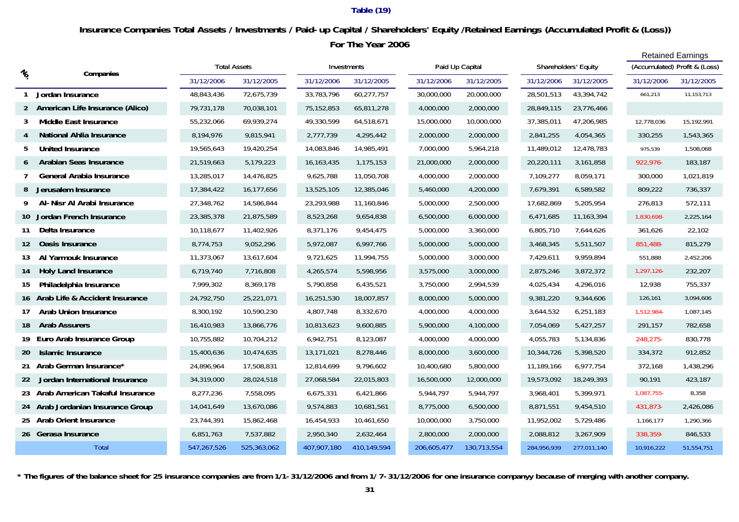### **Table (19)**

## **For The Year 2006 Insurance Companies Total Assets / Investments / Paid-up Capital / Shareholders' Equity /Retained Earnings (Accumulated Profit & (Loss))**

|                                               |                                    |                     |             |              |             |  |                 |             |             |                      |  | <b>Retained Earnings</b> |                               |  |
|-----------------------------------------------|------------------------------------|---------------------|-------------|--------------|-------------|--|-----------------|-------------|-------------|----------------------|--|--------------------------|-------------------------------|--|
| $\frac{\eta_{\mathrm{O}}}{\eta_{\mathrm{O}}}$ | Companies                          | <b>Total Assets</b> |             |              | Investments |  | Paid Up Capital |             |             | Shareholders' Equity |  |                          | (Accumulated) Profit & (Loss) |  |
|                                               |                                    | 31/12/2006          | 31/12/2005  | 31/12/2006   | 31/12/2005  |  | 31/12/2006      | 31/12/2005  | 31/12/2006  | 31/12/2005           |  | 31/12/2006               | 31/12/2005                    |  |
|                                               | Jordan Insurance                   | 48,843,436          | 72,675,739  | 33,783,796   | 60,277,757  |  | 30,000,000      | 20,000,000  | 28,501,513  | 43,394,742           |  | 661,213                  | 11,153,713                    |  |
| 2                                             | American Life Insurance (Alico)    | 79,731,178          | 70,038,101  | 75,152,853   | 65,811,278  |  | 4,000,000       | 2,000,000   | 28,849,115  | 23,776,466           |  |                          |                               |  |
| 3                                             | Middle East Insurance              | 55,232,066          | 69,939,274  | 49,330,599   | 64,518,671  |  | 15,000,000      | 10,000,000  | 37,385,011  | 47,206,985           |  | 12,778,036               | 15,192,991                    |  |
|                                               | National Ahlia Insurance           | 8,194,976           | 9,815,941   | 2,777,739    | 4,295,442   |  | 2,000,000       | 2,000,000   | 2,841,255   | 4,054,365            |  | 330,255                  | 1,543,365                     |  |
| 5                                             | <b>United Insurance</b>            | 19,565,643          | 19,420,254  | 14,083,846   | 14,985,491  |  | 7,000,000       | 5,964,218   | 11,489,012  | 12,478,783           |  | 975,539                  | 1,508,068                     |  |
| 6                                             | Arabian Seas Insurance             | 21,519,663          | 5,179,223   | 16, 163, 435 | 1,175,153   |  | 21,000,000      | 2,000,000   | 20,220,111  | 3,161,858            |  | 922,976-                 | 183,187                       |  |
| 7                                             | General Arabia Insurance           | 13,285,017          | 14,476,825  | 9,625,788    | 11,050,708  |  | 4,000,000       | 2,000,000   | 7,109,277   | 8,059,171            |  | 300,000                  | 1,021,819                     |  |
| 8                                             | Jerusalem Insurance                | 17,384,422          | 16,177,656  | 13,525,105   | 12,385,046  |  | 5,460,000       | 4,200,000   | 7,679,391   | 6,589,582            |  | 809,222                  | 736,337                       |  |
| 9                                             | Al-Nisr Al Arabi Insurance         | 27,348,762          | 14,586,844  | 23,293,988   | 11,160,846  |  | 5,000,000       | 2,500,000   | 17,682,869  | 5,205,954            |  | 276,813                  | 572,111                       |  |
| 10                                            | Jordan French Insurance            | 23,385,378          | 21,875,589  | 8,523,268    | 9,654,838   |  | 6,500,000       | 6,000,000   | 6,471,685   | 11,163,394           |  | 1,830,698-               | 2,225,164                     |  |
| 11                                            | Delta Insurance                    | 10,118,677          | 11,402,926  | 8,371,176    | 9,454,475   |  | 5,000,000       | 3,360,000   | 6,805,710   | 7,644,626            |  | 361,626                  | 22,102                        |  |
| 12                                            | Oasis Insurance                    | 8,774,753           | 9,052,296   | 5,972,087    | 6,997,766   |  | 5,000,000       | 5,000,000   | 3,468,345   | 5,511,507            |  | 851,488-                 | 815,279                       |  |
| 13                                            | Al Yarmouk Insurance               | 11,373,067          | 13,617,604  | 9,721,625    | 11,994,755  |  | 5,000,000       | 3,000,000   | 7,429,611   | 9,959,894            |  | 551,888                  | 2,452,206                     |  |
| 14                                            | <b>Holy Land Insurance</b>         | 6,719,740           | 7,716,808   | 4,265,574    | 5,598,956   |  | 3,575,000       | 3,000,000   | 2,875,246   | 3,872,372            |  | 1,297,126-               | 232,207                       |  |
| 15                                            | Philadelphia Insurance             | 7,999,302           | 8,369,178   | 5,790,858    | 6,435,521   |  | 3,750,000       | 2,994,539   | 4,025,434   | 4,296,016            |  | 12,938                   | 755,337                       |  |
|                                               | 16 Arab Life & Accident Insurance  | 24,792,750          | 25,221,071  | 16,251,530   | 18,007,857  |  | 8,000,000       | 5,000,000   | 9,381,220   | 9,344,606            |  | 126,161                  | 3,094,606                     |  |
| 17                                            | <b>Arab Union Insurance</b>        | 8,300,192           | 10,590,230  | 4,807,748    | 8,332,670   |  | 4,000,000       | 4,000,000   | 3,644,532   | 6,251,183            |  | 1,512,984-               | 1,087,145                     |  |
| 18                                            | <b>Arab Assurers</b>               | 16,410,983          | 13,866,776  | 10,813,623   | 9,600,885   |  | 5,900,000       | 4,100,000   | 7,054,069   | 5,427,257            |  | 291,157                  | 782,658                       |  |
| 19                                            | Euro Arab Insurance Group          | 10,755,882          | 10,704,212  | 6,942,751    | 8,123,087   |  | 4,000,000       | 4,000,000   | 4,055,783   | 5,134,836            |  | 248,275-                 | 830,778                       |  |
| 20                                            | Islamic Insurance                  | 15,400,636          | 10,474,635  | 13,171,021   | 8,278,446   |  | 8,000,000       | 3,600,000   | 10,344,726  | 5,398,520            |  | 334,372                  | 912,852                       |  |
|                                               | 21 Arab German Insurance*          | 24,896,964          | 17,508,831  | 12,814,699   | 9,796,602   |  | 10,400,680      | 5,800,000   | 11,189,166  | 6,977,754            |  | 372,168                  | 1,438,296                     |  |
| 22                                            | Jordan International Insurance     | 34,319,000          | 28,024,518  | 27,068,584   | 22,015,803  |  | 16,500,000      | 12,000,000  | 19,573,092  | 18,249,393           |  | 90,191                   | 423,187                       |  |
|                                               | 23 Arab American Takaful Insurance | 8,277,236           | 7,558,095   | 6,675,331    | 6,421,866   |  | 5,944,797       | 5,944,797   | 3,968,401   | 5,399,971            |  | 1,087,755-               | 8,358                         |  |
|                                               | 24 Arab Jordanian Insurance Group  | 14,041,649          | 13,670,086  | 9,574,883    | 10,681,561  |  | 8,775,000       | 6,500,000   | 8,871,551   | 9,454,510            |  | 431,873-                 | 2,426,086                     |  |
|                                               | 25 Arab Orient Insurance           | 23,744,391          | 15,862,468  | 16,454,933   | 10,461,650  |  | 10,000,000      | 3,750,000   | 11,952,002  | 5,729,486            |  | 1,166,177                | 1,290,366                     |  |
|                                               | 26 Gerasa Insurance                | 6,851,763           | 7,537,882   | 2,950,340    | 2,632,464   |  | 2,800,000       | 2,000,000   | 2,088,812   | 3,267,909            |  | 338,359-                 | 846,533                       |  |
|                                               | <b>Total</b>                       | 547,267,526         | 525,363,062 | 407,907,180  | 410,149,594 |  | 206,605,477     | 130,713,554 | 284,956,939 | 277,011,140          |  | 10,916,222               | 51,554,751                    |  |

**\* The figures of the balance sheet for 25 insurance companies are from 1/1-31/12/2006 and from 1/ 7-31/12/2006 for one insurance companyy because of merging with another company.**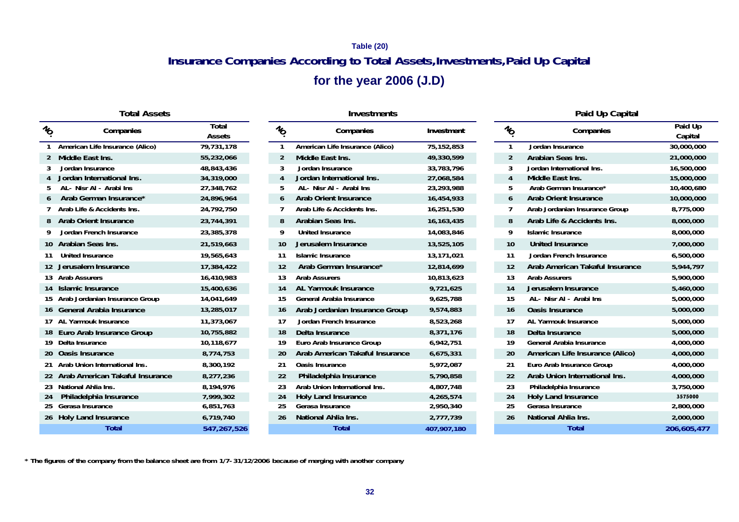## **Insurance Companies According to Total Assets,Investments,Paid Up Capital Table (20)**

## **for the year 2006 (J.D)**

| <b>Total Assets</b> |
|---------------------|
|                     |

| $\mathcal{U}_O$ | Companies                          | TOlai<br>Assets | $\mathcal{U}_O$   | Companies                       | Investment   | $\frac{1}{2}$ | Companies                       | Palu Up<br>Capital |
|-----------------|------------------------------------|-----------------|-------------------|---------------------------------|--------------|---------------|---------------------------------|--------------------|
|                 | American Life Insurance (Alico)    | 79,731,178      |                   | American Life Insurance (Alico) | 75, 152, 853 |               | Jordan Insurance                | 30,000,000         |
|                 | 2 Middle East Ins.                 | 55,232,066      | 2                 | Middle East Ins.                | 49,330,599   | 2             | Arabian Seas Ins.               | 21,000,000         |
|                 | Jordan Insurance                   | 48,843,436      | 3                 | Jordan Insurance                | 33,783,796   |               | Jordan International Ins.       | 16,500,000         |
|                 | Jordan International Ins.          | 34,319,000      | $\overline{4}$    | Jordan International Ins.       | 27,068,584   | 4             | Middle East Ins.                | 15,000,000         |
|                 | AL- Nisr AI - Arabi Ins            | 27,348,762      | 5                 | AL- Nisr AI - Arabi Ins         | 23,293,988   |               | Arab German Insurance*          | 10,400,680         |
| 6               | Arab German Insurance*             | 24,896,964      | 6                 | <b>Arab Orient Insurance</b>    | 16,454,933   | 6             | <b>Arab Orient Insurance</b>    | 10,000,000         |
|                 | Arab Life & Accidents Ins.         | 24,792,750      |                   | Arab Life & Accidents Ins.      | 16,251,530   |               | Arab Jordanian Insurance Group  | 8,775,000          |
|                 | 8 Arab Orient Insurance            | 23,744,391      | 8                 | Arabian Seas Ins.               | 16, 163, 435 | 8             | Arab Life & Accidents Ins.      | 8,000,000          |
|                 | Jordan French Insurance            | 23,385,378      | 9                 | <b>United Insurance</b>         | 14,083,846   |               | <b>Islamic Insurance</b>        | 8,000,000          |
|                 | 10 Arabian Seas Ins.               | 21,519,663      | 10                | Jerusalem Insurance             | 13,525,105   | 10            | United Insurance                | 7,000,000          |
|                 | <b>United Insurance</b>            | 19,565,643      | 11                | <b>Islamic Insurance</b>        | 13,171,021   | 11            | Jordan French Insurance         | 6,500,000          |
|                 | 12 Jerusalem Insurance             | 17,384,422      | $12 \overline{ }$ | Arab German Insurance*          | 12,814,699   | 12            | Arab American Takaful Insurance | 5,944,797          |
|                 | 13 Arab Assurers                   | 16,410,983      | 13                | <b>Arab Assurers</b>            | 10,813,623   | 13            | <b>Arab Assurers</b>            | 5,900,000          |
|                 | 14 Islamic Insurance               | 15,400,636      | 14                | AL Yarmouk Insurance            | 9,721,625    | 14            | Jerusalem Insurance             | 5,460,000          |
|                 | 15 Arab Jordanian Insurance Group  | 14,041,649      | 15                | General Arabia Insurance        | 9,625,788    | 15            | AL- Nisr AI - Arabi Ins         | 5,000,000          |
|                 | 16 General Arabia Insurance        | 13,285,017      | 16                | Arab Jordanian Insurance Group  | 9,574,883    | 16            | <b>Oasis Insurance</b>          | 5,000,000          |
|                 | 17 AL Yarmouk Insurance            | 11,373,067      | 17                | Jordan French Insurance         | 8,523,268    | 17            | AL Yarmouk Insurance            | 5,000,000          |
|                 | 18 Euro Arab Insurance Group       | 10,755,882      | 18                | Delta Insurance                 | 8,371,176    | 18            | Delta Insurance                 | 5,000,000          |
|                 | 19 Delta Insurance                 | 10,118,677      | 19                | Euro Arab Insurance Group       | 6,942,751    | 19            | General Arabia Insurance        | 4,000,000          |
|                 | 20 Oasis Insurance                 | 8,774,753       | 20                | Arab American Takaful Insurance | 6,675,331    | 20            | American Life Insurance (Alico) | 4,000,000          |
|                 | 21 Arab Union International Ins.   | 8,300,192       | 21                | <b>Oasis Insurance</b>          | 5,972,087    | 21            | Euro Arab Insurance Group       | 4,000,000          |
|                 | 22 Arab American Takaful Insurance | 8,277,236       | 22                | Philadelphia Insurance          | 5,790,858    | 22            | Arab Union International Ins.   | 4,000,000          |
|                 | 23 National Ahlia Ins.             | 8,194,976       | 23                | Arab Union International Ins.   | 4,807,748    | 23            | Philadelphia Insurance          | 3,750,000          |
| 24              | Philadelphia Insurance             | 7,999,302       | 24                | <b>Holy Land Insurance</b>      | 4,265,574    | 24            | <b>Holy Land Insurance</b>      | 3575000            |
|                 | 25 Gerasa Insurance                | 6,851,763       | 25                | Gerasa Insurance                | 2,950,340    | 25            | Gerasa Insurance                | 2,800,000          |
|                 | 26 Holy Land Insurance             | 6,719,740       | 26                | National Ahlia Ins.             | 2,777,739    | 26            | National Ahlia Ins.             | 2,000,000          |
|                 | <b>Total</b>                       | 547,267,526     |                   | <b>Total</b>                    | 407,907,180  |               | <b>Total</b>                    | 206,605,47         |

| <b>Total Assets</b> |                        |                 | <b>Investments</b>              |              |                 | Paid Up Capital                 |                    |  |
|---------------------|------------------------|-----------------|---------------------------------|--------------|-----------------|---------------------------------|--------------------|--|
| Companies           | Total<br><b>Assets</b> | $\mathcal{U}_O$ | Companies                       | Investment   | $\mathcal{U}_O$ | Companies                       | Paid Up<br>Capital |  |
| Insurance (Alico)   | 79,731,178             | 1               | American Life Insurance (Alico) | 75,152,853   | -1              | Jordan Insurance                | 30,000,00          |  |
| ٦S.                 | 55,232,066             | $\overline{2}$  | Middle East Ins.                | 49,330,599   | $\overline{2}$  | Arabian Seas Ins.               | 21,000,00          |  |
| nce                 | 48,843,436             | 3               | Jordan Insurance                | 33,783,796   | 3               | Jordan International Ins.       | 16,500,00          |  |
| ational Ins.        | 34,319,000             | 4               | Jordan International Ins.       | 27,068,584   | 4               | Middle East Ins.                | 15,000,00          |  |
| Arabi Ins           | 27,348,762             | 5               | AL- Nisr AI - Arabi Ins         | 23,293,988   | 5               | Arab German Insurance*          | 10,400,68          |  |
| n Insurance*        | 24,896,964             | 6               | <b>Arab Orient Insurance</b>    | 16,454,933   | 6               | <b>Arab Orient Insurance</b>    | 10,000,00          |  |
| cidents Ins.        | 24,792,750             | 7               | Arab Life & Accidents Ins.      | 16,251,530   |                 | Arab Jordanian Insurance Group  | 8,775,00           |  |
| nsurance            | 23,744,391             | 8               | Arabian Seas Ins.               | 16, 163, 435 | 8               | Arab Life & Accidents Ins.      | 8,000,00           |  |
| Insurance           | 23,385,378             | 9               | <b>United Insurance</b>         | 14,083,846   | 9               | <b>Islamic Insurance</b>        | 8,000,00           |  |
| Ins.                | 21,519,663             | 10              | Jerusalem Insurance             | 13,525,105   | 10              | <b>United Insurance</b>         | 7,000,00           |  |
| ıce                 | 19,565,643             | 11              | <b>Islamic Insurance</b>        | 13,171,021   | 11              | Jordan French Insurance         | 6,500,00           |  |
| surance             | 17,384,422             | 12              | Arab German Insurance*          | 12,814,699   | 12              | Arab American Takaful Insurance | 5,944,79           |  |
|                     | 16,410,983             | 13              | <b>Arab Assurers</b>            | 10,813,623   | 13              | <b>Arab Assurers</b>            | 5,900,00           |  |
| ance                | 15,400,636             | 14              | AL Yarmouk Insurance            | 9,721,625    | 14              | Jerusalem Insurance             | 5,460,00           |  |
| Insurance Group     | 14,041,649             | 15              | General Arabia Insurance        | 9,625,788    | 15              | AL- Nisr Al - Arabi Ins         | 5,000,00           |  |
| ia Insurance        | 13,285,017             | 16              | Arab Jordanian Insurance Group  | 9,574,883    | 16              | <b>Oasis Insurance</b>          | 5,000,00           |  |
| surance             | 11,373,067             | 17              | Jordan French Insurance         | 8,523,268    | 17              | AL Yarmouk Insurance            | 5,000,00           |  |
| surance Group       | 10,755,882             | 18              | Delta Insurance                 | 8,371,176    | 18              | Delta Insurance                 | 5,000,00           |  |
|                     | 10,118,677             | 19              | Euro Arab Insurance Group       | 6,942,751    | 19              | <b>General Arabia Insurance</b> | 4,000,00           |  |
| ıce                 | 8,774,753              | 20              | Arab American Takaful Insurance | 6,675,331    | 20              | American Life Insurance (Alico) | 4,000,00           |  |
| ernational Ins.     | 8,300,192              | 21              | Oasis Insurance                 | 5,972,087    | 21              | Euro Arab Insurance Group       | 4,000,00           |  |
| n Takaful Insurance | 8,277,236              | 22              | Philadelphia Insurance          | 5,790,858    | 22              | Arab Union International Ins.   | 4,000,00           |  |
| lns.                | 8,194,976              | 23              | Arab Union International Ins.   | 4,807,748    | 23              | Philadelphia Insurance          | 3,750,00           |  |
| <b>Insurance</b>    | 7,999,302              | 24              | <b>Holy Land Insurance</b>      | 4,265,574    | 24              | Holy Land Insurance             | 3575000            |  |
| ıce                 | 6,851,763              | 25              | Gerasa Insurance                | 2,950,340    | 25              | Gerasa Insurance                | 2,800,00           |  |
| surance             | 6,719,740              | 26              | National Ahlia Ins.             | 2,777,739    | 26              | National Ahlia Ins.             | 2,000,00           |  |
| <b>Total</b>        | 547.267.526            |                 | Total                           | 407.907.180  |                 | <b>Total</b>                    | 206.605.4          |  |

|                              |                                 | Palu Up    |
|------------------------------|---------------------------------|------------|
| $v_{\!\scriptscriptstyle O}$ | Companies                       | Capital    |
| 1                            | Jordan Insurance                | 30,000,000 |
| $\mathcal{P}$                | Arabian Seas Ins.               | 21,000,000 |
| 3                            | Jordan International Ins.       | 16,500,000 |
| 4                            | Middle East Ins.                | 15,000,000 |
| 5                            | Arab German Insurance*          | 10,400,680 |
| 6                            | Arab Orient Insurance           | 10,000,000 |
| 7                            | Arab Jordanian Insurance Group  | 8,775,000  |
| 8                            | Arab Life & Accidents Ins.      | 8,000,000  |
| 9                            | Islamic Insurance               | 8,000,000  |
| 10                           | United Insurance                | 7,000,000  |
| 11                           | Jordan French Insurance         | 6,500,000  |
| 12                           | Arab American Takaful Insurance | 5,944,797  |
| 13                           | <b>Arab Assurers</b>            | 5,900,000  |
| 14                           | Jerusalem Insurance             | 5,460,000  |
| 15                           | AL- Nisr AI - Arabi Ins         | 5,000,000  |
| 16                           | <b>Oasis Insurance</b>          | 5,000,000  |

 **\* The figures of the company from the balance sheet are from 1/7-31/12/2006 because of merging with another company**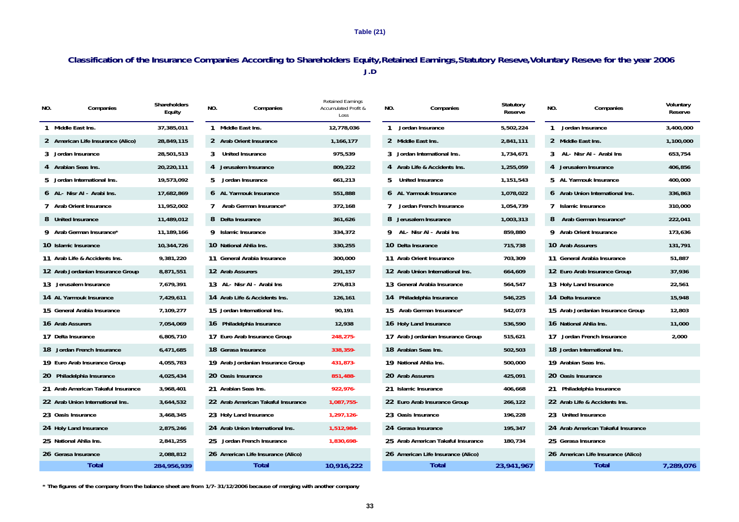**Table (21)**

### **Classification of the Insurance Companies According to Shareholders Equity,Retained Earnings,Statutory Reseve,Voluntary Reseve for the year 2006 J.D**

| NO. | Companies                          | Shareholders<br>Equity | NO. | Companies                          | <b>Retained Earnings</b><br><b>Accumulated Profit &amp;</b><br>Loss | NO. | Companies                          | Statutory<br>Reserve | NO. | Companies                          | Voluntary<br>Reserve |
|-----|------------------------------------|------------------------|-----|------------------------------------|---------------------------------------------------------------------|-----|------------------------------------|----------------------|-----|------------------------------------|----------------------|
|     | 1 Middle East Ins.                 | 37.385.011             |     | 1 Middle East Ins.                 | 12.778.036                                                          |     | 1 Jordan Insurance                 | 5,502,224            |     | 1 Jordan Insurance                 | 3,400,000            |
|     | 2 American Life Insurance (Alico)  | 28,849,115             |     | 2 Arab Orient Insurance            | 1,166,177                                                           |     | 2 Middle East Ins.                 | 2,841,111            |     | 2 Middle East Ins.                 | 1,100,000            |
|     | 3 Jordan Insurance                 | 28,501,513             |     | 3 United Insurance                 | 975,539                                                             |     | 3 Jordan International Ins.        | 1,734,671            |     | 3 AL- Nisr Al - Arabi Ins          | 653,754              |
|     | 4 Arabian Seas Ins.                | 20,220,111             |     | 4 Jerusalem Insurance              | 809,222                                                             |     | 4 Arab Life & Accidents Ins.       | 1,255,059            |     | 4 Jerusalem Insurance              | 406,856              |
|     | 5 Jordan International Ins.        | 19,573,092             | 5.  | Jordan Insurance                   | 661,213                                                             | 5   | <b>United Insurance</b>            | 1,151,543            |     | 5 AL Yarmouk Insurance             | 400,000              |
|     | 6 AL- Nisr Al - Arabi Ins.         | 17,682,869             |     | 6 AL Yarmouk Insurance             | 551,888                                                             |     | 6 AL Yarmouk Insurance             | 1,078,022            |     | 6 Arab Union International Ins.    | 336,863              |
|     | 7 Arab Orient Insurance            | 11,952,002             |     | Arab German Insurance*             | 372,168                                                             |     | Jordan French Insurance            | 1,054,739            |     | 7 Islamic Insurance                | 310,000              |
|     | 8 United Insurance                 | 11,489,012             |     | 8 Delta Insurance                  | 361,626                                                             |     | 8 Jerusalem Insurance              | 1,003,313            |     | 8 Arab German Insurance*           | 222,041              |
|     | 9 Arab German Insurance*           | 11,189,166             |     | 9 Islamic Insurance                | 334,372                                                             |     | 9 AL-Nisr AI - Arabi Ins           | 859,880              |     | 9 Arab Orient Insurance            | 173,636              |
|     | 10 Islamic Insurance               | 10,344,726             |     | 10 National Ahlia Ins.             | 330,255                                                             |     | 10 Delta Insurance                 | 715,738              |     | 10 Arab Assurers                   | 131,791              |
|     | 11 Arab Life & Accidents Ins.      | 9,381,220              |     | 11 General Arabia Insurance        | 300,000                                                             |     | 11 Arab Orient Insurance           | 703,309              |     | 11 General Arabia Insurance        | 51,887               |
|     | 12 Arab Jordanian Insurance Group  | 8,871,551              |     | 12 Arab Assurers                   | 291,157                                                             |     | 12 Arab Union International Ins.   | 664,609              |     | 12 Euro Arab Insurance Group       | 37,936               |
|     | 13 Jerusalem Insurance             | 7,679,391              |     | 13 AL-Nisr AI - Arabi Ins          | 276,813                                                             |     | 13 General Arabia Insurance        | 564,547              |     | 13 Holy Land Insurance             | 22,561               |
|     | 14 AL Yarmouk Insurance            | 7,429,611              |     | 14 Arab Life & Accidents Ins.      | 126,161                                                             |     | 14 Philadelphia Insurance          | 546,225              |     | 14 Delta Insurance                 | 15,948               |
|     | 15 General Arabia Insurance        | 7,109,277              |     | 15 Jordan International Ins.       | 90,191                                                              |     | 15 Arab German Insurance*          | 542,073              |     | 15 Arab Jordanian Insurance Group  | 12,803               |
|     | 16 Arab Assurers                   | 7,054,069              |     | 16 Philadelphia Insurance          | 12,938                                                              |     | 16 Holy Land Insurance             | 536,590              |     | 16 National Ahlia Ins.             | 11,000               |
|     | 17 Delta Insurance                 | 6,805,710              |     | 17 Euro Arab Insurance Group       | 248,275-                                                            |     | 17 Arab Jordanian Insurance Group  | 515,621              |     | 17 Jordan French Insurance         | 2,000                |
|     | 18 Jordan French Insurance         | 6,471,685              |     | 18 Gerasa Insurance                | 338,359-                                                            |     | 18 Arabian Seas Ins.               | 502,503              |     | 18 Jordan International Ins.       |                      |
|     | 19 Euro Arab Insurance Group       | 4,055,783              |     | 19 Arab Jordanian Insurance Group  | 431,873-                                                            |     | 19 National Ahlia Ins.             | 500,000              |     | 19 Arabian Seas Ins.               |                      |
|     | 20 Philadelphia Insurance          | 4,025,434              |     | 20 Oasis Insurance                 | 851,488-                                                            |     | 20 Arab Assurers                   | 425,091              |     | 20 Oasis Insurance                 |                      |
|     | 21 Arab American Takaful Insurance | 3,968,401              |     | 21 Arabian Seas Ins.               | 922.976-                                                            |     | 21 Islamic Insurance               | 406,668              |     | 21 Philadelphia Insurance          |                      |
|     | 22 Arab Union International Ins.   | 3,644,532              |     | 22 Arab American Takaful Insurance | 1,087,755-                                                          |     | 22 Euro Arab Insurance Group       | 266,122              |     | 22 Arab Life & Accidents Ins.      |                      |
|     | 23 Oasis Insurance                 | 3,468,345              |     | 23 Holy Land Insurance             | 1,297,126-                                                          |     | 23 Oasis Insurance                 | 196,228              |     | 23 United Insurance                |                      |
|     | 24 Holy Land Insurance             | 2,875,246              |     | 24 Arab Union International Ins.   | 1,512,984-                                                          |     | 24 Gerasa Insurance                | 195,347              |     | 24 Arab American Takaful Insurance |                      |
|     | 25 National Ahlia Ins.             | 2,841,255              | 25  | Jordan French Insurance            | 1,830,698-                                                          |     | 25 Arab American Takaful Insurance | 180,734              |     | 25 Gerasa Insurance                |                      |
|     | 26 Gerasa Insurance                | 2,088,812              |     | 26 American Life Insurance (Alico) |                                                                     |     | 26 American Life Insurance (Alico) |                      |     | 26 American Life Insurance (Alico) |                      |
|     | <b>Total</b>                       | 284,956,939            |     | Total                              | 10,916,222                                                          |     | Total                              | 23,941,967           |     | Total                              | 7,289,076            |

 **\* The figures of the company from the balance sheet are from 1/7-31/12/2006 because of merging with another company**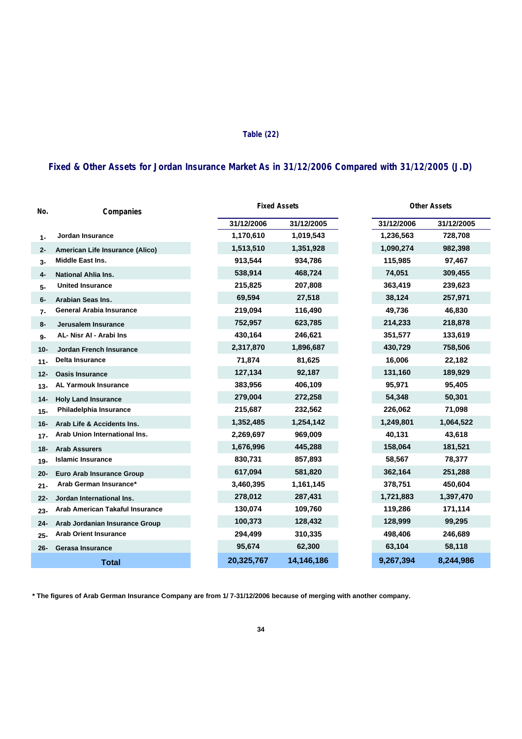#### **Table (22)**

## **Fixed & Other Assets for Jordan Insurance Market As in 31/12/2006 Compared with 31/12/2005 (J.D)**

| No.    | Companies                        |            | <b>Fixed Assets</b> | <b>Other Assets</b> |            |            |  |
|--------|----------------------------------|------------|---------------------|---------------------|------------|------------|--|
|        |                                  | 31/12/2006 | 31/12/2005          |                     | 31/12/2006 | 31/12/2005 |  |
| 1-     | Jordan Insurance                 | 1,170,610  | 1,019,543           |                     | 1,236,563  | 728,708    |  |
| $2 -$  | American Life Insurance (Alico)  | 1,513,510  | 1,351,928           |                     | 1,090,274  | 982,398    |  |
| 3-     | Middle East Ins.                 | 913,544    | 934,786             |                     | 115,985    | 97,467     |  |
| 4-     | <b>National Ahlia Ins.</b>       | 538,914    | 468,724             |                     | 74,051     | 309,455    |  |
| 5-     | <b>United Insurance</b>          | 215,825    | 207,808             |                     | 363,419    | 239,623    |  |
| 6-     | Arabian Seas Ins.                | 69,594     | 27,518              |                     | 38,124     | 257,971    |  |
| $7-$   | <b>General Arabia Insurance</b>  | 219,094    | 116,490             |                     | 49,736     | 46,830     |  |
| 8-     | Jerusalem Insurance              | 752,957    | 623,785             |                     | 214,233    | 218,878    |  |
| 9-     | AL- Nisr AI - Arabi Ins          | 430,164    | 246,621             |                     | 351,577    | 133,619    |  |
| $10 -$ | <b>Jordan French Insurance</b>   | 2,317,870  | 1,896,687           |                     | 430,729    | 758,506    |  |
| $11 -$ | <b>Delta Insurance</b>           | 71,874     | 81,625              |                     | 16,006     | 22,182     |  |
| $12 -$ | <b>Oasis Insurance</b>           | 127,134    | 92,187              |                     | 131,160    | 189,929    |  |
| $13 -$ | <b>AL Yarmouk Insurance</b>      | 383,956    | 406,109             |                     | 95,971     | 95,405     |  |
| 14-    | <b>Holy Land Insurance</b>       | 279,004    | 272,258             |                     | 54,348     | 50,301     |  |
| $15 -$ | Philadelphia Insurance           | 215,687    | 232,562             |                     | 226,062    | 71,098     |  |
| 16-    | Arab Life & Accidents Ins.       | 1,352,485  | 1,254,142           |                     | 1,249,801  | 1,064,522  |  |
| $17 -$ | Arab Union International Ins.    | 2,269,697  | 969,009             |                     | 40,131     | 43,618     |  |
| 18-    | <b>Arab Assurers</b>             | 1,676,996  | 445,288             |                     | 158,064    | 181,521    |  |
| $19-$  | <b>Islamic Insurance</b>         | 830,731    | 857,893             |                     | 58,567     | 78,377     |  |
| $20 -$ | <b>Euro Arab Insurance Group</b> | 617,094    | 581,820             |                     | 362,164    | 251,288    |  |
| $21 -$ | Arab German Insurance*           | 3,460,395  | 1,161,145           |                     | 378,751    | 450,604    |  |
| 22-    | Jordan International Ins.        | 278,012    | 287,431             |                     | 1,721,883  | 1,397,470  |  |
| $23 -$ | Arab American Takaful Insurance  | 130,074    | 109,760             |                     | 119,286    | 171,114    |  |
| $24-$  | Arab Jordanian Insurance Group   | 100,373    | 128,432             |                     | 128,999    | 99,295     |  |
| $25 -$ | <b>Arab Orient Insurance</b>     | 294,499    | 310,335             |                     | 498,406    | 246,689    |  |
| $26 -$ | Gerasa Insurance                 | 95,674     | 62,300              |                     | 63,104     | 58,118     |  |
|        | <b>Total</b>                     | 20,325,767 | 14,146,186          |                     | 9,267,394  | 8,244,986  |  |

**\* The figures of Arab German Insurance Company are from 1/ 7-31/12/2006 because of merging with another company.**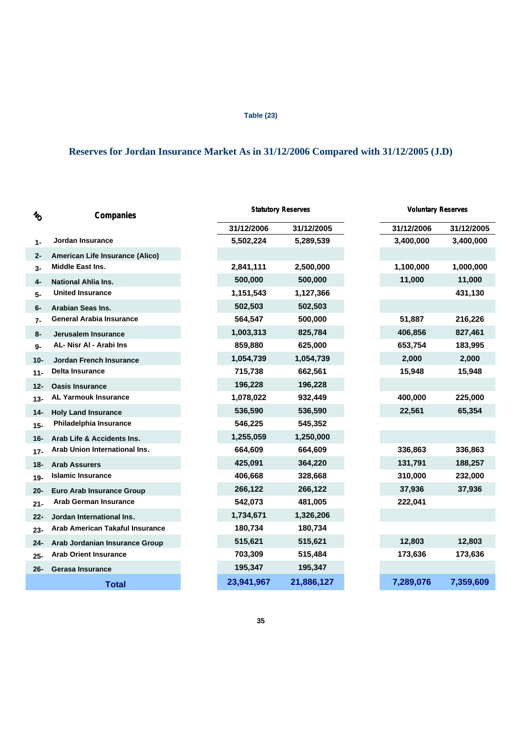### **Table (23)**

## **Reserves for Jordan Insurance Market As in 31/12/2006 Compared with 31/12/2005 (J.D)**

| $\mathcal{U}_O$ | Companies                        |            | <b>Statutory Reserves</b> | <b>Voluntary Reserves</b> |            |
|-----------------|----------------------------------|------------|---------------------------|---------------------------|------------|
|                 |                                  | 31/12/2006 | 31/12/2005                | 31/12/2006                | 31/12/2005 |
| $1 -$           | Jordan Insurance                 | 5,502,224  | 5,289,539                 | 3,400,000                 | 3,400,000  |
| $2 -$           | American Life Insurance (Alico)  |            |                           |                           |            |
| 3-              | <b>Middle East Ins.</b>          | 2,841,111  | 2,500,000                 | 1,100,000                 | 1,000,000  |
| 4-              | <b>National Ahlia Ins.</b>       | 500,000    | 500,000                   | 11,000                    | 11,000     |
| 5-              | <b>United Insurance</b>          | 1,151,543  | 1,127,366                 |                           | 431,130    |
| 6-              | <b>Arabian Seas Ins.</b>         | 502,503    | 502,503                   |                           |            |
| $7-$            | <b>General Arabia Insurance</b>  | 564,547    | 500,000                   | 51,887                    | 216,226    |
| 8-              | Jerusalem Insurance              | 1,003,313  | 825,784                   | 406,856                   | 827,461    |
| 9-              | AL- Nisr AI - Arabi Ins          | 859,880    | 625,000                   | 653,754                   | 183,995    |
| 10-             | <b>Jordan French Insurance</b>   | 1,054,739  | 1,054,739                 | 2,000                     | 2,000      |
| $11 -$          | <b>Delta Insurance</b>           | 715,738    | 662,561                   | 15,948                    | 15,948     |
| $12 -$          | <b>Oasis Insurance</b>           | 196,228    | 196,228                   |                           |            |
| $13 -$          | <b>AL Yarmouk Insurance</b>      | 1,078,022  | 932,449                   | 400,000                   | 225,000    |
| $14-$           | <b>Holy Land Insurance</b>       | 536,590    | 536,590                   | 22,561                    | 65,354     |
| $15 -$          | Philadelphia Insurance           | 546,225    | 545,352                   |                           |            |
| 16-             | Arab Life & Accidents Ins.       | 1,255,059  | 1,250,000                 |                           |            |
| $17 -$          | Arab Union International Ins.    | 664,609    | 664,609                   | 336,863                   | 336,863    |
| 18-             | <b>Arab Assurers</b>             | 425,091    | 364,220                   | 131,791                   | 188,257    |
| $19-$           | <b>Islamic Insurance</b>         | 406,668    | 328,668                   | 310,000                   | 232,000    |
| $20 -$          | <b>Euro Arab Insurance Group</b> | 266,122    | 266,122                   | 37,936                    | 37,936     |
| $21 -$          | <b>Arab German Insurance</b>     | 542,073    | 481,005                   | 222,041                   |            |
| $22 -$          | Jordan International Ins.        | 1,734,671  | 1,326,206                 |                           |            |
| $23 -$          | Arab American Takaful Insurance  | 180,734    | 180,734                   |                           |            |
| 24-             | Arab Jordanian Insurance Group   | 515,621    | 515,621                   | 12,803                    | 12,803     |
| $25 -$          | <b>Arab Orient Insurance</b>     | 703,309    | 515,484                   | 173,636                   | 173,636    |
| $26 -$          | <b>Gerasa Insurance</b>          | 195,347    | 195,347                   |                           |            |
|                 | <b>Total</b>                     | 23,941,967 | 21,886,127                | 7,289,076                 | 7,359,609  |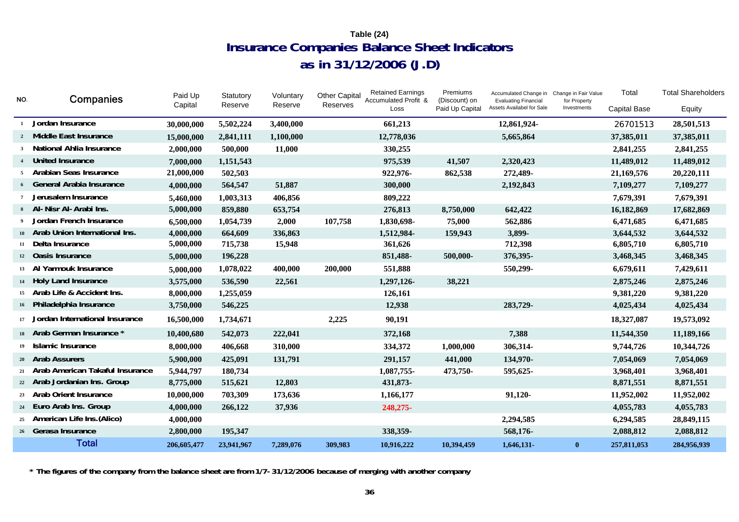## **Insurance Companies Balance Sheet Indicators as in 31/12/2006 (J.D) Table (24)**

| NO.             | Companies                          | Paid Up     | Statutory  | Voluntary | <b>Other Capital</b> | <b>Retained Earnings</b><br>Accumulated Profit & | Premiums<br>(Discount) on | Accumulated Change in<br><b>Evaluating Financial</b> | Change in Fair Value<br>for Property | Total               | <b>Total Shareholders</b> |
|-----------------|------------------------------------|-------------|------------|-----------|----------------------|--------------------------------------------------|---------------------------|------------------------------------------------------|--------------------------------------|---------------------|---------------------------|
|                 |                                    | Capital     | Reserve    | Reserve   | Reserves             | Loss                                             | Paid Up Capital           | Assets Availabel for Sale                            | Investments                          | <b>Capital Base</b> | Equity                    |
| <sup>1</sup>    | Jordan Insurance                   | 30,000,000  | 5,502,224  | 3,400,000 |                      | 661,213                                          |                           | 12,861,924-                                          |                                      | 26701513            | 28,501,513                |
|                 | 2 Middle East Insurance            | 15,000,000  | 2,841,111  | 1,100,000 |                      | 12,778,036                                       |                           | 5,665,864                                            |                                      | 37,385,011          | 37,385,011                |
| 3 <sup>1</sup>  | <b>National Ahlia Insurance</b>    | 2,000,000   | 500,000    | 11,000    |                      | 330,255                                          |                           |                                                      |                                      | 2,841,255           | 2,841,255                 |
| $\overline{4}$  | United Insurance                   | 7,000,000   | 1,151,543  |           |                      | 975,539                                          | 41,507                    | 2,320,423                                            |                                      | 11,489,012          | 11,489,012                |
| 5               | Arabian Seas Insurance             | 21,000,000  | 502,503    |           |                      | 922,976-                                         | 862,538                   | 272,489-                                             |                                      | 21,169,576          | 20,220,111                |
|                 | 6 General Arabia Insurance         | 4,000,000   | 564,547    | 51,887    |                      | 300,000                                          |                           | 2,192,843                                            |                                      | 7,109,277           | 7,109,277                 |
| $7\phantom{.0}$ | Jerusalem Insurance                | 5,460,000   | 1,003,313  | 406,856   |                      | 809,222                                          |                           |                                                      |                                      | 7,679,391           | 7,679,391                 |
|                 | 8 Al-Nisr Al-Arabi Ins.            | 5,000,000   | 859,880    | 653,754   |                      | 276,813                                          | 8,750,000                 | 642,422                                              |                                      | 16,182,869          | 17,682,869                |
|                 | Jordan French Insurance            | 6,500,000   | 1,054,739  | 2,000     | 107,758              | 1,830,698-                                       | 75,000                    | 562,886                                              |                                      | 6,471,685           | 6,471,685                 |
|                 | 10 Arab Union International Ins.   | 4,000,000   | 664,609    | 336,863   |                      | 1,512,984-                                       | 159,943                   | 3,899-                                               |                                      | 3,644,532           | 3,644,532                 |
| 11              | Delta Insurance                    | 5,000,000   | 715,738    | 15,948    |                      | 361,626                                          |                           | 712,398                                              |                                      | 6,805,710           | 6,805,710                 |
|                 | 12 Oasis Insurance                 | 5,000,000   | 196,228    |           |                      | 851,488-                                         | 500,000-                  | 376,395-                                             |                                      | 3,468,345           | 3,468,345                 |
|                 | Yarmouk Insurance<br>$13 \quad Al$ | 5,000,000   | 1,078,022  | 400,000   | 200,000              | 551,888                                          |                           | 550,299-                                             |                                      | 6,679,611           | 7,429,611                 |
|                 | 14 Holy Land Insurance             | 3,575,000   | 536,590    | 22,561    |                      | 1,297,126-                                       | 38,221                    |                                                      |                                      | 2,875,246           | 2,875,246                 |
| 15              | Arab Life & Accident Ins.          | 8,000,000   | 1,255,059  |           |                      | 126,161                                          |                           |                                                      |                                      | 9,381,220           | 9,381,220                 |
|                 | 16 Philadelphia Insurance          | 3,750,000   | 546,225    |           |                      | 12,938                                           |                           | 283,729-                                             |                                      | 4,025,434           | 4,025,434                 |
| 17              | Jordan International Insurance     | 16,500,000  | 1,734,671  |           | 2,225                | 90,191                                           |                           |                                                      |                                      | 18,327,087          | 19,573,092                |
|                 | 18 Arab German Insurance *         | 10,400,680  | 542,073    | 222,041   |                      | 372,168                                          |                           | 7,388                                                |                                      | 11,544,350          | 11,189,166                |
|                 | 19 Islamic Insurance               | 8,000,000   | 406,668    | 310,000   |                      | 334,372                                          | 1,000,000                 | 306,314-                                             |                                      | 9,744,726           | 10,344,726                |
|                 | 20 Arab Assurers                   | 5,900,000   | 425,091    | 131,791   |                      | 291,157                                          | 441,000                   | 134,970-                                             |                                      | 7,054,069           | 7,054,069                 |
| 21              | Arab American Takaful Insurance    | 5,944,797   | 180,734    |           |                      | 1,087,755-                                       | 473,750-                  | 595,625-                                             |                                      | 3,968,401           | 3,968,401                 |
|                 | 22 Arab Jordanian Ins. Group       | 8,775,000   | 515,621    | 12,803    |                      | 431,873-                                         |                           |                                                      |                                      | 8,871,551           | 8,871,551                 |
|                 | 23 Arab Orient Insurance           | 10,000,000  | 703,309    | 173,636   |                      | 1,166,177                                        |                           | 91,120-                                              |                                      | 11,952,002          | 11,952,002                |
|                 | 24 Euro Arab Ins. Group            | 4,000,000   | 266,122    | 37,936    |                      | 248,275-                                         |                           |                                                      |                                      | 4,055,783           | 4,055,783                 |
| 25              | American Life Ins.(Alico)          | 4,000,000   |            |           |                      |                                                  |                           | 2,294,585                                            |                                      | 6,294,585           | 28,849,115                |
|                 | 26 Gerasa Insurance                | 2,800,000   | 195,347    |           |                      | 338,359-                                         |                           | 568,176-                                             |                                      | 2,088,812           | 2,088,812                 |
|                 | <b>Total</b>                       | 206,605,477 | 23,941,967 | 7,289,076 | 309,983              | 10,916,222                                       | 10,394,459                | 1,646,131-                                           | $\bf{0}$                             | 257,811,053         | 284,956,939               |

**\* The figures of the company from the balance sheet are from 1/7-31/12/2006 because of merging with another company**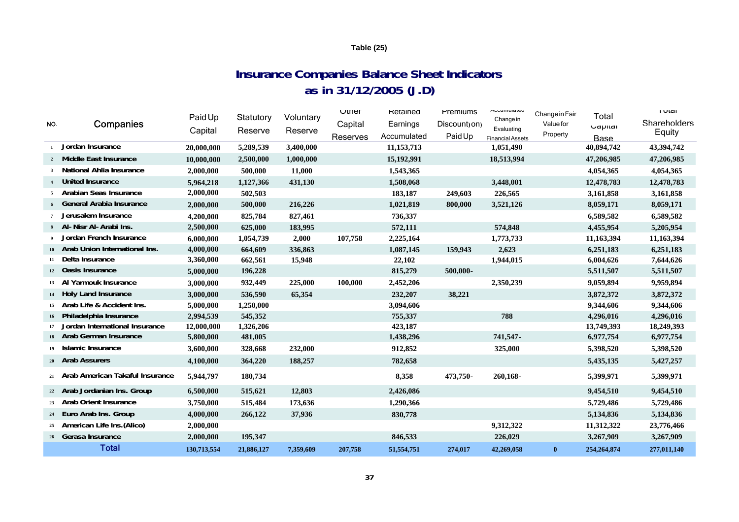### **Table (25)**

## **Insurance Companies Balance Sheet Indicators as in 31/12/2005 (J.D)**

| NO.             | Companies                       | Paid Up<br>Capital | Statutory<br>Reserve | Voluntary<br>Reserve | $U$ tner<br>Capital<br>Reserves | Retained<br>Earnings<br>Accumulated | Premiums<br>Discount <sub>ion</sub><br>Paid Up | nuumurateu<br>Change in<br>Evaluating<br><b>Financial Assets</b> | Change in Fair<br><b>Value for</b><br>Property | Total<br><b>Uaplial</b><br><b>Base</b> | ι υιαι<br>Shareholders<br>Equity |
|-----------------|---------------------------------|--------------------|----------------------|----------------------|---------------------------------|-------------------------------------|------------------------------------------------|------------------------------------------------------------------|------------------------------------------------|----------------------------------------|----------------------------------|
|                 | Jordan Insurance                | 20,000,000         | 5,289,539            | 3,400,000            |                                 | 11,153,713                          |                                                | 1,051,490                                                        |                                                | 40,894,742                             | 43,394,742                       |
| $2^{\circ}$     | <b>Middle East Insurance</b>    | 10,000,000         | 2,500,000            | 1,000,000            |                                 | 15,192,991                          |                                                | 18,513,994                                                       |                                                | 47,206,985                             | 47,206,985                       |
|                 | National Ahlia Insurance        | 2,000,000          | 500,000              | 11,000               |                                 | 1,543,365                           |                                                |                                                                  |                                                | 4,054,365                              | 4,054,365                        |
| $\overline{4}$  | <b>United Insurance</b>         | 5,964,218          | 1,127,366            | 431,130              |                                 | 1,508,068                           |                                                | 3,448,001                                                        |                                                | 12,478,783                             | 12,478,783                       |
| 5               | Arabian Seas Insurance          | 2,000,000          | 502,503              |                      |                                 | 183,187                             | 249,603                                        | 226,565                                                          |                                                | 3,161,858                              | 3,161,858                        |
|                 | <b>General Arabia Insurance</b> | 2,000,000          | 500,000              | 216,226              |                                 | 1,021,819                           | 800,000                                        | 3,521,126                                                        |                                                | 8,059,171                              | 8,059,171                        |
|                 | Jerusalem Insurance             | 4,200,000          | 825,784              | 827,461              |                                 | 736,337                             |                                                |                                                                  |                                                | 6,589,582                              | 6,589,582                        |
|                 | 8 Al-Nisr Al-Arabi Ins.         | 2,500,000          | 625,000              | 183,995              |                                 | 572,111                             |                                                | 574,848                                                          |                                                | 4,455,954                              | 5,205,954                        |
|                 | Jordan French Insurance         | 6,000,000          | 1,054,739            | 2,000                | 107,758                         | 2,225,164                           |                                                | 1,773,733                                                        |                                                | 11,163,394                             | 11,163,394                       |
| $10-10$         | Arab Union International Ins.   | 4,000,000          | 664,609              | 336,863              |                                 | 1,087,145                           | 159,943                                        | 2,623                                                            |                                                | 6,251,183                              | 6,251,183                        |
| 11              | Delta Insurance                 | 3,360,000          | 662,561              | 15,948               |                                 | 22,102                              |                                                | 1,944,015                                                        |                                                | 6,004,626                              | 7,644,626                        |
|                 | 12 Oasis Insurance              | 5,000,000          | 196,228              |                      |                                 | 815,279                             | 500,000-                                       |                                                                  |                                                | 5,511,507                              | 5,511,507                        |
|                 | 13 Al Yarmouk Insurance         | 3,000,000          | 932,449              | 225,000              | 100,000                         | 2,452,206                           |                                                | 2,350,239                                                        |                                                | 9,059,894                              | 9,959,894                        |
|                 | 14 Holy Land Insurance          | 3,000,000          | 536,590              | 65,354               |                                 | 232,207                             | 38,221                                         |                                                                  |                                                | 3,872,372                              | 3,872,372                        |
| 15              | Arab Life & Accident Ins.       | 5,000,000          | 1,250,000            |                      |                                 | 3,094,606                           |                                                |                                                                  |                                                | 9,344,606                              | 9,344,606                        |
| 16 <sup>1</sup> | Philadelphia Insurance          | 2,994,539          | 545,352              |                      |                                 | 755,337                             |                                                | 788                                                              |                                                | 4,296,016                              | 4,296,016                        |
| 17              | Jordan International Insurance  | 12,000,000         | 1,326,206            |                      |                                 | 423,187                             |                                                |                                                                  |                                                | 13,749,393                             | 18,249,393                       |
| 18              | Arab German Insurance           | 5,800,000          | 481,005              |                      |                                 | 1,438,296                           |                                                | 741,547-                                                         |                                                | 6,977,754                              | 6,977,754                        |
| 19 <sup>°</sup> | Islamic Insurance               | 3,600,000          | 328,668              | 232,000              |                                 | 912,852                             |                                                | 325,000                                                          |                                                | 5,398,520                              | 5,398,520                        |
|                 | 20 Arab Assurers                | 4,100,000          | 364,220              | 188,257              |                                 | 782,658                             |                                                |                                                                  |                                                | 5,435,135                              | 5,427,257                        |
| 21              | Arab American Takaful Insurance | 5,944,797          | 180,734              |                      |                                 | 8,358                               | 473,750-                                       | 260,168-                                                         |                                                | 5,399,971                              | 5,399,971                        |
|                 | 22 Arab Jordanian Ins. Group    | 6,500,000          | 515,621              | 12,803               |                                 | 2,426,086                           |                                                |                                                                  |                                                | 9,454,510                              | 9,454,510                        |
| 23              | <b>Arab Orient Insurance</b>    | 3,750,000          | 515,484              | 173,636              |                                 | 1,290,366                           |                                                |                                                                  |                                                | 5,729,486                              | 5,729,486                        |
| 24              | Euro Arab Ins. Group            | 4,000,000          | 266,122              | 37,936               |                                 | 830,778                             |                                                |                                                                  |                                                | 5,134,836                              | 5,134,836                        |
| 25              | American Life Ins. (Alico)      | 2,000,000          |                      |                      |                                 |                                     |                                                | 9,312,322                                                        |                                                | 11,312,322                             | 23,776,466                       |
|                 | 26 Gerasa Insurance             | 2,000,000          | 195,347              |                      |                                 | 846,533                             |                                                | 226,029                                                          |                                                | 3,267,909                              | 3,267,909                        |
|                 | <b>Total</b>                    | 130,713,554        | 21,886,127           | 7,359,609            | 207,758                         | 51,554,751                          | 274,017                                        | 42,269,058                                                       | $\bf{0}$                                       | 254, 264, 874                          | 277,011,140                      |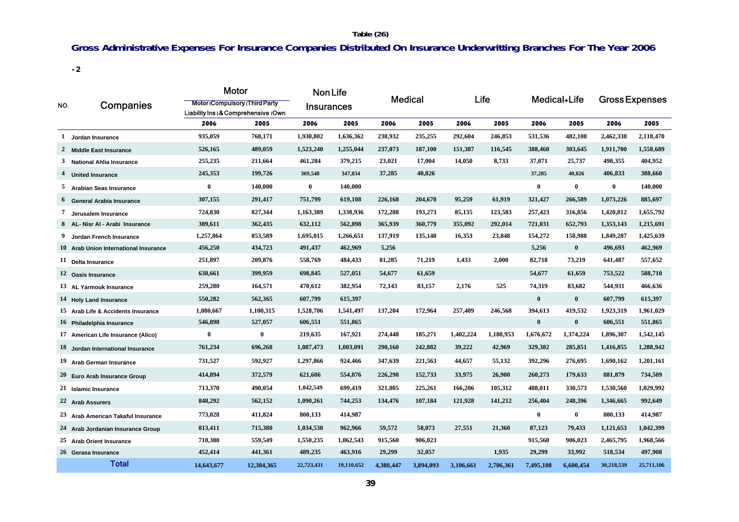### **Table (26)**

## **Gross Administrative Expenses For Insurance Companies Distributed On Insurance Underwritting Branches For The Year 2006**

**-2**

|     |                                       | Motor                                                                         |                   | <b>Non Life</b> |            |                |           |           |           |              |                       |              |            |  |
|-----|---------------------------------------|-------------------------------------------------------------------------------|-------------------|-----------------|------------|----------------|-----------|-----------|-----------|--------------|-----------------------|--------------|------------|--|
| NO. | Companies                             | <b>Motor (Compulsory (Third Party)</b><br>Liability Ins. & Comprehensive (Own | <b>Insurances</b> |                 |            | <b>Medical</b> |           | Life      |           | Medical+Life | <b>Gross Expenses</b> |              |            |  |
|     |                                       | 2006                                                                          | 2005              | 2006            | 2005       | 2006           | 2005      | 2006      | 2005      | 2006         | 2005                  | 2006         | 2005       |  |
| 1   | Jordan Insurance                      | 935,059                                                                       | 768,171           | 1,930,802       | 1,636,362  | 238,932        | 235,255   | 292,604   | 246,853   | 531,536      | 482,108               | 2,462,338    | 2,118,470  |  |
|     | 2 Middle East Insurance               | 526,165                                                                       | 489,059           | 1,523,240       | 1,255,044  | 237,073        | 187,100   | 151,387   | 116,545   | 388,460      | 303,645               | 1,911,700    | 1,558,689  |  |
|     | 3 National Ahlia Insurance            | 255,235                                                                       | 211,664           | 461,284         | 379,215    | 23,021         | 17,004    | 14,050    | 8,733     | 37,071       | 25,737                | 498,355      | 404,952    |  |
|     | 4 United Insurance                    | 245,353                                                                       | 199,726           | 369,548         | 347,834    | 37,285         | 40,826    |           |           | 37,285       | 40,826                | 406,833      | 388,660    |  |
|     | 5 Arabian Seas Insurance              | $\bf{0}$                                                                      | 140,000           | $\bf{0}$        | 140,000    |                |           |           |           | $\bf{0}$     | $\bf{0}$              | $\mathbf{0}$ | 140,000    |  |
|     | <sup>6</sup> General Arabia Insurance | 307,155                                                                       | 291,417           | 751,799         | 619,108    | 226,168        | 204,670   | 95,259    | 61,919    | 321,427      | 266,589               | 1,073,226    | 885,697    |  |
| 7   | Jerusalem Insurance                   | 724,830                                                                       | 827,344           | 1,163,389       | 1,338,936  | 172,288        | 193,273   | 85,135    | 123,583   | 257,423      | 316,856               | 1,420,812    | 1,655,792  |  |
|     | 8 AL- Nisr Al - Arabi Insurance       | 389,611                                                                       | 362,435           | 632,112         | 562,898    | 365,939        | 360,779   | 355,092   | 292,014   | 721,031      | 652,793               | 1,353,143    | 1,215,691  |  |
| 9   | Jordan French Insurance               | 1,257,864                                                                     | 853,589           | 1,695,015       | 1,266,651  | 137,919        | 135,140   | 16,353    | 23,848    | 154,272      | 158,988               | 1,849,287    | 1,425,639  |  |
|     | 10 Arab Union International Insurance | 456,250                                                                       | 434,723           | 491,437         | 462,969    | 5,256          |           |           |           | 5,256        | $\bf{0}$              | 496,693      | 462,969    |  |
|     | 11 Delta Insurance                    | 251,897                                                                       | 209,876           | 558,769         | 484,433    | 81,285         | 71,219    | 1,433     | 2,000     | 82,718       | 73,219                | 641,487      | 557,652    |  |
|     | 12 Oasis Insurance                    | 638,661                                                                       | 399,959           | 698,845         | 527,051    | 54,677         | 61,659    |           |           | 54,677       | 61,659                | 753,522      | 588,710    |  |
|     | 13 AL Yarmouk Insurance               | 259,280                                                                       | 164,571           | 470,612         | 382,954    | 72,143         | 83,157    | 2,176     | 525       | 74,319       | 83,682                | 544,931      | 466,636    |  |
|     | 14 Holy Land Insurance                | 550,282                                                                       | 562,365           | 607,799         | 615,397    |                |           |           |           | $\bf{0}$     | $\bf{0}$              | 607,799      | 615,397    |  |
|     | 15 Arab Life & Accidents Insurance    | 1,080,667                                                                     | 1,100,315         | 1,528,706       | 1,541,497  | 137,204        | 172,964   | 257,409   | 246,568   | 394,613      | 419,532               | 1,923,319    | 1,961,029  |  |
|     | 16 Philadelphia Insurance             | 546,898                                                                       | 527,057           | 606,551         | 551,865    |                |           |           |           | $\bf{0}$     | $\mathbf{0}$          | 606,551      | 551,865    |  |
|     | 17 American Life Insurance (Alico)    | $\bf{0}$                                                                      | $\bf{0}$          | 219,635         | 167,921    | 274,448        | 185,271   | 1,402,224 | 1,188,953 | 1,676,672    | 1,374,224             | 1,896,307    | 1,542,145  |  |
|     | 18 Jordan International Insurance     | 761,234                                                                       | 696,268           | 1,087,473       | 1,003,091  | 290,160        | 242,882   | 39,222    | 42,969    | 329,382      | 285,851               | 1,416,855    | 1,288,942  |  |
|     | 19 Arab German Insurance              | 731,527                                                                       | 592,927           | 1,297,866       | 924,466    | 347,639        | 221,563   | 44,657    | 55,132    | 392,296      | 276,695               | 1,690,162    | 1,201,161  |  |
|     | $20$ Euro Arab Insurance Group        | 414,894                                                                       | 372,579           | 621,606         | 554,876    | 226,298        | 152,733   | 33,975    | 26,900    | 260,273      | 179,633               | 881,879      | 734,509    |  |
|     | $21$ Islamic Insurance                | 713,370                                                                       | 490,054           | 1,042,549       | 699,419    | 321,805        | 225,261   | 166,206   | 105,312   | 488,011      | 330,573               | 1,530,560    | 1,029,992  |  |
|     | 22 Arab Assurers                      | 848,292                                                                       | 562,152           | 1,090,261       | 744,253    | 134,476        | 107,184   | 121,928   | 141,212   | 256,404      | 248,396               | 1,346,665    | 992,649    |  |
|     | 23 Arab American Takaful Insurance    | 773,028                                                                       | 411,824           | 800,133         | 414,987    |                |           |           |           | $\bf{0}$     | $\bf{0}$              | 800,133      | 414,987    |  |
|     | 24 Arab Jordanian Insurance Group     | 813,411                                                                       | 715,380           | 1,034,530       | 962,966    | 59,572         | 58,073    | 27,551    | 21,360    | 87,123       | 79,433                | 1,121,653    | 1,042,399  |  |
|     | 25 Arab Orient Insurance              | 710,300                                                                       | 559,549           | 1,550,235       | 1,062,543  | 915,560        | 906,023   |           |           | 915,560      | 906,023               | 2,465,795    | 1,968,566  |  |
|     | 26 Gerasa Insurance                   | 452,414                                                                       | 441,361           | 489,235         | 463,916    | 29,299         | 32,057    |           | 1,935     | 29,299       | 33,992                | 518,534      | 497,908    |  |
|     | <b>Total</b>                          | 14,643,677                                                                    | 12,384,365        | 22,723,431      | 19,110,652 | 4,388,447      | 3,894,093 | 3,106,661 | 2,706,361 | 7,495,108    | 6,600,454             | 30,218,539   | 25,711,106 |  |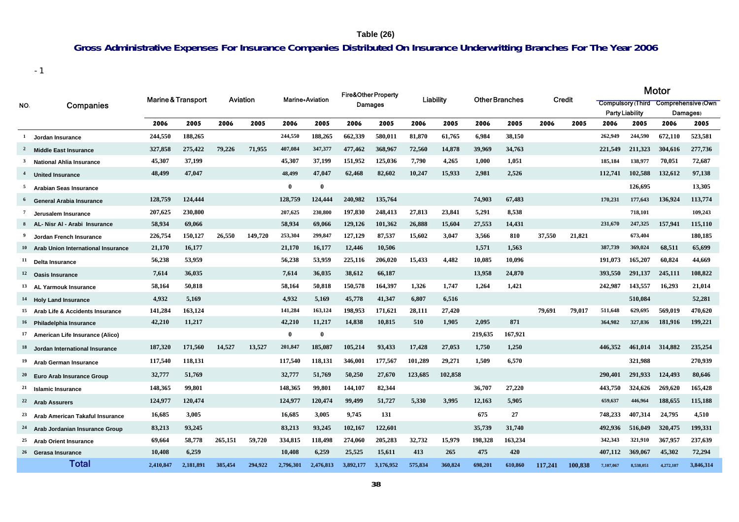### **Table (26)**

## **Gross Administrative Expenses For Insurance Companies Distributed On Insurance Underwritting Branches For The Year 2006**

-1

| NO.          | Companies                                    | <b>Marine &amp; Transport</b> |           | Aviation |         | <b>Marine</b> +Aviation |           | Fire&Other Property<br>Damages |           | Liability |         | <b>Other Branches</b> |         | Credit  |         | Motor     |                        |                                     |           |  |  |
|--------------|----------------------------------------------|-------------------------------|-----------|----------|---------|-------------------------|-----------|--------------------------------|-----------|-----------|---------|-----------------------|---------|---------|---------|-----------|------------------------|-------------------------------------|-----------|--|--|
|              |                                              |                               |           |          |         |                         |           |                                |           |           |         |                       |         |         |         |           |                        | Compulsory (Third Comprehensive Own |           |  |  |
|              |                                              |                               |           |          |         |                         |           |                                |           |           |         |                       |         |         |         |           | <b>Party Liability</b> | Damages <sub>)</sub>                |           |  |  |
|              |                                              | 2006                          | 2005      | 2006     | 2005    | 2006                    | 2005      | 2006                           | 2005      | 2006      | 2005    | 2006                  | 2005    | 2006    | 2005    | 2006      | 2005                   | 2006                                | 2005      |  |  |
| $\mathbf{1}$ | <b>Jordan Insurance</b>                      | 244,550                       | 188,265   |          |         | 244,550                 | 188,265   | 662,339                        | 580,011   | 81,870    | 61,765  | 6,984                 | 38,150  |         |         | 262,949   | 244,590                | 672,110                             | 523,581   |  |  |
| 2            | <b>Middle East Insurance</b>                 | 327,858                       | 275,422   | 79,226   | 71.955  | 407,084                 | 347,377   | 477,462                        | 368,967   | 72,560    | 14,878  | 39,969                | 34,763  |         |         | 221,549   | 211,323                | 304,616                             | 277,736   |  |  |
| $\mathbf{3}$ | <b>National Ahlia Insurance</b>              | 45,307                        | 37,199    |          |         | 45,307                  | 37,199    | 151,952                        | 125,036   | 7,790     | 4,265   | 1,000                 | 1,051   |         |         | 185,184   | 138,977                | 70,051                              | 72,687    |  |  |
|              | <b>United Insurance</b>                      | 48,499                        | 47,047    |          |         | 48,499                  | 47,047    | 62,468                         | 82,602    | 10,247    | 15,933  | 2,981                 | 2,526   |         |         | 112,741   | 102,588                | 132,612                             | 97,138    |  |  |
| 5            | <b>Arabian Seas Insurance</b>                |                               |           |          |         | $\mathbf{0}$            | $\bf{0}$  |                                |           |           |         |                       |         |         |         |           | 126,695                |                                     | 13,305    |  |  |
|              | <sup>6</sup> General Arabia Insurance        | 128,759                       | 124,444   |          |         | 128,759                 | 124,444   | 240,982                        | 135,764   |           |         | 74,903                | 67,483  |         |         | 170,231   | 177,643                | 136.924                             | 113,774   |  |  |
| -7           | Jerusalem Insurance                          | 207,625                       | 230,800   |          |         | 207,625                 | 230,800   | 197,830                        | 248,413   | 27,813    | 23,841  | 5,291                 | 8,538   |         |         |           | 718,101                |                                     | 109,243   |  |  |
|              | 8 AL- Nisr Al - Arabi Insurance              | 58,934                        | 69,066    |          |         | 58,934                  | 69,066    | 129,126                        | 101,362   | 26,888    | 15,604  | 27,553                | 14,431  |         |         | 231,670   | 247,325                | 157,941                             | 115,110   |  |  |
|              | Jordan French Insurance                      | 226,754                       | 150,127   | 26,550   | 149,720 | 253,304                 | 299,847   | 127,129                        | 87,537    | 15,602    | 3,047   | 3,566                 | 810     | 37,550  | 21,821  |           | 673,404                |                                     | 180,185   |  |  |
|              | <b>Arab Union International Insurance</b>    | 21,170                        | 16,177    |          |         | 21,170                  | 16,177    | 12,446                         | 10,506    |           |         | 1,571                 | 1,563   |         |         | 387,739   | 369,024                | 68.511                              | 65,699    |  |  |
| 11           | Delta Insurance                              | 56,238                        | 53,959    |          |         | 56,238                  | 53,959    | 225,116                        | 206,020   | 15,433    | 4,482   | 10,085                | 10,096  |         |         | 191,073   | 165,207                | 60,824                              | 44,669    |  |  |
|              | <sup>12</sup> Oasis Insurance                | 7,614                         | 36,035    |          |         | 7,614                   | 36,035    | 38,612                         | 66,187    |           |         | 13,958                | 24,870  |         |         | 393,550   | 291,137                | 245,111                             | 108,822   |  |  |
|              | 13 AL Yarmouk Insurance                      | 58,164                        | 50,818    |          |         | 58,164                  | 50,818    | 150,578                        | 164,397   | 1,326     | 1,747   | 1,264                 | 1,421   |         |         | 242,987   | 143,557                | 16,293                              | 21,014    |  |  |
|              | <b>Holy Land Insurance</b>                   | 4,932                         | 5,169     |          |         | 4,932                   | 5,169     | 45,778                         | 41,347    | 6,807     | 6,516   |                       |         |         |         |           | 510,084                |                                     | 52,281    |  |  |
|              | 15 Arab Life & Accidents Insurance           | 141,284                       | 163,124   |          |         | 141,284                 | 163,124   | 198,953                        | 171.621   | 28,111    | 27,420  |                       |         | 79.691  | 79.017  | 511,648   | 629,695                | 569.019                             | 470.620   |  |  |
|              | 16 Philadelphia Insurance                    | 42,210                        | 11,217    |          |         | 42,210                  | 11,217    | 14,838                         | 10,815    | 510       | 1,905   | 2,095                 | 871     |         |         | 364,982   | 327,836                | 181,916                             | 199,221   |  |  |
|              | 17 American Life Insurance (Alico)           |                               |           |          |         | $\bf{0}$                | $\bf{0}$  |                                |           |           |         | 219,635               | 167,921 |         |         |           |                        |                                     |           |  |  |
|              | Jordan International Insurance               | 187,320                       | 171,560   | 14,527   | 13.527  | 201,847                 | 185,087   | 105,214                        | 93,433    | 17,428    | 27,053  | 1,750                 | 1,250   |         |         | 446.352   | 461.014                | 314,882                             | 235,254   |  |  |
|              | <b>Arab German Insurance</b>                 | 117,540                       | 118,131   |          |         | 117,540                 | 118,131   | 346,001                        | 177,567   | 101,289   | 29,271  | 1,509                 | 6,570   |         |         |           | 321,988                |                                     | 270,939   |  |  |
| 20           | Euro Arab Insurance Group                    | 32,777                        | 51,769    |          |         | 32,777                  | 51,769    | 50,250                         | 27,670    | 123,685   | 102,858 |                       |         |         |         | 290.401   | 291,933                | 124,493                             | 80,646    |  |  |
|              | <b>Islamic Insurance</b>                     | 148,365                       | 99,801    |          |         | 148,365                 | 99,801    | 144,107                        | 82,344    |           |         | 36,707                | 27,220  |         |         | 443,750   | 324,626                | 269,620                             | 165,428   |  |  |
|              | <sup>22</sup> Arab Assurers                  | 124,977                       | 120,474   |          |         | 124,977                 | 120,474   | 99,499                         | 51,727    | 5,330     | 3,995   | 12,163                | 5,905   |         |         | 659,637   | 446,964                | 188,655                             | 115,188   |  |  |
|              | Arab American Takaful Insurance              | 16,685                        | 3,005     |          |         | 16,685                  | 3,005     | 9,745                          | 131       |           |         | 675                   | 27      |         |         | 748,233   | 407,314                | 24,795                              | 4,510     |  |  |
|              | <sup>24</sup> Arab Jordanian Insurance Group | 83,213                        | 93,245    |          |         | 83,213                  | 93,245    | 102,167                        | 122,601   |           |         | 35,739                | 31,740  |         |         | 492,936   | 516,049                | 320,475                             | 199,331   |  |  |
| 25           | <b>Arab Orient Insurance</b>                 | 69,664                        | 58,778    | 265,151  | 59,720  | 334,815                 | 118,498   | 274,060                        | 205,283   | 32,732    | 15,979  | 198,328               | 163,234 |         |         | 342,343   | 321,910                | 367.957                             | 237,639   |  |  |
|              | <sup>26</sup> Gerasa Insurance               | 10,408                        | 6,259     |          |         | 10,408                  | 6,259     | 25,525                         | 15,611    | 413       | 265     | 475                   | 420     |         |         | 407,112   | 369,067                | 45,302                              | 72,294    |  |  |
|              | Total                                        | 2,410,847                     | 2,181,891 | 385,454  | 294.922 | 2,796,301               | 2,476,813 | 3,892,177                      | 3,176,952 | 575,834   | 360,824 | 698,201               | 610,860 | 117,241 | 100.838 | 7,107,067 | 8,538,051              | 4,272,107                           | 3,846,314 |  |  |